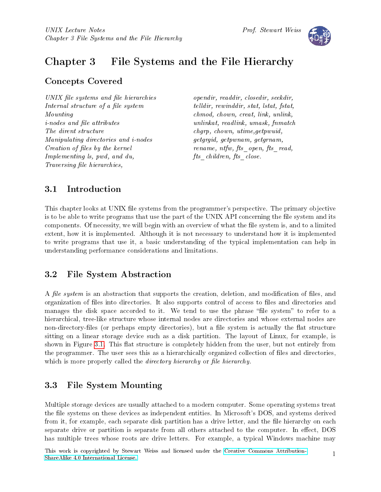

# Chapter 3 File Systems and the File Hierarchy

## Concepts Covered

UNIX file systems and file hierarchies Internal structure of a file system Mounting  $i$ -nodes and file attributes The dirent structure Manipulating directories and i-nodes Creation of files by the kernel Implementing ls, pwd, and du, Traversing file hierarchies,

opendir, readdir, closedir, seekdir, telldir, rewinddir, stat, lstat, fstat, chmod, chown, creat, link, unlink, unlinkat, readlink, umask, fnmatch chgrp, chown, utime,getpwuid, getgrgid, getpwnam, getgrnam, rename, ntfw, fts open, fts read,  $fts\_children, \, fits\_close.$ 

## 3.1 Introduction

This chapter looks at UNIX file systems from the programmer's perspective. The primary objective is to be able to write programs that use the part of the UNIX API concerning the file system and its components. Of necessity, we will begin with an overview of what the file system is, and to a limited extent, how it is implemented. Although it is not necessary to understand how it is implemented to write programs that use it, a basic understanding of the typical implementation can help in understanding performance considerations and limitations.

## 3.2 File System Abstraction

A file system is an abstraction that supports the creation, deletion, and modification of files, and organization of files into directories. It also supports control of access to files and directories and manages the disk space accorded to it. We tend to use the phrase "file system" to refer to a hierarchical, tree-like structure whose internal nodes are directories and whose external nodes are non-directory-files (or perhaps empty directories), but a file system is actually the flat structure sitting on a linear storage device such as a disk partition. The layout of Linux, for example, is shown in Figure [3.1.](#page-2-0) This flat structure is completely hidden from the user, but not entirely from the programmer. The user sees this as a hierarchically organized collection of files and directories, which is more properly called the *directory hierarchy* or *file hierarchy*.

## 3.3 File System Mounting

Multiple storage devices are usually attached to a modern computer. Some operating systems treat the file systems on these devices as independent entities. In Microsoft's DOS, and systems derived from it, for example, each separate disk partition has a drive letter, and the file hierarchy on each separate drive or partition is separate from all others attached to the computer. In effect, DOS has multiple trees whose roots are drive letters. For example, a typical Windows machine may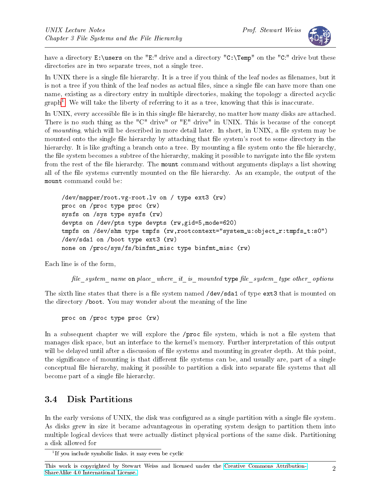

have a directory  $E:\text{sees on the "E: " drive and a directory "C:\Temp" on the "C: " drive but these"}$ directories are in two separate trees, not a single tree.

In UNIX there is a single file hierarchy. It is a tree if you think of the leaf nodes as filenames, but it is not a tree if you think of the leaf nodes as actual files, since a single file can have more than one name, existing as a directory entry in multiple directories, making the topology a directed acyclic graph[1](#page-1-0) . We will take the liberty of referring to it as a tree, knowing that this is inaccurate.

In UNIX, every accessible file is in this single file hierarchy, no matter how many disks are attached. There is no such thing as the "C" drive" or "E" drive" in UNIX. This is because of the concept of mounting, which will be described in more detail later. In short, in UNIX, a file system may be mounted onto the single file hierarchy by attaching that file system's root to some directory in the hierarchy. It is like grafting a branch onto a tree. By mounting a file system onto the file hierarchy, the file system becomes a subtree of the hierarchy, making it possible to navigate into the file system from the rest of the file hierarchy. The mount command without arguments displays a list showing all of the file systems currently mounted on the file hierarchy. As an example, the output of the mount command could be:

```
/dev/mapper/root.vg-root.lv on / type ext3 (rw)
proc on /proc type proc (rw)
sysfs on /sys type sysfs (rw)
devpts on /dev/pts type devpts (rw,gid=5,mode=620)
tmpfs on /dev/shm type tmpfs (rw,rootcontext="system_u:object_r:tmpfs_t:s0")
/dev/sda1 on /boot type ext3 (rw)
none on /proc/sys/fs/binfmt_misc type binfmt_misc (rw)
```
Each line is of the form,

 $file\_system\_name$  on place\_where\_it\_is\_mounted type file\_system\_type other\_options

The sixth line states that there is a file system named /dev/sda1 of type ext3 that is mounted on the directory /boot. You may wonder about the meaning of the line

proc on /proc type proc (rw)

In a subsequent chapter we will explore the /proc file system, which is not a file system that manages disk space, but an interface to the kernel's memory. Further interpretation of this output will be delayed until after a discussion of file systems and mounting in greater depth. At this point, the significance of mounting is that different file systems can be, and usually are, part of a single conceptual file hierarchy, making it possible to partition a disk into separate file systems that all become part of a single file hierarchy.

## 3.4 Disk Partitions

In the early versions of UNIX, the disk was configured as a single partition with a single file system. As disks grew in size it became advantageous in operating system design to partition them into multiple logical devices that were actually distinct physical portions of the same disk. Partitioning a disk allowed for

<span id="page-1-0"></span><sup>&</sup>lt;sup>1</sup>If you include symbolic links. it may even be cyclic

This work is copyrighted by Stewart Weiss and licensed under the [Creative Commons Attribution-](http://creativecommons.org/licenses/by-sa/4.0/ )[ShareAlike 4.0 International License.](http://creativecommons.org/licenses/by-sa/4.0/ ) <sup>2</sup>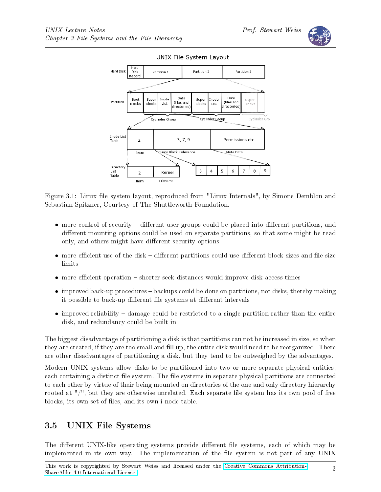



<span id="page-2-0"></span>Figure 3.1: Linux file system layout, reproduced from "Linux Internals", by Simone Demblon and Sebastian Spitzner, Courtesy of The Shuttleworth Foundation.

- $\bullet$  more control of security different user groups could be placed into different partitions, and different mounting options could be used on separate partitions, so that some might be read only, and others might have different security options
- $\bullet$  more efficient use of the disk different partitions could use different block sizes and file size limits
- more efficient operation  $-$  shorter seek distances would improve disk access times
- $\bullet$  improved back-up procedures backups could be done on partitions, not disks, thereby making it possible to back-up different file systems at different intervals
- $\bullet$  improved reliability  $-$  damage could be restricted to a single partition rather than the entire disk, and redundancy could be built in

The biggest disadvantage of partitioning a disk is that partitions can not be increased in size, so when they are created, if they are too small and fill up, the entire disk would need to be reorganized. There are other disadvantages of partitioning a disk, but they tend to be outweighed by the advantages.

Modern UNIX systems allow disks to be partitioned into two or more separate physical entities, each containing a distinct file system. The file systems in separate physical partitions are connected to each other by virtue of their being mounted on directories of the one and only directory hierarchy rooted at "/", but they are otherwise unrelated. Each separate file system has its own pool of free blocks, its own set of files, and its own i-node table.

## 3.5 UNIX File Systems

The different UNIX-like operating systems provide different file systems, each of which may be implemented in its own way. The implementation of the file system is not part of any UNIX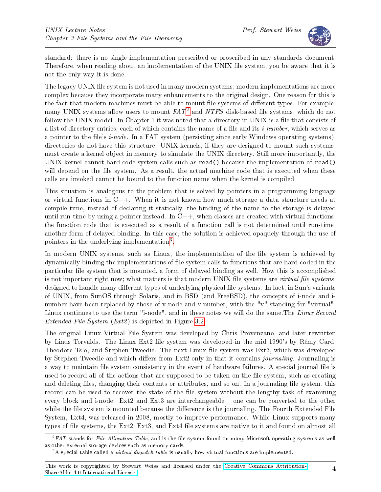

standard: there is no single implementation prescribed or proscribed in any standards document. Therefore, when reading about an implementation of the UNIX file system, you be aware that it is not the only way it is done.

The legacy UNIX file system is not used in many modern systems; modern implementations are more complex because they incorporate many enhancements to the original design. One reason for this is the fact that modern machines must be able to mount file systems of different types. For example, many UNIX systems allow users to mount  $FAT^2$  $FAT^2$  and  $NTFS$  disk-based file systems, which do not follow the UNIX model. In Chapter 1 it was noted that a directory in UNIX is a file that consists of a list of directory entries, each of which contains the name of a file and its *i-number*, which serves as a pointer to the file's  $i$ -node. In a FAT system (persisting since early Windows operating systems), directories do not have this structure. UNIX kernels, if they are designed to mount such systems, must create a kernel object in memory to simulate the UNIX directory. Still more importantly, the UNIX kernel cannot hard-code system calls such as read() because the implementation of read() will depend on the file system. As a result, the actual machine code that is executed when these calls are invoked cannot be bound to the function name when the kernel is compiled.

This situation is analogous to the problem that is solved by pointers in a programming language or virtual functions in  $C_{++}$ . When it is not known how much storage a data structure needs at compile time, instead of declaring it statically, the binding of the name to the storage is delayed until run-time by using a pointer instead. In  $C_{++}$ , when classes are created with virtual functions, the function code that is executed as a result of a function call is not determined until run-time, another form of delayed binding. In this case, the solution is achieved opaquely through the use of pointers in the underlying implementation<sup>[3](#page-3-1)</sup>.

In modern UNIX systems, such as Linux, the implementation of the file system is achieved by dynamically binding the implementations of file system calls to functions that are hard-coded in the particular file system that is mounted, a form of delayed binding as well. How this is accomplished is not important right now; what matters is that modern UNIX file systems are *virtual file systems*, designed to handle many different types of underlying physical file systems. In fact, in Sun's variants of UNIX, from SunOS through Solaris, and in BSD (and FreeBSD), the concepts of i-node and inumber have been replaced by those of v-node and v-number, with the "v" standing for "virtual". Linux continues to use the term "i-node", and in these notes we will do the same. The Linux Second Extended File System (Ext2 ) is depicted in Figure [3.2.](#page-4-0)

The original Linux Virtual File System was developed by Chris Provenzano, and later rewritten by Linus Torvalds. The Linux Ext2 file system was developed in the mid 1990's by Rémy Card. Theodore Ts'o, and Stephen Tweedie. The next Linux file system was Ext3, which was developed by Stephen Tweedie and which differs from Ext2 only in that it contains *journaling*. Journaling is a way to maintain file system consistency in the event of hardware failures. A special journal file is used to record all of the actions that are supposed to be taken on the file system, such as creating and deleting files, changing their contents or attributes, and so on. In a journaling file system, this record can be used to recover the state of the file system without the lengthy task of examining every block and i-node. Ext2 and Ext3 are interchangeable  $-$  one can be converted to the other while the file system is mounted because the difference is the journaling. The Fourth Extended File System, Ext4, was released in 2008, mostly to improve performance. While Linux supports many types of file systems, the Ext2, Ext3, and Ext4 file systems are native to it and found on almost all

<span id="page-3-0"></span> $^{2}FAT$  stands for File Allocation Table, and is the file system found on many Microsoft operating systems as well as other external storage devices such as memory cards.

<span id="page-3-1"></span><sup>&</sup>lt;sup>3</sup>A special table called a *virtual dispatch table* is usually how virtual functions are implemented.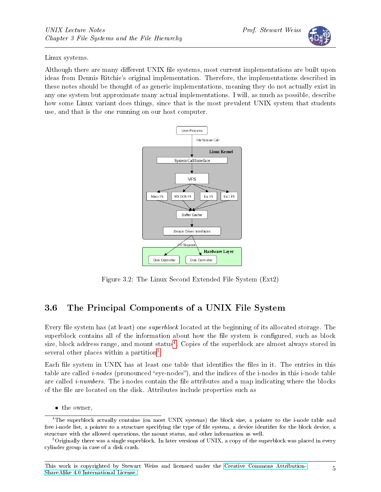Linux systems.

Although there are many different UNIX file systems, most current implementations are built upon ideas from Dennis Ritchie's original implementation. Therefore, the implementations described in these notes should be thought of as generic implementations, meaning they do not actually exist in any one system but approximate many actual implementations. I will, as much as possible, describe how some Linux variant does things, since that is the most prevalent UNIX system that students use, and that is the one running on our host computer.



<span id="page-4-0"></span>Figure 3.2: The Linux Second Extended File System (Ext2)

## 3.6 The Principal Components of a UNIX File System

Every file system has (at least) one *superblock* located at the beginning of its allocated storage. The superblock contains all of the information about how the file system is configured, such as block size, block address range, and mount status<sup>[4](#page-4-1)</sup>. Copies of the superblock are almost always stored in several other places within a partition<sup>[5](#page-4-2)</sup>.

Each file system in UNIX has at least one table that identifies the files in it. The entries in this table are called  $i$ -nodes (pronounced "eye-nodes"), and the indices of the i-nodes in this i-node table are called *i-numbers*. The i-nodes contain the file attributes and a map indicating where the blocks of the file are located on the disk. Attributes include properties such as

<span id="page-4-1"></span><sup>•</sup> the owner,

<sup>&</sup>lt;sup>4</sup>The superblock actually contains (on most UNIX systems) the block size, a pointer to the i-node table and free i-node list, a pointer to a structure specifying the type of file system, a device identifier for the block device, a structure with the allowed operations, the mount status, and other information as well.

<span id="page-4-2"></span> $5$ Originally there was a single superblock. In later versions of UNIX, a copy of the superblock was placed in every cylinder group in case of a disk crash.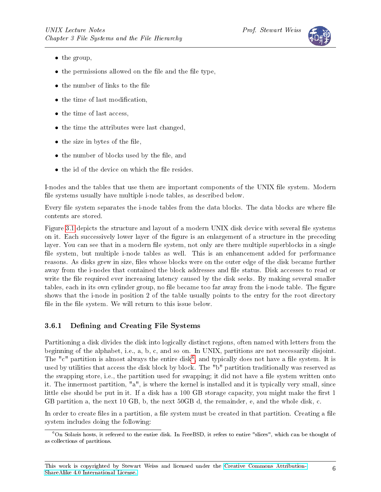

- the group,
- $\bullet$  the permissions allowed on the file and the file type,
- $\bullet$  the number of links to the file
- the time of last modification,
- the time of last access,
- the time the attributes were last changed,
- $\bullet$  the size in bytes of the file,
- the number of blocks used by the file, and
- $\bullet$  the id of the device on which the file resides.

I-nodes and the tables that use them are important components of the UNIX file system. Modern file systems usually have multiple i-node tables, as described below.

Every file system separates the i-node tables from the data blocks. The data blocks are where file contents are stored.

Figure [3.1](#page-2-0) depicts the structure and layout of a modern UNIX disk device with several file systems on it. Each successively lower layer of the figure is an enlargement of a structure in the preceding layer. You can see that in a modern file system, not only are there multiple superblocks in a single file system, but multiple i-node tables as well. This is an enhancement added for performance reasons. As disks grew in size, files whose blocks were on the outer edge of the disk became further away from the i-nodes that contained the block addresses and file status. Disk accesses to read or write the file required ever increasing latency caused by the disk seeks. By making several smaller tables, each in its own cylinder group, no file became too far away from the i-node table. The figure shows that the i-node in position 2 of the table usually points to the entry for the root directory file in the file system. We will return to this issue below.

#### 3.6.1 Defining and Creating File Systems

Partitioning a disk divides the disk into logically distinct regions, often named with letters from the beginning of the alphabet, i.e., a, b, c, and so on. In UNIX, partitions are not necessarily disjoint. The "c" partition is almost always the entire disk<sup>[6](#page-5-0)</sup>, and typically does not have a file system. It is used by utilities that access the disk block by block. The "b" partition traditionally was reserved as the swapping store, i.e., the partition used for swapping; it did not have a file system written onto it. The innermost partition, "a", is where the kernel is installed and it is typically very small, since little else should be put in it. If a disk has a 100 GB storage capacity, you might make the first 1 GB partition a, the next 10 GB, b, the next 50GB d, the remainder, e, and the whole disk, c.

In order to create files in a partition, a file system must be created in that partition. Creating a file system includes doing the following:

<span id="page-5-0"></span><sup>6</sup>On Solaris hosts, it referred to the entire disk. In FreeBSD, it refers to entire "slices", which can be thought of as collections of partitions.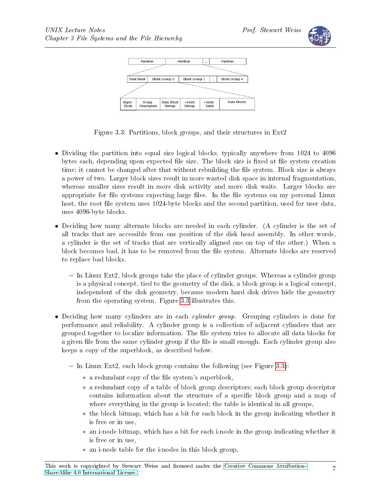

|                | Partition                                                                                   |             | Partition<br>        |                                            | Partition       |  |                                                                                                                                                                                                                                            |
|----------------|---------------------------------------------------------------------------------------------|-------------|----------------------|--------------------------------------------|-----------------|--|--------------------------------------------------------------------------------------------------------------------------------------------------------------------------------------------------------------------------------------------|
|                | Service Company and Company and Company and Company and Company and Company and Company and |             |                      |                                            |                 |  | <b><i>ARTISTAND AND CONSTRUCTION AND RESIDENCE AND ARTISTS AND RESIDENCE AND RESIDENCE AND RESIDENCE AND RESIDENCE AND RESIDENCE AND RESIDENCE AND RESIDENCE AND RESIDENCE AND RESIDENCE AND RESIDENCE AND RESIDENCE AND RESIDENCE</i></b> |
|                | <b>Boot Block</b><br>Block Group 0                                                          |             |                      | Block Group 1<br>Block Group n<br>$\cdots$ |                 |  |                                                                                                                                                                                                                                            |
|                |                                                                                             |             |                      |                                            |                 |  | <b>Contact Contact Contact Contact Contact Contact Contact Contact Contact Contact Contact Contact Contact Contact</b>                                                                                                                     |
| Super<br>Block | Group                                                                                       | Descriptors | Data Block<br>Bitmap | i-node<br>Bitmap                           | i-node<br>Table |  | Data Blocks                                                                                                                                                                                                                                |

<span id="page-6-0"></span>Figure 3.3: Partitions, block groups, and their structures in Ext2

- Dividing the partition into equal size logical blocks, typically anywhere from 1024 to 4096 bytes each, depending upon expected file size. The block size is fixed at file system creation time; it cannot be changed after that without rebuilding the file system. Block size is always a power of two. Larger block sizes result in more wasted disk space in internal fragmentation, whereas smaller sizes result in more disk activity and more disk waits. Larger blocks are appropriate for file systems expecting large files. In the file systems on my personal Linux host, the root file system uses 1024-byte blocks and the second partition, used for user data, uses 4096-byte blocks.
- Deciding how many alternate blocks are needed in each cylinder. (A cylinder is the set of all tracks that are accessible from one position of the disk head assembly. In other words, a cylinder is the set of tracks that are vertically aligned one on top of the other.) When a block becomes bad, it has to be removed from the le system. Alternate blocks are reserved to replace bad blocks.
	- $\overline{I}$  In Linux Ext2, block groups take the place of cylinder groups. Whereas a cylinder group is a physical concept, tied to the geometry of the disk, a block group is a logical concept, independent of the disk geometry, because modern hard disk drives hide the geometry from the operating system. Figure [3.3](#page-6-0) illustrates this.
- Deciding how many cylinders are in each *cylinder group*. Grouping cylinders is done for performance and reliability. A cylinder group is a collection of adjacent cylinders that are grouped together to localize information. The file system tries to allocate all data blocks for a given file from the same cylinder group if the file is small enough. Each cylinder group also keeps a copy of the superblock, as described below.
	- $I = \text{In Linux Ext2},$  each block group contains the following (see Figure [3.3\)](#page-6-0):
		- ∗ a redundant copy of the le system's superblock,
		- ∗ a redundant copy of a table of block group descriptors; each block group descriptor contains information about the structure of a specific block group and a map of where everything in the group is located; the table is identical in all groups,
		- ∗ the block bitmap, which has a bit for each block in the group indicating whether it is free or in use,
		- ∗ an i-node bitmap, which has a bit for each i-node in the group indicating whether it is free or in use,
		- ∗ an i-node table for the i-nodes in this block group,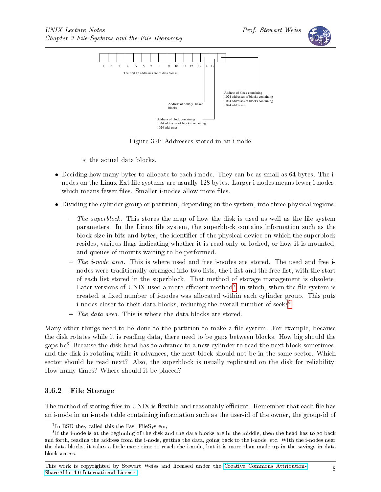



<span id="page-7-2"></span>Figure 3.4: Addresses stored in an i-node

- ∗ the actual data blocks.
- Deciding how many bytes to allocate to each i-node. They can be as small as 64 bytes. The inodes on the Linux Ext file systems are usually 128 bytes. Larger i-nodes means fewer i-nodes, which means fewer files. Smaller i-nodes allow more files.
- Dividing the cylinder group or partition, depending on the system, into three physical regions:
	- $-$  The superblock. This stores the map of how the disk is used as well as the file system parameters. In the Linux file system, the superblock contains information such as the block size in bits and bytes, the identifier of the physical device on which the superblock resides, various flags indicating whether it is read-only or locked, or how it is mounted. and queues of mounts waiting to be performed.
	- $\overline{\phantom{a}}$  The *i*-node area. This is where used and free i-nodes are stored. The used and free inodes were traditionally arranged into two lists, the i-list and the free-list, with the start of each list stored in the superblock. That method of storage management is obsolete. Later versions of UNIX used a more efficient method<sup>[7](#page-7-0)</sup>, in which, when the file system is created, a fixed number of i-nodes was allocated within each cylinder group. This puts i-nodes closer to their data blocks, reducing the overall number of seeks<sup>[8](#page-7-1)</sup>.
	- $\overline{\phantom{a}}$  The data area. This is where the data blocks are stored.

Many other things need to be done to the partition to make a file system. For example, because the disk rotates while it is reading data, there need to be gaps between blocks. How big should the gaps be? Because the disk head has to advance to a new cylinder to read the next block sometimes, and the disk is rotating while it advances, the next block should not be in the same sector. Which sector should be read next? Also, the superblock is usually replicated on the disk for reliability. How many times? Where should it be placed?

#### 3.6.2 File Storage

The method of storing files in UNIX is flexible and reasonably efficient. Remember that each file has an i-node in an i-node table containing information such as the user-id of the owner, the group-id of

<span id="page-7-1"></span><span id="page-7-0"></span><sup>&</sup>lt;sup>7</sup>In BSD they called this the Fast FileSystem,

 $^8$ If the i-node is at the beginning of the disk and the data blocks are in the middle, then the head has to go back and forth, reading the address from the i-node, getting the data, going back to the i-node, etc. With the i-nodes near the data blocks, it takes a little more time to reach the i-node, but it is more than made up in the savings in data block access.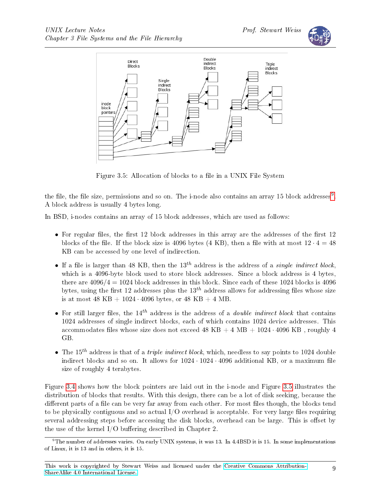



<span id="page-8-1"></span>Figure 3.5: Allocation of blocks to a file in a UNIX File System

the file, the file size, permissions and so on. The i-node also contains an array 15 block addresses $^9$  $^9$ . A block address is usually 4 bytes long.

In BSD, i-nodes contains an array of 15 block addresses, which are used as follows:

- For regular files, the first 12 block addresses in this array are the addresses of the first 12 blocks of the file. If the block size is 4096 bytes  $(4 \text{ KB})$ , then a file with at most  $12 \cdot 4 = 48$ KB can be accessed by one level of indirection.
- If a file is larger than 48 KB, then the  $13^{th}$  address is the address of a *single indirect block*, which is a 4096-byte block used to store block addresses. Since a block address is 4 bytes, there are  $4096/4 = 1024$  block addresses in this block. Since each of these 1024 blocks is 4096 bytes, using the first 12 addresses plus the  $13<sup>th</sup>$  address allows for addressing files whose size is at most 48 KB +  $1024 \cdot 4096$  bytes, or 48 KB + 4 MB.
- For still larger files, the 14<sup>th</sup> address is the address of a *double indirect block* that contains 1024 addresses of single indirect blocks, each of which contains 1024 device addresses. This accommodates files whose size does not exceed 48 KB  $+$  4 MB  $+$  1024 · 4096 KB, roughly 4 GB.
- The 15<sup>th</sup> address is that of a *triple indirect block*, which, needless to say points to 1024 double indirect blocks and so on. It allows for  $1024 \cdot 1024 \cdot 4096$  additional KB, or a maximum file size of roughly 4 terabytes.

Figure [3.4](#page-7-2) shows how the block pointers are laid out in the i-node and Figure [3.5](#page-8-1) illustrates the distribution of blocks that results. With this design, there can be a lot of disk seeking, because the different parts of a file can be very far away from each other. For most files though, the blocks tend to be physically contiguous and so actual  $I/O$  overhead is acceptable. For very large files requiring several addressing steps before accessing the disk blocks, overhead can be large. This is offset by the use of the kernel  $I/O$  buffering described in Chapter 2.

<span id="page-8-0"></span><sup>9</sup>The number of addresses varies. On early UNIX systems, it was 13. In 4.4BSD it is 15. In some implementations of Linux, it is 13 and in others, it is 15.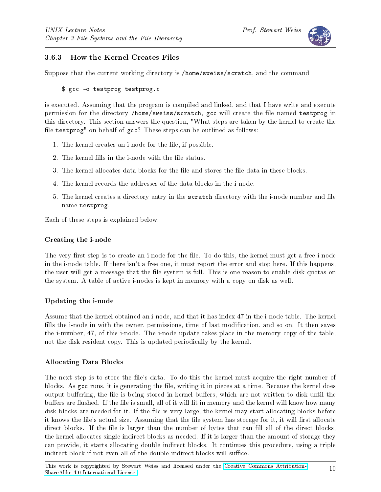

### 3.6.3 How the Kernel Creates Files

Suppose that the current working directory is /home/sweiss/scratch, and the command

```
$ gcc -o testprog testprog.c
```
is executed. Assuming that the program is compiled and linked, and that I have write and execute permission for the directory /home/sweiss/scratch, gcc will create the file named testprog in this directory. This section answers the question, "What steps are taken by the kernel to create the file testprog" on behalf of gcc? These steps can be outlined as follows:

- 1. The kernel creates an i-node for the file, if possible.
- 2. The kernel fills in the i-node with the file status.
- 3. The kernel allocates data blocks for the file and stores the file data in these blocks.
- 4. The kernel records the addresses of the data blocks in the i-node.
- 5. The kernel creates a directory entry in the scratch directory with the i-node number and file name testprog.

Each of these steps is explained below.

#### Creating the i-node

The very first step is to create an i-node for the file. To do this, the kernel must get a free i-node in the i-node table. If there isn't a free one, it must report the error and stop here. If this happens, the user will get a message that the file system is full. This is one reason to enable disk quotas on the system. A table of active i-nodes is kept in memory with a copy on disk as well.

#### Updating the i-node

Assume that the kernel obtained an i-node, and that it has index 47 in the i-node table. The kernel fills the i-node in with the owner, permissions, time of last modification, and so on. It then saves the i-number, 47, of this i-node. The i-node update takes place in the memory copy of the table, not the disk resident copy. This is updated periodically by the kernel.

#### Allocating Data Blocks

The next step is to store the file's data. To do this the kernel must acquire the right number of blocks. As gcc runs, it is generating the file, writing it in pieces at a time. Because the kernel does output buffering, the file is being stored in kernel buffers, which are not written to disk until the buffers are flushed. If the file is small, all of it will fit in memory and the kernel will know how many disk blocks are needed for it. If the file is very large, the kernel may start allocating blocks before it knows the file's actual size. Assuming that the file system has storage for it, it will first allocate direct blocks. If the file is larger than the number of bytes that can fill all of the direct blocks, the kernel allocates single-indirect blocks as needed. If it is larger than the amount of storage they can provide, it starts allocating double indirect blocks. It continues this procedure, using a triple indirect block if not even all of the double indirect blocks will suffice.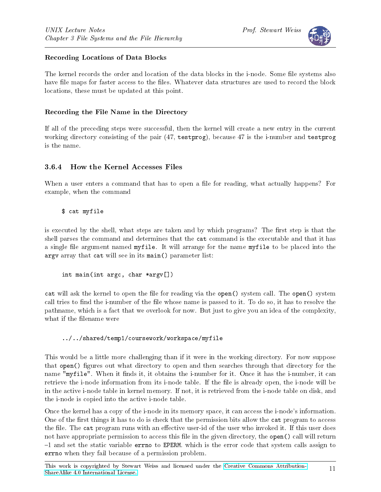

#### Recording Locations of Data Blocks

The kernel records the order and location of the data blocks in the i-node. Some file systems also have file maps for faster access to the files. Whatever data structures are used to record the block locations, these must be updated at this point.

#### Recording the File Name in the Directory

If all of the preceding steps were successful, then the kernel will create a new entry in the current working directory consisting of the pair (47, testprog), because 47 is the i-number and testprog is the name.

#### 3.6.4 How the Kernel Accesses Files

When a user enters a command that has to open a file for reading, what actually happens? For example, when the command

\$ cat myfile

is executed by the shell, what steps are taken and by which programs? The first step is that the shell parses the command and determines that the cat command is the executable and that it has a single file argument named myfile. It will arrange for the name myfile to be placed into the argv array that cat will see in its main() parameter list:

```
int main(int argc, char *argv[])
```
cat will ask the kernel to open the file for reading via the open() system call. The open() system call tries to find the i-number of the file whose name is passed to it. To do so, it has to resolve the pathname, which is a fact that we overlook for now. But just to give you an idea of the complexity, what if the filename were

#### ../../shared/temp1/coursework/workspace/myfile

This would be a little more challenging than if it were in the working directory. For now suppose that open() figures out what directory to open and then searches through that directory for the name "myfile". When it finds it, it obtains the i-number for it. Once it has the i-number, it can retrieve the i-node information from its i-node table. If the file is already open, the i-node will be in the active i-node table in kernel memory. If not, it is retrieved from the i-node table on disk, and the i-node is copied into the active i-node table.

Once the kernel has a copy of the i-node in its memory space, it can access the i-node's information. One of the first things it has to do is check that the permission bits allow the cat program to access the file. The cat program runs with an effective user-id of the user who invoked it. If this user does not have appropriate permission to access this file in the given directory, the open() call will return  $-1$  and set the static variable errno to EPERM. which is the error code that system calls assign to errno when they fail because of a permission problem.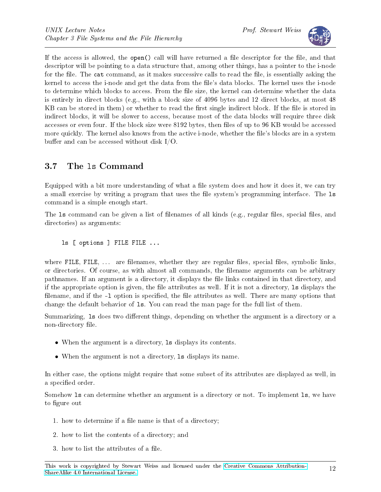

If the access is allowed, the open() call will have returned a file descriptor for the file, and that descriptor will be pointing to a data structure that, among other things, has a pointer to the i-node for the file. The cat command, as it makes successive calls to read the file, is essentially asking the kernel to access the i-node and get the data from the file's data blocks. The kernel uses the i-node to determine which blocks to access. From the file size, the kernel can determine whether the data is entirely in direct blocks (e.g., with a block size of 4096 bytes and 12 direct blocks, at most 48 KB can be stored in them) or whether to read the first single indirect block. If the file is stored in indirect blocks, it will be slower to access, because most of the data blocks will require three disk accesses or even four. If the block size were 8192 bytes, then files of up to 96 KB would be accessed more quickly. The kernel also knows from the active i-node, whether the file's blocks are in a system buffer and can be accessed without disk  $I/O$ .

## 3.7 The ls Command

Equipped with a bit more understanding of what a file system does and how it does it, we can try a small exercise by writing a program that uses the file system's programming interface. The 1s command is a simple enough start.

The 1s command can be given a list of filenames of all kinds (e.g., regular files, special files, and directories) as arguments:

ls [ options ] FILE FILE ...

where FILE, FILE,  $\ldots$  are filenames, whether they are regular files, special files, symbolic links, or directories. Of course, as with almost all commands, the lename arguments can be arbitrary pathnames. If an argument is a directory, it displays the file links contained in that directory, and if the appropriate option is given, the file attributes as well. If it is not a directory, 1s displays the filename, and if the -1 option is specified, the file attributes as well. There are many options that change the default behavior of ls. You can read the man page for the full list of them.

Summarizing, 1s does two different things, depending on whether the argument is a directory or a non-directory file.

- When the argument is a directory, 1s displays its contents.
- When the argument is not a directory, 1s displays its name.

In either case, the options might require that some subset of its attributes are displayed as well, in a specified order.

Somehow ls can determine whether an argument is a directory or not. To implement ls, we have to figure out

- 1. how to determine if a file name is that of a directory;
- 2. how to list the contents of a directory; and
- 3. how to list the attributes of a file.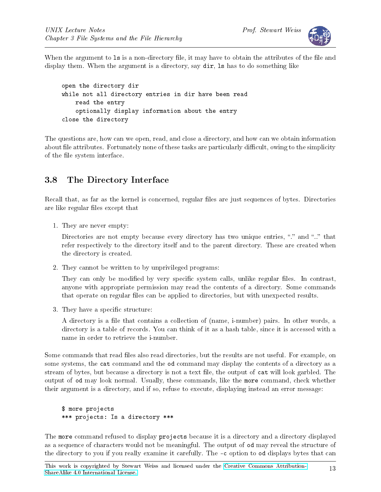

When the argument to 1s is a non-directory file, it may have to obtain the attributes of the file and display them. When the argument is a directory, say  $\text{dir}$ , is has to do something like

```
open the directory dir
while not all directory entries in dir have been read
    read the entry
    optionally display information about the entry
close the directory
```
The questions are, how can we open, read, and close a directory, and how can we obtain information about file attributes. Fortunately none of these tasks are particularly difficult, owing to the simplicity of the file system interface.

## 3.8 The Directory Interface

Recall that, as far as the kernel is concerned, regular files are just sequences of bytes. Directories are like regular files except that

1. They are never empty:

Directories are not empty because every directory has two unique entries, "." and ".." that refer respectively to the directory itself and to the parent directory. These are created when the directory is created.

2. They cannot be written to by unprivileged programs:

They can only be modified by very specific system calls, unlike regular files. In contrast, anyone with appropriate permission may read the contents of a directory. Some commands that operate on regular files can be applied to directories, but with unexpected results.

3. They have a specific structure:

A directory is a file that contains a collection of (name, i-number) pairs. In other words, a directory is a table of records. You can think of it as a hash table, since it is accessed with a name in order to retrieve the i-number.

Some commands that read files also read directories, but the results are not useful. For example, on some systems, the cat command and the od command may display the contents of a directory as a stream of bytes, but because a directory is not a text file, the output of cat will look garbled. The output of od may look normal. Usually, these commands, like the more command, check whether their argument is a directory, and if so, refuse to execute, displaying instead an error message:

```
$ more projects
*** projects: Is a directory ***
```
The more command refused to display projects because it is a directory and a directory displayed as a sequence of characters would not be meaningful. The output of od may reveal the structure of the directory to you if you really examine it carefully. The  $-\infty$  option to od displays bytes that can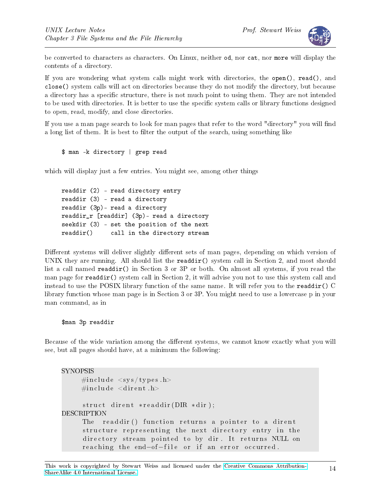

be converted to characters as characters. On Linux, neither od, nor cat, nor more will display the contents of a directory.

If you are wondering what system calls might work with directories, the open(), read(), and close() system calls will act on directories because they do not modify the directory, but because a directory has a specific structure, there is not much point to using them. They are not intended to be used with directories. It is better to use the specific system calls or library functions designed to open, read, modify, and close directories.

If you use a man page search to look for man pages that refer to the word "directory" you will find a long list of them. It is best to filter the output of the search, using something like

```
$ man -k directory | grep read
```
which will display just a few entries. You might see, among other things

readdir (2) - read directory entry readdir (3) - read a directory readdir (3p)- read a directory readdir\_r [readdir] (3p)- read a directory seekdir (3) - set the position of the next readdir() call in the directory stream

Different systems will deliver slightly different sets of man pages, depending on which version of UNIX they are running. All should list the readdir() system call in Section 2, and most should list a call named readdir() in Section 3 or 3P or both. On almost all systems, if you read the man page for readdir() system call in Section 2, it will advise you not to use this system call and instead to use the POSIX library function of the same name. It will refer you to the readdir()  $C$ library function whose man page is in Section 3 or 3P. You might need to use a lowercase p in your man command, as in

```
$man 3p readdir
```
Because of the wide variation among the different systems, we cannot know exactly what you will see, but all pages should have, at a minimum the following:

```
SYNOPSIS
     \#\text{include} \langle sys/types.h>
     \#\texttt{include}\ <\texttt{dirent.h}>struct dirent *readdir (DIR *dir);
DESCRIPTION
     The readdir() function returns a pointer to a dirent
      structure representing the next directory entry in the
      directory stream pointed to by dir. It returns NULL on
      reaching the end-of-file or if an error occurred.
```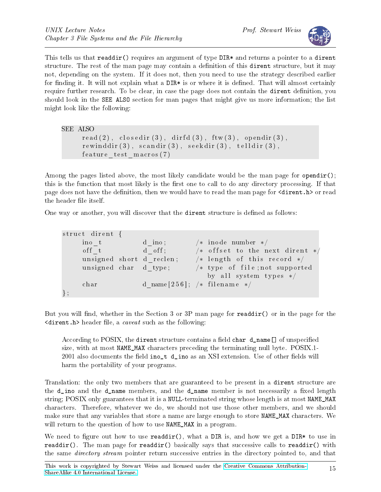

This tells us that readdir() requires an argument of type DIR\* and returns a pointer to a dirent structure. The rest of the man page may contain a definition of this dirent structure, but it may not, depending on the system. If it does not, then you need to use the strategy described earlier for finding it. It will not explain what a  $DIR*$  is or where it is defined. That will almost certainly require further research. To be clear, in case the page does not contain the dirent definition, you should look in the SEE ALSO section for man pages that might give us more information; the list might look like the following:

```
SEE ALSO
      \text{read}(2), \text{closedir}(3), \text{dirfd}(3), \text{ftw}(3), \text{opendir}(3),
      rewinddir(3), scandir(3), seekdir(3), telldir(3),feature test maxors ( 7 )
```
Among the pages listed above, the most likely candidate would be the man page for opendir(): this is the function that most likely is the first one to call to do any directory processing. If that page does not have the definition, then we would have to read the man page for  $\langle$  dirent.h> or read the header file itself.

One way or another, you will discover that the **dirent** structure is defined as follows:

| struct dirent {       |                                 |                                                   |
|-----------------------|---------------------------------|---------------------------------------------------|
| ino t                 | d ino;                          | $/*$ inode number $*/$                            |
| off t                 | $\Box$ d off;                   | $/*$ offset to the next dirent $*/$               |
|                       | unsigned short d reclen;        | $\frac{1}{2}$ length of this record $\frac{1}{2}$ |
| unsigned char d type; |                                 | $\neq$ type of file; not supported                |
|                       |                                 | by all system types $*/$                          |
| char                  | d name $[256]$ ; /* filename */ |                                                   |
|                       |                                 |                                                   |

But you will find, whether in the Section 3 or  $3P$  man page for readdir() or in the page for the  $\langle$  dirent.h> header file, a *caveat* such as the following:

According to POSIX, the dirent structure contains a field char  $d$  name [] of unspecified size, with at most NAME\_MAX characters preceding the terminating null byte. POSIX.1- 2001 also documents the field  $\text{ino}_t$  d<sub>ino</sub> as an XSI extension. Use of other fields will harm the portability of your programs.

Translation: the only two members that are guaranteed to be present in a dirent structure are the  $d$ <sub>ino</sub> and the  $d$ <sub>name</sub> members, and the  $d$ <sub>name</sub> member is not necessarily a fixed length string; POSIX only guarantees that it is a NULL-terminated string whose length is at most NAME\_MAX characters. Therefore, whatever we do, we should not use those other members, and we should make sure that any variables that store a name are large enough to store NAME\_MAX characters. We will return to the question of how to use NAME\_MAX in a program.

We need to figure out how to use readdir(), what a DIR is, and how we get a DIR\* to use in readdir(). The man page for readdir() basically says that successive calls to readdir() with the same *directory stream* pointer return successive entries in the directory pointed to, and that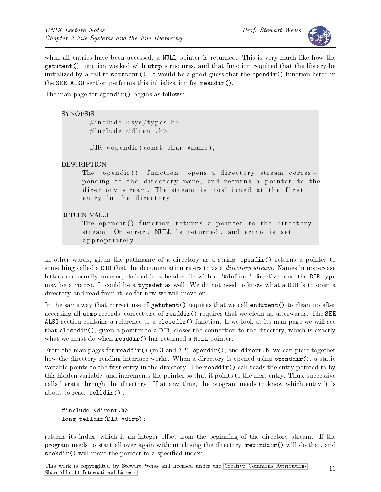

when all entries have been accessed, a NULL pointer is returned. This is very much like how the getutent() function worked with utmp structures, and that function required that the library be initialized by a call to setutent(). It would be a good guess that the opendir() function listed in the SEE ALSO section performs this initialization for readdir().

The man page for opendir() begins as follows:

#### **SYNOPSIS**

 $\#$ include  $\langle$ sys/types.h>  $\#$ include <dirent.h>

 $DIR * opendir (const char *name);$ 

#### DESCRIPTION

The opendir () function opens a directory stream corres – ponding to the directory name, and returns a pointer to the directory stream. The stream is positioned at the first entry in the directory.

#### RETURN VALUE

The opendir() function returns a pointer to the directory stream. On error, NULL is returned, and errno is set a p p r o p r i a t e l y .

In other words, given the pathname of a directory as a string, opendir() returns a pointer to something called a DIR that the documentation refers to as a *directory stream*. Names in uppercase letters are usually macros, defined in a header file with a "#define" directive, and the DIR type may be a macro. It could be a typedef as well. We do not need to know what a DIR is to open a directory and read from it, so for now we will move on.

In the same way that correct use of getutent() requires that we call endutent() to clean up after accessing all utmp records, correct use of  $readdir()$  requires that we clean up afterwards. The SEE ALSO section contains a reference to a closedir() function. If we look at its man page we will see that closedir(), given a pointer to a DIR, closes the connection to the directory, which is exactly what we must do when readdir() has returned a NULL pointer.

From the man pages for readdir() (in 3 and 3P), opendir(), and dirent.h, we can piece together how the directory reading interface works. When a directory is opened using openddir(), a static variable points to the first entry in the directory. The **readdir()** call reads the entry pointed to by this hidden variable, and increments the pointer so that it points to the next entry. Thus, successive calls iterate through the directory. If at any time, the program needs to know which entry it is about to read, telldir() :

```
#include <dirent.h>
long telldir(DIR *dirp);
```
returns its index, which is an integer offset from the beginning of the directory stream. If the program needs to start all over again without closing the directory, rewinddir() will do that, and  $\texttt{seekdir}()$  will move the pointer to a specified index: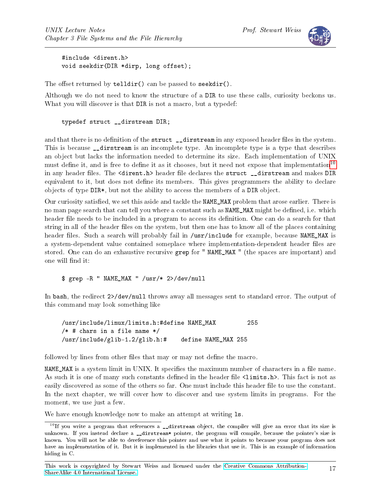

#include <dirent.h> void seekdir(DIR \*dirp, long offset);

The offset returned by  $t$ elldir() can be passed to seekdir().

Although we do not need to know the structure of a DIR to use these calls, curiosity beckons us. What you will discover is that DIR is not a macro, but a typedef:

typedef struct \_\_dirstream DIR;

and that there is no definition of the struct \_\_dirstream in any exposed header files in the system. This is because dirstream is an incomplete type. An incomplete type is a type that describes an object but lacks the information needed to determine its size. Each implementation of UNIX must define it, and is free to define it as it chooses, but it need not expose that implementation<sup>[10](#page-16-0)</sup> in any header files. The <dirent.h> header file declares the struct \_\_dirstream and makes DIR equivalent to it, but does not define its members. This gives programmers the ability to declare objects of type DIR\*, but not the ability to access the members of a DIR object.

Our curiosity satisfied, we set this aside and tackle the NAME\_MAX problem that arose earlier. There is no man page search that can tell you where a constant such as NAME\_MAX might be defined, i.e. which header file needs to be included in a program to access its definition. One can do a search for that string in all of the header files on the system, but then one has to know all of the places containing header files. Such a search will probably fail in /usr/include for example, because NAME\_MAX is a system-dependent value contained someplace where implementation-dependent header files are stored. One can do an exhaustive recursive grep for "NAME\_MAX " (the spaces are important) and one will find it:

\$ grep -R " NAME\_MAX " /usr/\* 2>/dev/null

In bash, the redirect 2>/dev/null throws away all messages sent to standard error. The output of this command may look something like

/usr/include/linux/limits.h:#define NAME\_MAX 255  $/*$  # chars in a file name  $*/$ /usr/include/glib-1.2/glib.h:# define NAME\_MAX 255

followed by lines from other files that may or may not define the macro.

NAME\_MAX is a system limit in UNIX. It specifies the maximum number of characters in a file name. As such it is one of many such constants defined in the header file <limits.h>. This fact is not as easily discovered as some of the others so far. One must include this header file to use the constant. In the next chapter, we will cover how to discover and use system limits in programs. For the moment, we use just a few.

We have enough knowledge now to make an attempt at writing  $ls$ .

<span id="page-16-0"></span> $10$ If you write a program that references a \_\_dirstream object, the compiler will give an error that its size is unknown. If you instead declare a \_\_dirstream\* pointer, the program will compile, because the pointer's size is known. You will not be able to dereference this pointer and use what it points to because your program does not have an implementation of it. But it is implemented in the libraries that use it. This is an example of information hiding in C.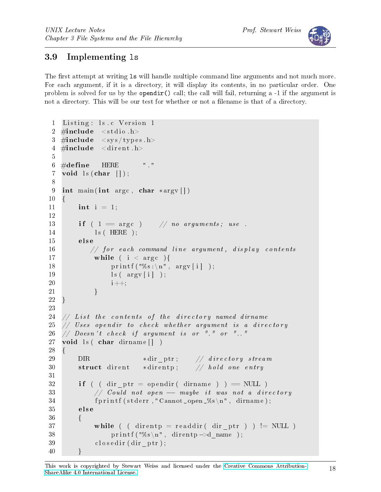

## 3.9 Implementing ls

The first attempt at writing 1s will handle multiple command line arguments and not much more. For each argument, if it is a directory, it will display its contents, in no particular order. One problem is solved for us by the opendir() call; the call will fail, returning a  $-1$  if the argument is not a directory. This will be our test for whether or not a filename is that of a directory.

```
1 Listing: ls.c Version 1
2 \#include <stdio.h>
3 \#include \langle \text{sys/types.h} \rangle4 \#include \leq dirent .h>
5
6 \# define HERE "."
7 void \vert s(\text{char} \vert) \vert;
8
9 int main (int argc, char *argv[])
10 \quad \{11 int i = 1;
12
13 if ( 1 \equiv \arg c ) // no arguments; use.
14 ls (HERE );
15 else
16 // for each command line argument, display contents
17 while (i < arg c) {
18 printf (\sqrt[m]{s} : \n\cdot \mathbf{n}^n, \arg(\iota);
19 \quad \text{ls} \quad \text{argv[i]} \quad ;20 i++;21 \qquad \qquad \}22 }
23
24 // List the contents of the directory named dirname
25 // Uses opendir to check whether argument is a directory
26 // Doesn't check if argument is or " " or "..."
27 void ls( char dirname | \cdot |28 {
29 DIR \ast dirptr; // directory stream
30 struct dirent *{\rm di}rentp; // hold one entry
31
32 if ( ( dir ptr = opendir ( dirname ) ) == NULL )
33 // Could not open —— maybe it was not a directory
34 f printf (stderr, "Cannot open \mathcal{K}s \n", dirname );
35 else
36 {
37 while ( ( direntp = readdir ( dir_ptr ) ) != NULL )
38 printf ("%s\n", direntp->d_name );
39 closedir (dir ptr);
40 }
```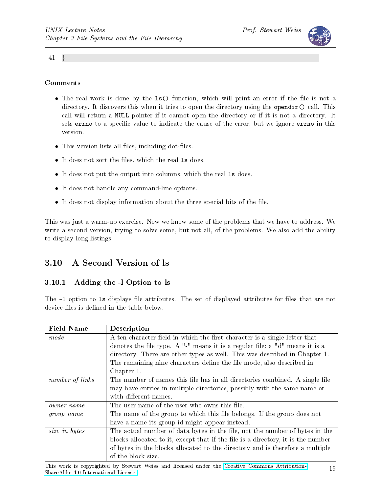

41 }

#### Comments

- The real work is done by the 1s() function, which will print an error if the file is not a directory. It discovers this when it tries to open the directory using the opendir() call. This call will return a NULL pointer if it cannot open the directory or if it is not a directory. It sets errno to a specific value to indicate the cause of the error, but we ignore errno in this version.
- This version lists all files, including dot-files.
- It does not sort the files, which the real 1s does.
- It does not put the output into columns, which the real ls does.
- It does not handle any command-line options.
- $\bullet$  It does not display information about the three special bits of the file.

This was just a warm-up exercise. Now we know some of the problems that we have to address. We write a second version, trying to solve some, but not all, of the problems. We also add the ability to display long listings.

## 3.10 A Second Version of ls

#### 3.10.1 Adding the -l Option to ls

The  $-1$  option to 1s displays file attributes. The set of displayed attributes for files that are not device files is defined in the table below.

| <b>Field Name</b> | Description                                                                      |  |  |  |
|-------------------|----------------------------------------------------------------------------------|--|--|--|
| mode              | A ten character field in which the first character is a single letter that       |  |  |  |
|                   | denotes the file type. A "-" means it is a regular file; a "d" means it is a     |  |  |  |
|                   | directory. There are other types as well. This was described in Chapter 1.       |  |  |  |
|                   | The remaining nine characters define the file mode, also described in            |  |  |  |
|                   | Chapter 1.                                                                       |  |  |  |
| number of links   | The number of names this file has in all directories combined. A single file     |  |  |  |
|                   | may have entries in multiple directories, possibly with the same name or         |  |  |  |
|                   | with different names.                                                            |  |  |  |
| owner name        | The user-name of the user who owns this file.                                    |  |  |  |
| group name        | The name of the group to which this file belongs. If the group does not          |  |  |  |
|                   | have a name its group-id might appear instead.                                   |  |  |  |
| size in bytes     | The actual number of data bytes in the file, not the number of bytes in the      |  |  |  |
|                   | blocks allocated to it, except that if the file is a directory, it is the number |  |  |  |
|                   | of bytes in the blocks allocated to the directory and is therefore a multiple    |  |  |  |
|                   | of the block size.                                                               |  |  |  |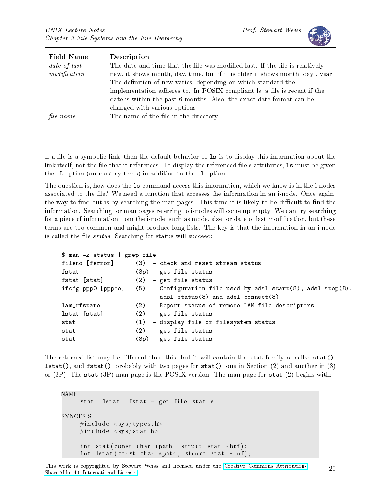

| <b>Field Name</b> | Description                                                                   |
|-------------------|-------------------------------------------------------------------------------|
| date of last      | The date and time that the file was modified last. If the file is relatively  |
| modification      | new, it shows month, day, time, but if it is older it shows month, day, year. |
|                   | The definition of new varies, depending on which standard the                 |
|                   | implementation adheres to. In POSIX compliant ls, a file is recent if the     |
|                   | date is within the past 6 months. Also, the exact date format can be          |
|                   | changed with various options.                                                 |
| file name         | The name of the file in the directory.                                        |

If a file is a symbolic link, then the default behavior of 1s is to display this information about the link itself, not the file that it references. To display the referenced file's attributes, 1s must be given the -L option (on most systems) in addition to the -l option.

The question is, how does the ls command access this information, which we know is in the i-nodes associated to the file? We need a function that accesses the information in an i-node. Once again, the way to find out is by searching the man pages. This time it is likely to be difficult to find the information. Searching for man pages referring to i-nodes will come up empty. We can try searching for a piece of information from the i-node, such as mode, size, or date of last modification, but these terms are too common and might produce long lists. The key is that the information in an i-node is called the file *status*. Searching for status will succeed:

```
$ man -k status | grep file
fileno [ferror] (3) - check and reset stream status
fstat (3p) - get file status
fstat [stat] (2) - get file status
ifcfg-ppp0 [pppoe] (5) - Configuration file used by adsl-start(8), adsl-stop(8),
                       adsl-status(8) and adsl-connect(8)
lam_rfstate (2) - Report status of remote LAM file descriptors
lstat [stat] (2) - get file status
stat (1) - display file or filesystem status
stat (2) - get file status
stat (3p) - get file status
```
The returned list may be different than this, but it will contain the stat family of calls:  $stat()$ , lstat(), and fstat(), probably with two pages for stat(), one in Section (2) and another in (3) or (3P). The stat (3P) man page is the POSIX version. The man page for stat (2) begins with:

NAME stat, lstat, fstat  $-$  get file status SYNOPSIS  $\#\texttt{include}~<\texttt{sys}/\texttt{types}$  . h>  $\#\texttt{include}~<\texttt{sys}/\texttt{stat}$  . h> int stat (const char \*path, struct stat \*buf); int lstat (const char \*path, struct stat \*buf);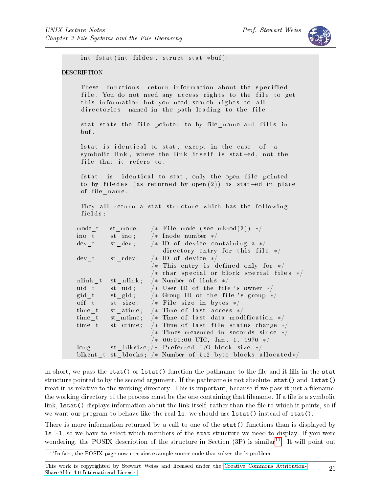

```
int fstat (int fildes, struct stat *buf);
DESCRIPTION
     These functions return information about the specified
     file. You do not need any access rights to the file to get
     this information but you need search rights to all
     directories named in the path leading to the file.
     stat stats the file pointed to by file name and fills in
    bu f .
     lstat is identical to stat, except in the case of a
     symbolic link, where the link itself is stat-ed, not the
     file that it refers to.
     fstat is identical to stat, only the open file pointed
     to by filedes (as returned by open(2)) is stat-ed in place
     of file name.
    They all return a stat structure which has the following
     fields:
   mode t st mode; /* File mode (see mknod (2)) */
   ino t st ino ; /* Inode number */
   dev t st dev; /* ID of device containing a */directory entry for this file */dev t strdev; /* ID of device *//* This entry is defined only for *//* char special or block special files */
    nlink t st nlink; /* Number of links */
   uid t st uid ; /* User ID of the file 's owner */
   gid t st gid; /* Group ID of the file 's group */off t st size; /* File size in bytes */time_t st_atime; /* Time of last access */
    time_t st_mtime; /* Time of last data modification */
    time t st ctime; /* Time of last file status change *//* Times measured in seconds since */
                       /* 00:00:00 UTC, Jan. 1, 1970 */long st blksize; /* Preferred I /O block size */
    blkcnt_t st_blocks; /* Number of 512 byte blocks allocated */
```
In short, we pass the stat() or  $listat()$  function the pathname to the file and it fills in the stat structure pointed to by the second argument. If the pathname is not absolute, stat() and lstat() treat it as relative to the working directory. This is important, because if we pass it just a filename, the working directory of the process must be the one containing that filename. If a file is a symbolic link, lstat() displays information about the link itself, rather than the file to which it points, so if we want our program to behave like the real 1s, we should use 1stat() instead of stat().

There is more information returned by a call to one of the stat() functions than is displayed by ls -l, so we have to select which members of the stat structure we need to display. If you were wondering, the POSIX description of the structure in Section  $(3P)$  is similar<sup>[11](#page-20-0)</sup>. It will point out

<span id="page-20-0"></span> $11$ In fact, the POSIX page now contains example source code that solves the ls problem.

This work is copyrighted by Stewart Weiss and licensed under the [Creative Commons Attribution-](http://creativecommons.org/licenses/by-sa/4.0/ )[ShareAlike 4.0 International License.](http://creativecommons.org/licenses/by-sa/4.0/ ) <sup>21</sup>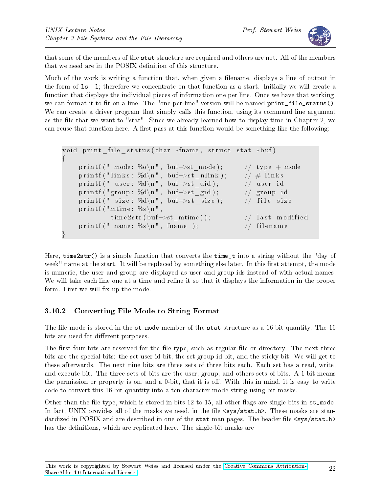

that some of the members of the stat structure are required and others are not. All of the members that we need are in the POSIX definition of this structure.

Much of the work is writing a function that, when given a filename, displays a line of output in the form of ls -l; therefore we concentrate on that function as a start. Initially we will create a function that displays the individual pieces of information one per line. Once we have that working, we can format it to fit on a line. The "one-per-line" version will be named  $print_file\_status()$ . We can create a driver program that simply calls this function, using its command line argument as the file that we want to "stat". Since we already learned how to display time in Chapter 2, we can reuse that function here. A first pass at this function would be something like the following:

```
void print_file_status(char *fname, struct stat *buf)
{
    printf (" mode: %o\n", buf->st_mode); // type + modeprintf ("links: %d\n", buf->st_nlink); // # links
    print f(" user: %d\nu", but->st_id);  // user idprintf ("group: %d\n", buf->st_gid); // group id
    printf (" size: \%d\n\cdot n", buf\rightarrowst_size); // file size
    printf ("mtime: \%s \n\cdot n".
            time 2 str (buf \rightarrow st mtime ) ; // last modified
    printf (" name: \%s\n\cdot", fname ); // filename
}
```
Here, time2str() is a simple function that converts the time\_t into a string without the "day of week" name at the start. It will be replaced by something else later. In this first attempt, the mode is numeric, the user and group are displayed as user and group-ids instead of with actual names. We will take each line one at a time and refine it so that it displays the information in the proper form. First we will fix up the mode.

## 3.10.2 Converting File Mode to String Format

The file mode is stored in the  $st$ -mode member of the stat structure as a 16-bit quantity. The 16 bits are used for different purposes.

The first four bits are reserved for the file type, such as regular file or directory. The next three bits are the special bits: the set-user-id bit, the set-group-id bit, and the sticky bit. We will get to these afterwards. The next nine bits are three sets of three bits each. Each set has a read, write, and execute bit. The three sets of bits are the user, group, and others sets of bits. A 1-bit means the permission or property is on, and a 0-bit, that it is off. With this in mind, it is easy to write code to convert this 16-bit quantity into a ten-character mode string using bit masks.

Other than the file type, which is stored in bits  $12$  to  $15$ , all other flags are single bits in  $st$  mode. In fact, UNIX provides all of the masks we need, in the file  $\langle sys/stat.h\rangle$ . These masks are standardized in POSIX and are described in one of the stat man pages. The header file  $\langle sys/stat.h \rangle$ has the definitions, which are replicated here. The single-bit masks are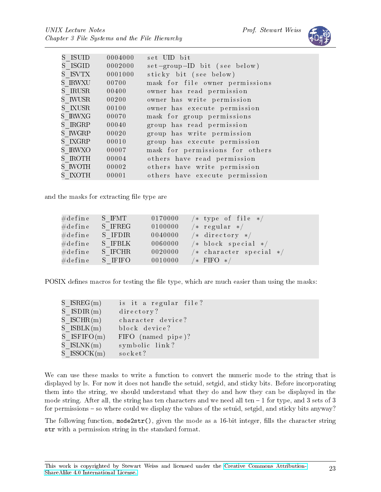

| S ISUID | 0004000 | set UID bit                     |
|---------|---------|---------------------------------|
| S ISGID | 0002000 | set-group-ID bit (see below)    |
| S ISVTX | 0001000 | sticky bit (see below)          |
| S IRWXU | 00700   | mask for file owner permissions |
| S IRUSR | 00400   | owner has read permission       |
| S IWUSR | 00200   | owner has write permission      |
| S IXUSR | 00100   | owner has execute permission    |
| S IRWXG | 00070   | mask for group permissions      |
| S IRGRP | 00040   | group has read permission       |
| S IWGRP | 00020   | group has write permission      |
| S IXGRP | 00010   | group has execute permission    |
| S IRWXO | 00007   | mask for permissions for others |
| S IROTH | 00004   | others have read permission     |
| S IWOTH | 00002   | others have write permission    |
| S IXOTH | 00001   | others have execute permission  |

and the masks for extracting file type are

| $\#\mathrm{d}\, \mathrm{efine}$     | S IFMT  | 0170000 | $\sqrt{*}$ type of file $\sqrt{*}$ |
|-------------------------------------|---------|---------|------------------------------------|
| $\# \mathrm{d} \, \mathrm{efine}$   | S IFREG | 0100000 | $/*$ regular $*/$                  |
| $\# \mathrm{d} \, \mathrm{efine}$   | S IFDIR | 0040000 | $\sqrt{*}$ directory $\sqrt{*}$    |
| $\# \mathrm{d} \, \mathrm{efine}$   | S IFBLK | 0060000 | /* block special $*/$              |
| $\# \mathrm{d} \, \mathrm{efine}$ . | S IFCHR | 0020000 | $/*$ character special $*/$        |
| $\#\text{define}$                   | S IFIFO | 0010000 | $/*$ FIFO $*/$                     |

POSIX defines macros for testing the file type, which are much easier than using the masks:

| $S$ ISREG(m)     | is it a regular file? |
|------------------|-----------------------|
| $S$ ISDIR(m)     | directory?            |
| $S$ ISCHR $(m)$  | character device?     |
| $S$ ISBLK $(m)$  | block device?         |
| $S$ ISFIFO $(m)$ | FIFO (named pipe)?    |
| $S$ ISLNK $(m)$  | symbolic link?        |
| $S$ ISSOCK $(m)$ | socket?               |

We can use these masks to write a function to convert the numeric mode to the string that is displayed by ls. For now it does not handle the setuid, setgid, and sticky bits. Before incorporating them into the string, we should understand what they do and how they can be displayed in the mode string. After all, the string has ten characters and we need all ten  $-1$  for type, and 3 sets of 3 for permissions – so where could we display the values of the setuid, setgid, and sticky bits anyway?

The following function,  $\text{mode2str}()$ , given the mode as a 16-bit integer, fills the character string str with a permission string in the standard format.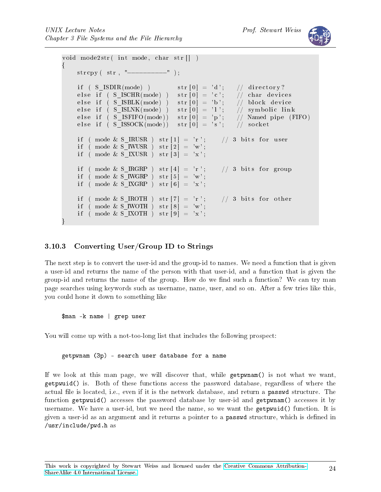

```
void mode2str( int mode, char str|| )
\left\{ \right\}s t r c p y ( s t r , "−−−−−−−−−−" ) ;
    if ( S ISDIR (mode) ) str [0] = 'd'; // directory?
    else if (S_KSCHR(mode)) str[0] = 'c'; // char devices
    else if ( S_ISBLK(mode) ) str[0] = 'b'; // block device
    else if ( S_ISLNK(mode) ) str [0] = 'l' ; // symbolic link
    else if ( S ISFIFO (mode) ) str [0] = 'p'; // Named pipe (FIFO)
    else if (S_I S, S)CK(mode)) str[0] = 's'; // socket
    if ( mode & S_IRUSR ) str [1] = 'r'; // 3 bits for user
    if ( mode & S IWUSR ) str [2] = 'w';if ( mode & S_IXUSR ) str [3] = 'x ;
    if ( mode & S IRGRP ) str [4] = 'r'; // 3 bits for group
    if ( mode & S IWGRP ) str [5] = 'w';if ( mode & S_IXGRP ) str [6] = 'x';if ( mode & S IROTH ) str [7] = 'r'; // 3 bits for other
    if ( mode & S IWOTH ) str [8] = 'w';if ( mode & S IXOTH ) str [9] = 'x';}
```
#### 3.10.3 Converting User/Group ID to Strings

The next step is to convert the user-id and the group-id to names. We need a function that is given a user-id and returns the name of the person with that user-id, and a function that is given the group-id and returns the name of the group. How do we find such a function? We can try man page searches using keywords such as username, name, user, and so on. After a few tries like this, you could hone it down to something like

\$man -k name | grep user

You will come up with a not-too-long list that includes the following prospect:

getpwnam (3p) - search user database for a name

If we look at this man page, we will discover that, while getpwnam() is not what we want, getpwuid() is. Both of these functions access the password database, regardless of where the actual file is located, i.e., even if it is the network database, and return a **passwd** structure. The function getpwuid() accesses the password database by user-id and getpwnam() accesses it by username. We have a user-id, but we need the name, so we want the getpwuid() function. It is given a user-id as an argument and it returns a pointer to a passwd structure, which is dened in /usr/include/pwd.h as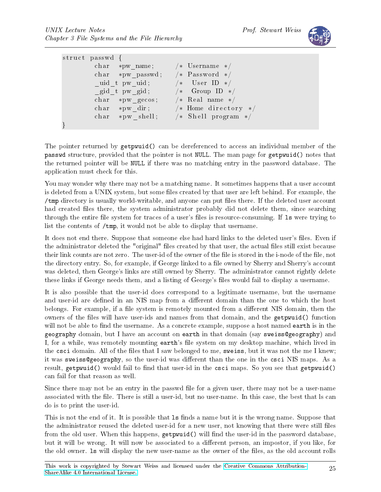

| struct passwd {                                         |                                      |  |
|---------------------------------------------------------|--------------------------------------|--|
| char *pw name; $/*$ Username */                         |                                      |  |
| char *pw passwd; /* Password */                         |                                      |  |
| uid_t_pw_uid;                                           | $/*$ User ID $*/$                    |  |
| $\begin{bmatrix} \text{grid} & t \end{bmatrix}$ pw gid; | $\sqrt{*}$ Group ID $\sqrt{*}$       |  |
| char *pw gecos; /* Real name */                         |                                      |  |
|                                                         | char *pw dir; $/*$ Home directory */ |  |
|                                                         | char *pw shell; /* Shell program */  |  |
|                                                         |                                      |  |

The pointer returned by getpwuid() can be dereferenced to access an individual member of the passwd structure, provided that the pointer is not NULL. The man page for getpwuid() notes that the returned pointer will be NULL if there was no matching entry in the password database. The application must check for this.

You may wonder why there may not be a matching name. It sometimes happens that a user account is deleted from a UNIX system, but some files created by that user are left behind. For example, the /tmp directory is usually world-writable, and anyone can put files there. If the deleted user account had created files there, the system administrator probably did not delete them, since searching through the entire file system for traces of a user's files is resource-consuming. If 1s were trying to list the contents of /tmp, it would not be able to display that username.

It does not end there. Suppose that someone else had hard links to the deleted user's files. Even if the administrator deleted the "original" files created by that user, the actual files still exist because their link counts are not zero. The user-id of the owner of the file is stored in the i-node of the file, not the directory entry. So, for example, if George linked to a file owned by Sherry and Sherry's account was deleted, then George's links are still owned by Sherry. The administrator cannot rightly delete these links if George needs them, and a listing of George's files would fail to display a username.

It is also possible that the user-id does correspond to a legitimate username, but the username and user-id are defined in an NIS map from a different domain than the one to which the host belongs. For example, if a file system is remotely mounted from a different NIS domain, then the owners of the files will have user-ids and names from that domain, and the getpwuid() function will not be able to find the username. As a concrete example, suppose a host named earth is in the geography domain, but I have an account on earth in that domain (say sweiss@geography) and I, for a while, was remotely mounting earth's file system on my desktop machine, which lived in the csci domain. All of the files that I saw belonged to me, sweiss, but it was not the me I knew; it was sweiss@geography, so the user-id was different than the one in the csci NIS maps. As a result, getpwuid() would fail to find that user-id in the csci maps. So you see that getpwuid() can fail for that reason as well.

Since there may not be an entry in the passwd file for a given user, there may not be a user-name associated with the file. There is still a user-id, but no user-name. In this case, the best that Is can do is to print the user-id.

This is not the end of it. It is possible that 1s finds a name but it is the wrong name. Suppose that the administrator reused the deleted user-id for a new user, not knowing that there were still files from the old user. When this happens,  $getpwid()$  will find the user-id in the password database, but it will be wrong. It will now be associated to a different person, an impostor, if you like, for the old owner. Is will display the new user-name as the owner of the files, as the old account rolls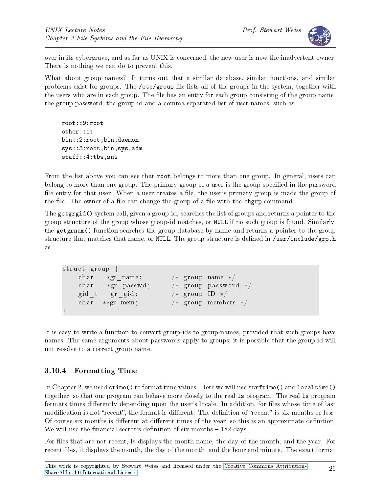

over in its cybergrave, and as far as UNIX is concerned, the new user is now the inadvertent owner. There is nothing we can do to prevent this.

What about group names? It turns out that a similar database, similar functions, and similar problems exist for groups. The /etc/group file lists all of the groups in the system, together with the users who are in each group. The file has an entry for each group consisting of the group name, the group password, the group-id and a comma-separated list of user-names, such as

root::9:root other::1: bin::2:root,bin,daemon sys::3:root,bin,sys,adm staff::4:tbw,snw

From the list above you can see that root belongs to more than one group. In general, users can belong to more than one group. The primary group of a user is the group specified in the password file entry for that user. When a user creates a file, the user's primary group is made the group of the file. The owner of a file can change the group of a file with the chgrp command.

The getgrgid() system call, given a group-id, searches the list of groups and returns a pointer to the group structure of the group whose group-id matches, or NULL if no such group is found. Similarly, the getgrnam() function searches the group database by name and returns a pointer to the group structure that matches that name, or NULL. The group structure is defined in /usr/include/grp.h as

```
struct group {
   char *gr_name; /* group name */
   char *gr_passwd; /* group password */
   gid t gr_gid ; /* group ID */
   char **gr_mem; /* group members */
} ;
```
It is easy to write a function to convert group-ids to group-names, provided that such groups have names. The same arguments about passwords apply to groups; it is possible that the group-id will not resolve to a correct group name.

## 3.10.4 Formatting Time

In Chapter 2, we used ctime() to format time values. Here we will use strftime() and localtime() together, so that our program can behave more closely to the real ls program. The real ls program formats times differently depending upon the user's locale. In addition, for files whose time of last modification is not "recent", the format is different. The definition of "recent" is six months or less. Of course six months is different at different times of the year, so this is an approximate definition. We will use the financial sector's definition of six months  $-182$  days.

For files that are not recent, ls displays the month name, the day of the month, and the year. For recent files, it displays the month, the day of the month, and the hour and minute. The exact format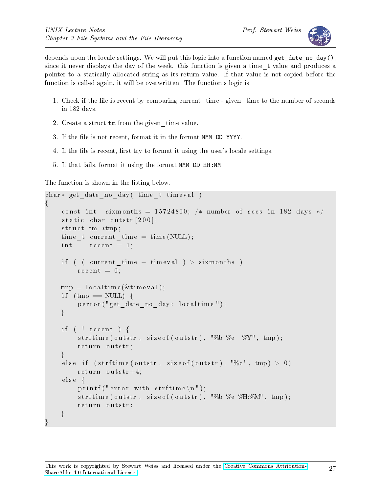

depends upon the locale settings. We will put this logic into a function named get\_date\_no\_day(), since it never displays the day of the week. this function is given a time\_t value and produces a pointer to a statically allocated string as its return value. If that value is not copied before the function is called again, it will be overwritten. The function's logic is

- 1. Check if the file is recent by comparing current time given time to the number of seconds in 182 days.
- 2. Create a struct tm from the given\_time value.
- 3. If the file is not recent, format it in the format MMM DD YYYY.
- 4. If the file is recent, first try to format it using the user's locale settings.
- 5. If that fails, format it using the format MMM DD HH:MM

The function is shown in the listing below.

```
char* get date no day ( time t timeval )
\{const int sixmonths = 15724800; /* number of secs in 182 days */
    static char outstr[200];
    struct tm *tmp;
    time t current time = time (NULL);
     int recent = 1;
     if ( ( current_time - time val ) > sixmonths )
         \mathrm{recent} = 0;
    tmp = location(<i>k</i> time val);if (\text{tmp} == \text{NULL}) {
          perror ("get_date_no_day : localtime");
    }
     if ( ! recent ) {
          strftime (outstr, size of (outstr), "%b %e %Y", tmp);
          return outstr;
     }
     else if (\text{strftime}(\text{outstr}, \text{size}(\text{outstr}), \text{'''\%c}", \text{tmp}) > 0)return \noutstr+4;else \{printf (" error with strftime \langle n" \rangle;
          strftime (outstr, size of (outstr), "%b %e \mathcal{C}H:\mathcal{C}M", tmp);
          return outstr;
    }
}
```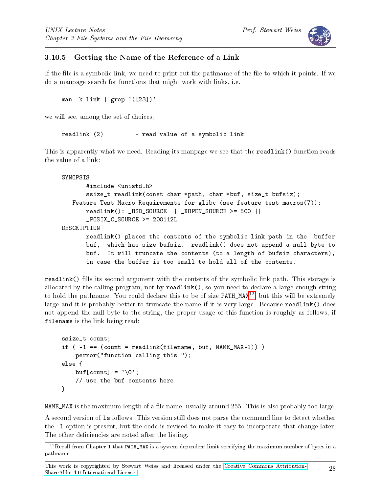



#### 3.10.5 Getting the Name of the Reference of a Link

If the file is a symbolic link, we need to print out the pathname of the file to which it points. If we do a manpage search for functions that might work with links, i.e.

man -k link | grep  $'([23])'$ 

we will see, among the set of choices,

readlink (2) - read value of a symbolic link

This is apparently what we need. Reading its manpage we see that the readlink() function reads the value of a link:

```
SYNOPSIS
       #include <unistd.h>
       ssize_t readlink(const char *path, char *buf, size_t bufsiz);
   Feature Test Macro Requirements for glibc (see feature_test_macros(7)):
       readlink(): _BSD_SOURCE || _XOPEN_SOURCE >= 500 ||
       _POSIX_C_SOURCE >= 200112L
DESCRIPTION
       readlink() places the contents of the symbolic link path in the buffer
       buf, which has size bufsiz. readlink() does not append a null byte to
       buf. It will truncate the contents (to a length of bufsiz characters),
       in case the buffer is too small to hold all of the contents.
```
readlink() fills its second argument with the contents of the symbolic link path. This storage is allocated by the calling program, not by readlink(), so you need to declare a large enough string to hold the pathname. You could declare this to be of size PATH\_MAX[12](#page-27-0), but this will be extremely large and it is probably better to truncate the name if it is very large. Because readlink() does not append the null byte to the string, the proper usage of this function is roughly as follows, if filename is the link being read:

```
ssize_t count;
if (-1 == (count = readlink(filename, buf, NAME_MAX-1)) )
    perror("function calling this ");
else {
    buf \lceil count \rceil = \sqrt{0};
    // use the buf contents here
}
```
NAME\_MAX is the maximum length of a file name, usually around 255. This is also probably too large.

A second version of ls follows. This version still does not parse the command line to detect whether the -l option is present, but the code is revised to make it easy to incorporate that change later. The other deficiencies are noted after the listing.

<span id="page-27-0"></span> $12$ Recall from Chapter 1 that PATH\_MAX is a system dependent limit specifying the maximum number of bytes in a pathname.

This work is copyrighted by Stewart Weiss and licensed under the [Creative Commons Attribution-](http://creativecommons.org/licenses/by-sa/4.0/ )[ShareAlike 4.0 International License.](http://creativecommons.org/licenses/by-sa/4.0/ ) <sup>28</sup>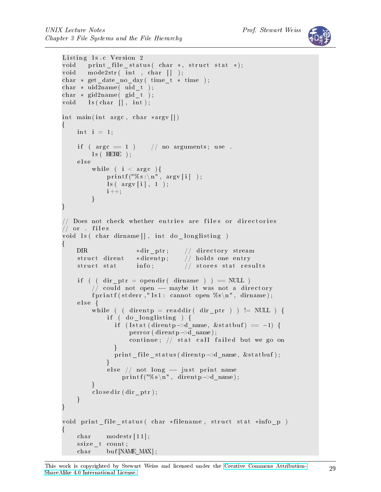```
Listing 1s.c Version 2
void print file status ( char *, struct stat *);
void mode2str(int , char []);
char * get date no day ( time t * time);
char * uid2name (uid_t );
char * gid2name (\text{gid}\_\text{t});
void \; ls ( char \; [ ] , int );
int main (int argc, char *argv\lceil \rceil)
\left\{ \right.int i = 1;
    if (\arg c = 1) // no arguments; use.
         \text{ls} ( HERE );
    e l s e
         while ( i < argc ) {
             print(f("\%s:\n\over \cdot \cdot \cdot) :\text{ls} ( \text{argv}[i], 1 );
             i + +;}
}
// Does not check whether entries are files or directories
// or . files
void ls ( char dirname [], int do _longlisting )
{
    DIR *dir_ptr; // directory stream
    struct dirent *direntp; // holds one entry
    struct stat info; // stores stat results
    if ( ( dir ptr = opendir ( dirname ) ) = NULL )
         // could not open - maybe it was not a directory
         fprintf (stderr, "\vert s \vert: cannot open %s\n", dirname);
    e l s e {
         while ( ( direntp = readdir ( dir_ptr ) ) != NULL ) {
             if ( do longlisting ) {
                if (lstat (direntp->d_name, &statbuf) == -1) {
                    perror (dirent p \rightarrowd name);
                    continue; // stat call failed but we go on
                }
                print _file _status (direntp->d_name, &statbuf);
             }
             else // not long - just print name
                  print f("%s \n\rightharpoonup n", \text{ direntp} \rightarrow d_\text{name});}
         closedir (dir ptr);
    }
}
void print file status ( char *filename, struct stat *info p)
{
    char modestr[11];
    ssize t count;
    char buf [NAME_MAX] ;
```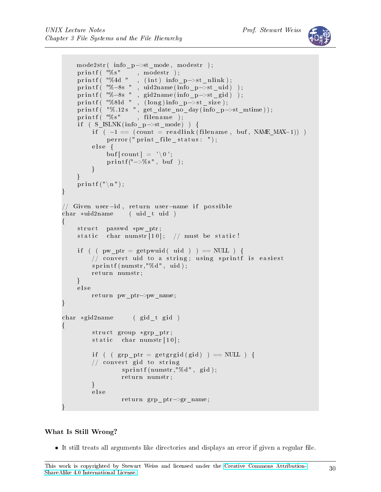

```
mode2str( info_p->st_mode, modestr );
     printf (\sqrt[m]{s}", modestr);<br>printf ("%4d", (int) info_
     printf( "%4d " , (int) info_p->st_nlink);
     printf( "%—8s " , uid2name(info_p->st_uid) );
     \text{printf}\left( \begin{array}{l} \texttt{"\%}-8\texttt{s}\end{array}\right.\!\!,\ \text{ gid2name}(\texttt{info\_p}{\text{~}}\texttt{~}>\text{st\_gid})\ \texttt{~)} ;
     printf( "%8ld " , (long)info_p->st_size);
    printf ("\%.12s", get_date_no_day(info_p->st_mtime));
     print f (\sqrt[m]{s}", filename);
     if (S_ISLNK(info_p\rightarrow st_mode)) {
          if (-1) = (\text{count} = \text{readlink}(\text{filename}, \text{buf}, \text{NAME MAX-1}))\text{perror}(" \text{print}_file\_status: " );e l s e {
               buf \lceil count \rceil = \sqrt[3]{0};
               print(f' \rightarrow % g'', buf');}
     }
     print(f("n");}
// Given user-id, return user-name if possible
char *uid2name (uid t uid )
\left\{ \right.struct passwd *pw_ptr;
     static char numstr [10]; // must be static!
     if ( ( pw ptr = getpwuid ( uid ) ) == NULL ) {
          // convert uid to a string; using sprintf is easiest
          sprint f(numstr," % d",uid);return numstr;
     }
     e l s e
          return pw_ptr->pw_name;
}
char *gid2name ( gid t gid )
{
          struct group *grp ptr;
          static char numstr[10];
          if ( ( grp_ptr = getgrgid (gid) ) == NULL ) {
          // convert gid to string
                    sprint(f(numstr," % d", gid);return numstr;
          }
          e l s e
                    return grp_ptr->gr_name;
}
```
#### What Is Still Wrong?

• It still treats all arguments like directories and displays an error if given a regular file.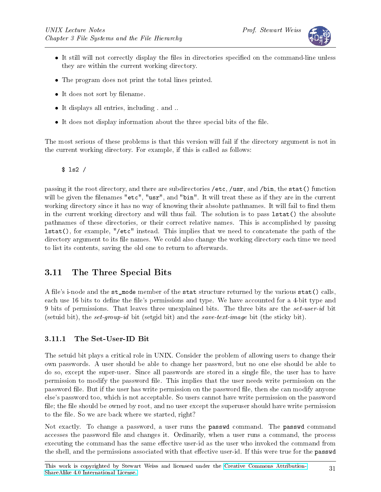

- It still will not correctly display the files in directories specified on the command-line unless they are within the current working directory.
- The program does not print the total lines printed.
- It does not sort by filename.
- It displays all entries, including . and ..
- $\bullet$  It does not display information about the three special bits of the file.

The most serious of these problems is that this version will fail if the directory argument is not in the current working directory. For example, if this is called as follows:

\$ ls2 /

passing it the root directory, and there are subdirectories /etc, /usr, and /bin, the stat() function will be given the filenames "etc", "usr", and "bin". It will treat these as if they are in the current working directory since it has no way of knowing their absolute pathnames. It will fail to find them in the current working directory and will thus fail. The solution is to pass lstat() the absolute pathnames of these directories, or their correct relative names. This is accomplished by passing lstat(), for example, "/etc" instead. This implies that we need to concatenate the path of the directory argument to its file names. We could also change the working directory each time we need to list its contents, saving the old one to return to afterwards.

## 3.11 The Three Special Bits

A file's i-node and the st\_mode member of the stat structure returned by the various stat() calls, each use 16 bits to define the file's permissions and type. We have accounted for a 4-bit type and 9 bits of permissions. That leaves three unexplained bits. The three bits are the set-user-id bit (setuid bit), the set-group-id bit (setgid bit) and the save-text-image bit (the sticky bit).

#### 3.11.1 The Set-User-ID Bit

The setuid bit plays a critical role in UNIX. Consider the problem of allowing users to change their own passwords. A user should be able to change her password, but no one else should be able to do so, except the super-user. Since all passwords are stored in a single file, the user has to have permission to modify the password file. This implies that the user needs write permission on the password file. But if the user has write permission on the password file, then she can modify anyone else's password too, which is not acceptable. So users cannot have write permission on the password file; the file should be owned by root, and no user except the superuser should have write permission to the file. So we are back where we started, right?

Not exactly. To change a password, a user runs the passwd command. The passwd command accesses the password file and changes it. Ordinarily, when a user runs a command, the process executing the command has the same effective user-id as the user who invoked the command from the shell, and the permissions associated with that effective user-id. If this were true for the passwd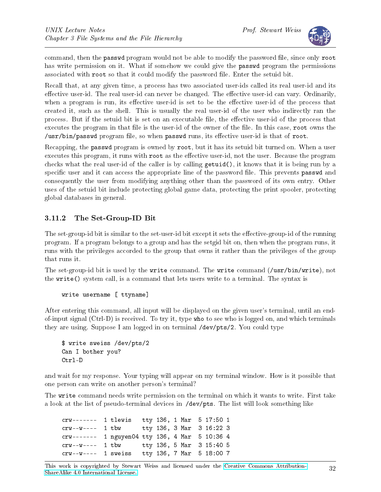

command, then the passwd program would not be able to modify the password file, since only root has write permission on it. What if somehow we could give the **passwd** program the permissions associated with root so that it could modify the password file. Enter the setuid bit.

Recall that, at any given time, a process has two associated user-ids called its real user-id and its effective user-id. The real user-id can never be changed. The effective user-id can vary. Ordinarily, when a program is run, its effective user-id is set to be the effective user-id of the process that created it, such as the shell. This is usually the real user-id of the user who indirectly ran the process. But if the setuid bit is set on an executable file, the effective user-id of the process that executes the program in that file is the user-id of the owner of the file. In this case, root owns the  $\sqrt{\text{usr/bin}}$  passwd program file, so when passwd runs, its effective user-id is that of root.

Recapping, the passwd program is owned by root, but it has its setuid bit turned on. When a user executes this program, it runs with root as the effective user-id, not the user. Because the program checks what the real user-id of the caller is by calling getuid(), it knows that it is being run by a specific user and it can access the appropriate line of the password file. This prevents **passwd** and consequently the user from modifying anything other than the password of its own entry. Other uses of the setuid bit include protecting global game data, protecting the print spooler, protecting global databases in general.

#### 3.11.2 The Set-Group-ID Bit

The set-group-id bit is similar to the set-user-id bit except it sets the effective-group-id of the running program. If a program belongs to a group and has the setgid bit on, then when the program runs, it runs with the privileges accorded to the group that owns it rather than the privileges of the group that runs it.

The set-group-id bit is used by the write command. The write command (/usr/bin/write), not the write() system call, is a command that lets users write to a terminal. The syntax is

#### write username [ ttyname]

After entering this command, all input will be displayed on the given user's terminal, until an endof-input signal (Ctrl-D) is received. To try it, type who to see who is logged on, and which terminals they are using. Suppose I am logged in on terminal /dev/pts/2. You could type

```
$ write sweiss /dev/pts/2
Can I bother you?
Ctrl-D
```
and wait for my response. Your typing will appear on my terminal window. How is it possible that one person can write on another person's terminal?

The write command needs write permission on the terminal on which it wants to write. First take a look at the list of pseudo-terminal devices in /dev/pts. The list will look something like

crw------- 1 tlewis tty 136, 1 Mar 5 17:50 1 crw--w---- 1 tbw tty 136, 3 Mar 3 16:22 3 crw------- 1 nguyen04 tty 136, 4 Mar 5 10:36 4 crw--w---- 1 tbw tty 136, 5 Mar 3 15:40 5 crw--w---- 1 sweiss tty 136, 7 Mar 5 18:00 7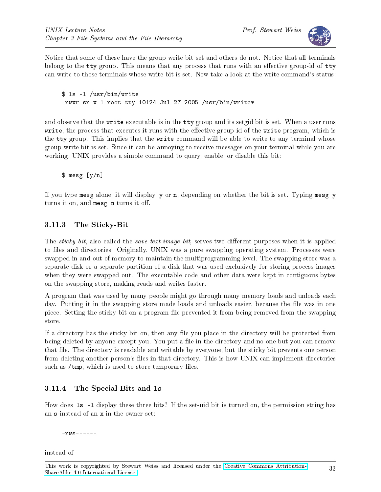

Notice that some of these have the group write bit set and others do not. Notice that all terminals belong to the  $\mathsf{t}\mathsf{t}\mathsf{y}$  group. This means that any process that runs with an effective group-id of  $\mathsf{t}\mathsf{t}\mathsf{y}$ can write to those terminals whose write bit is set. Now take a look at the write command's status:

\$ ls -l /usr/bin/write -rwxr-sr-x 1 root tty 10124 Jul 27 2005 /usr/bin/write\*

and observe that the write executable is in the tty group and its setgid bit is set. When a user runs write, the process that executes it runs with the effective group-id of the write program, which is the tty group. This implies that the write command will be able to write to any terminal whose group write bit is set. Since it can be annoying to receive messages on your terminal while you are working, UNIX provides a simple command to query, enable, or disable this bit:

\$ mesg [y/n]

If you type mesg alone, it will display y or n, depending on whether the bit is set. Typing mesg y turns it on, and mesg n turns it off.

#### 3.11.3 The Sticky-Bit

The sticky bit, also called the save-text-image bit, serves two different purposes when it is applied to files and directories. Originally, UNIX was a pure swapping operating system. Processes were swapped in and out of memory to maintain the multiprogramming level. The swapping store was a separate disk or a separate partition of a disk that was used exclusively for storing process images when they were swapped out. The executable code and other data were kept in contiguous bytes on the swapping store, making reads and writes faster.

A program that was used by many people might go through many memory loads and unloads each day. Putting it in the swapping store made loads and unloads easier, because the file was in one piece. Setting the sticky bit on a program file prevented it from being removed from the swapping store.

If a directory has the sticky bit on, then any file you place in the directory will be protected from being deleted by anyone except you. You put a file in the directory and no one but you can remove that file. The directory is readable and writable by everyone, but the sticky bit prevents one person from deleting another person's files in that directory. This is how UNIX can implement directories such as /tmp, which is used to store temporary files.

#### 3.11.4 The Special Bits and ls

How does 1s -1 display these three bits? If the set-uid bit is turned on, the permission string has an s instead of an x in the owner set:

-rws------

instead of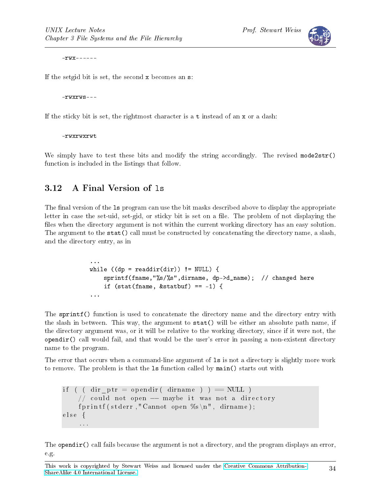

 $-$ rwx - - - - - -

If the setgid bit is set, the second x becomes an s:

-rwxrws---

If the sticky bit is set, the rightmost character is a t instead of an x or a dash:

-rwxrwxrwt

We simply have to test these bits and modify the string accordingly. The revised mode2str() function is included in the listings that follow.

## 3.12 A Final Version of ls

The final version of the 1s program can use the bit masks described above to display the appropriate letter in case the set-uid, set-gid, or sticky bit is set on a file. The problem of not displaying the files when the directory argument is not within the current working directory has an easy solution. The argument to the stat() call must be constructed by concatenating the directory name, a slash, and the directory entry, as in

```
...
while ((dp = readdir dir)) != NULL) {
    sprintf(fname,"%s/%s",dirname, dp->d_name); // changed here
    if (stat(fname, &statbuf) == -1) {
...
```
The sprintf() function is used to concatenate the directory name and the directory entry with the slash in between. This way, the argument to stat() will be either an absolute path name, if the directory argument was, or it will be relative to the working directory, since if it were not, the opendir() call would fail, and that would be the user's error in passing a non-existent directory name to the program.

The error that occurs when a command-line argument of ls is not a directory is slightly more work to remove. The problem is that the ls function called by main() starts out with

```
if ( ( dir ptr = opendir ( dirname ) ) == NULL )
    // could not open - maybe it was not a directory
    fprintf (stderr," Cannot open %s\n", dirname);
else {
    . . .
```
The opendir() call fails because the argument is not a directory, and the program displays an error, e.g.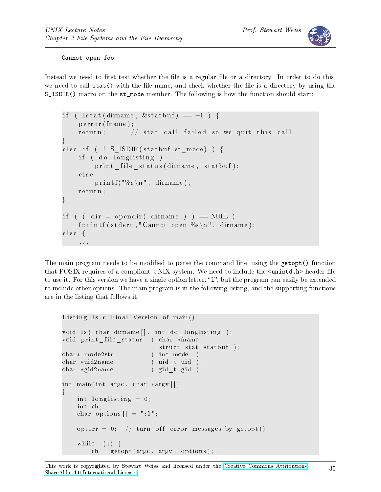

#### Cannot open foo

Instead we need to first test whether the file is a regular file or a directory. In order to do this, we need to call stat() with the file name, and check whether the file is a directory by using the S ISDIR() macro on the st mode member. The following is how the function should start:

```
if ( lstat (dirname, \&statbuf) == -1 ) {
    perror (fname);
    return; // stat call failed so we quit this call
}
else if ( ! S ISDIR (statbuf st mode) ) {
    if ( do longlisting )
         print_{fit} = file _ status (dirname, statbuf);
    e l s e
         printf ("%s\n", dirname);
    return;
}
if ( \text{dir} = \text{opendir}(\text{dirname}) = \text{NULL})
    fprintf (stderr," Cannot open %s\n", dirname);
else {
    . . .
```
The main program needs to be modified to parse the command line, using the getopt() function that POSIX requires of a compliant UNIX system. We need to include the  $\zeta$ unistd.h> header file to use it. For this version we have a single option letter, " $1$ ", but the program can easily be extended to include other options. The main program is in the following listing, and the supporting functions are in the listing that follows it.

```
Listing ls.c Final Version of main()
void ls( char dirname[], int do long listing );void print _file _status ( char *fname,
                           struct stat statbuf );
char* mode2str (int mode);
char *uid2name (uid t uid );
char *gid2name (gid t gid );
int main (int argc, char *argv [])
{
    int longlisting = 0;
    int ch;
    char options \begin{bmatrix} \end{bmatrix} = " : \mathbf{1}";
    opterr = 0; // turn off error messages by getopt()
    while (1) {
        ch = get opt (argc , argv , options );
```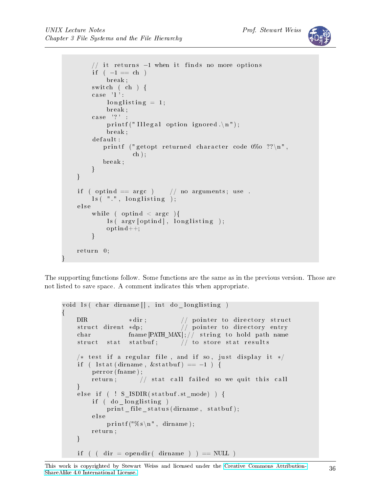}

```
// it returns -1 when it finds no more options
     if (-1 == ch)break ;
     switch ( ch ) {
     case 'l':
           longlisting = 1;break ;
     case '?' :
           printf ("Illegal option ignored.\n \n \begin{bmatrix}\n n' \\
 n''\n \end{bmatrix};
           break ;
     d ef a ult :
          printf ("getopt returned character code 0\%o ??\ln",
                     ch );
          break ;
     }
}
if ( optind = \arg c ) // no arguments; use.
     \text{ls} ( " " " , \text{ long} listing );
e l s e
     while ( optind \langle argc \rangle {
           \vert \text{ls} \left( \text{argv} \left[ \text{optind} \right] \right), \text{ long} listing );
           optind++;}
return 0;
```
The supporting functions follow. Some functions are the same as in the previous version. Those are not listed to save space. A comment indicates this when appropriate.

```
void ls ( char dirname [], int do _longlisting )
\left\{ \right\}DIR *dir; \frac{d}{dx} pointer to directory struct
    struct dirent *dp; // pointer to directory entry
    char fname [PATH\_MAX]; / / string to hold path name
    struct stat statbuf; // to store stat results
    /* test if a regular file, and if so, just display it */
    if ( lstat (dirname, &statbuf) == -1 ) {
        perror (fname);
        return; // stat call failed so we quit this call
    }
    else if ( ! S ISDIR( statbuf . st mode ) ) {
        if ( do longlisting )
            print _file _status (dirname, statbuf);
        e l s e
            printf ("%s\n", dirname);
        return;
    }
    if ( ( dir = opendir ( dirname ) ) = NULL )
```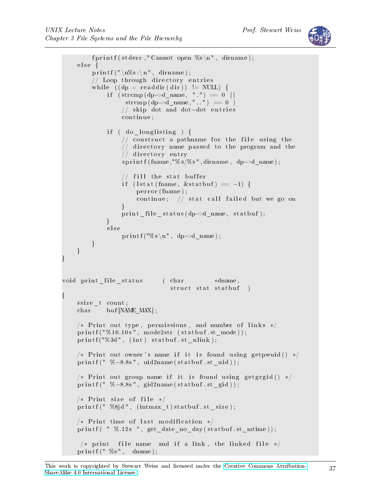```
fprintf (stderr," Cannot open \%s \n\mid n", dirname);
     else \{p r i n t f ("\n\sqrt{n\%s}:\n\sqrt{n}", dirname);
         // Loop through directory entries
         while ((dp = readdir (dir)) != NULL) {
               \begin{array}{l} \text{if} \hspace{3mm} (\text{strong (dp}\text{—}\text{)&})\text{ =}\text{0} \hspace{3mm} \mid \text{]} \end{array}\text{str\,cm\,p}\ (\text{dp}\text{--}\text{)}\ \ \text{name}\ ,\text{''}\ .\ \text{''} ) \ \ ==\ \, 0\ \ \ )// skip dot and dot-dot entries
                   continue;
              if ( do longlisting ) {
                   // construct a pathname for the file using the
                   // directory name passed to the program and the
                   \sqrt{\frac{1}{2}} directory entry
                   s p r i n t f ( fname, "% s/%s", dirname, dp->d_name ) ;
                   // fill the stat buffer
                   if (lstat (fname, &statbuf) == -1) {
                        perror (fname);
                        continue; // stat call failed but we go on
                   }
                   print file status (dp->d name, statbuf);
              }
              e l s e
                   printf ("%s\n", dp->d_name) ;
         }
    }
}
void print file status (char *dname,
                                  struct stat statbuf)
{
    ssize t count;
    char buf [NAME_MAX] ;
    /* Print out type, permissions, and number of links */
    printf ("%10.10s", mode2str (statbuf.st mode) );printf ("%3d", (int) statbuf.st_nlimits);/* Print out owner's name if it is found using getpwuid () */
    printf (" %=8.8 s", uid2name(statbuf.st uid ));/* Print out group name if it is found using getgrgid () */
    printf (" %-8.8s", gid2name(statbuf.st_gid ) );/* Print size of file */
    printf ("%8jd", (intmax t) statbuf . st size);
    /* Print time of last modification */
    printf ( " %.12s ", get date no day (statbuf . st mtime ) );
     /* print file name and if a link, the linked file */
    printf ("\%s", dname);
```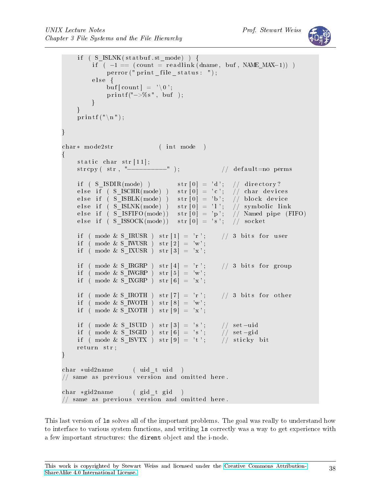

```
if ( S_ISLNK( statbuf . st_mode) ) {
        if^- ( -1 = (count = readlink (dname, buf, NAME MAX-1)) )
            p error(" print file status : ");e lse {
            buf [count ] = \sqrt{0};
            print(f' \rightarrow % s'', buf);
        }
    }
    printf (\sqrt[n]{n});
}
char* mode2str (int mode)
{
    static char str[11];
    strcpy (str, "---−−−−−−−−"); // default=no perms
    if ( S_ISDIR (mode) ) str [0] = 'd'; // directory?
    else if (S_ISCHR(mode)) str[0] = 'c'; // char devices
    else if ( S_ISBLK(mode) ) str[0] = 'b'; // block device
    else if (S_IISMK(mod)) str[0] = 'l'; // symbolic link
    else if (S_IISFIFO(model)) str[0] = 'p'; // Named pipe (FIFO)else if ( S_ISSOCK(mode)) str [0] = 's'; // socketif ( mode & S_IRUSR ) str[1] = 'r'; // 3 bits for user
    if ( mode & S IWUSR ) str [2] = 'w';if ( mode & S IXUSR ) str [3] = 'x';if ( mode & S IRGRP ) str [4] = 'r'; // 3 bits for group
    if ( mode & S IWGRP ) str [5] = 'w';if ( mode & S IXGRP ) str [6] = 'x';if ( mode & S_IROTH ) str [7] = 'r'; // 3 bits for other
    if ( mode & S IWOTH ) str [8] = 'w';if ( mode & S IXOTH ) str [9] = 'x';if ( mode & S_ISUID ) str [3] = 's'; // set-uid
    if ( mode & S_ISGID ) str [6] = 's'; // set-gid
    if ( mode & S_ISVTX ) str [9] = 't'; // sticky bit
    return str;
}
char *uid2name (uid t uid
// same as previous version and omitted here.
char *gid2name (gid_t gid)
\frac{1}{2} same as previous version and omitted here.
```
This last version of ls solves all of the important problems. The goal was really to understand how to interface to various system functions, and writing ls correctly was a way to get experience with a few important structures: the dirent object and the i-node.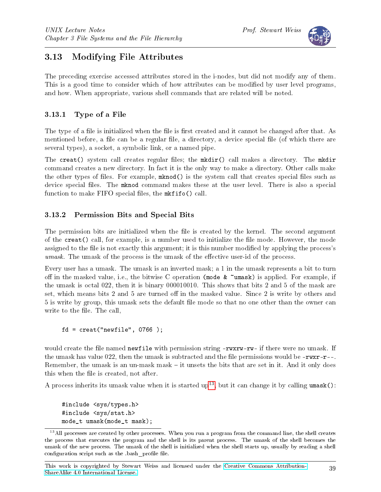

# 3.13 Modifying File Attributes

The preceding exercise accessed attributes stored in the i-nodes, but did not modify any of them. This is a good time to consider which of how attributes can be modified by user level programs, and how. When appropriate, various shell commands that are related will be noted.

# 3.13.1 Type of a File

The type of a file is initialized when the file is first created and it cannot be changed after that. As mentioned before, a file can be a regular file, a directory, a device special file (of which there are several types), a socket, a symbolic link, or a named pipe.

The creat() system call creates regular files; the  $m$ kdir() call makes a directory. The  $m$ kdir command creates a new directory. In fact it is the only way to make a directory. Other calls make the other types of files. For example,  $mknod()$  is the system call that creates special files such as device special files. The mknod command makes these at the user level. There is also a special function to make  $FIFO$  special files, the  $mkrif$  o() call.

### 3.13.2 Permission Bits and Special Bits

The permission bits are initialized when the file is created by the kernel. The second argument of the creat() call, for example, is a number used to initialize the file mode. However, the mode assigned to the file is not exactly this argument; it is this number modified by applying the process's  $umask$ . The umask of the process is the umask of the effective user-id of the process.

Every user has a umask. The umask is an inverted mask; a 1 in the umask represents a bit to turn off in the masked value, i.e., the bitwise C operation (mode  $\&$   $\sim$ umask) is applied. For example, if the umask is octal 022, then it is binary 000010010. This shows that bits 2 and 5 of the mask are set, which means bits 2 and 5 are turned off in the masked value. Since 2 is write by others and 5 is write by group, this umask sets the default file mode so that no one other than the owner can write to the file. The call,

 $fd = \text{create("newfile", 0766)};$ 

would create the file named newfile with permission string -rwxrw-rw- if there were no umask. If the umask has value 022, then the umask is subtracted and the file permissions would be  $-\frac{r}{r-1}$ . Remember, the umask is an un-mask mask  $-$  it unsets the bits that are set in it. And it only does this when the file is created, not after.

A process inherits its umask value when it is started up<sup>[13](#page-38-0)</sup>, but it can change it by calling umask():

#include <sys/types.h> #include <sys/stat.h> mode\_t umask(mode\_t mask);

<span id="page-38-0"></span><sup>&</sup>lt;sup>13</sup>All processes are created by other processes. When you run a program from the command line, the shell creates the process that executes the program and the shell is its parent process. The umask of the shell becomes the umask of the new process. The umask of the shell is initialized when the shell starts up, usually by reading a shell configuration script such as the .bash profile file.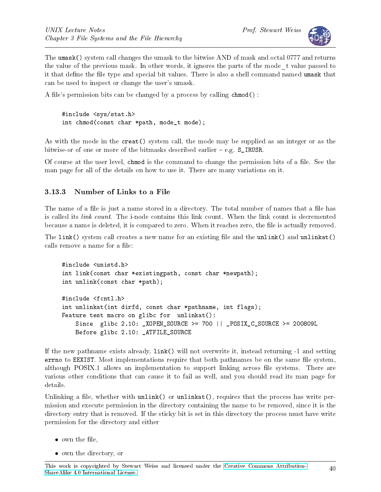

The umask() system call changes the umask to the bitwise AND of mask and octal 0777 and returns the value of the previous mask. In other words, it ignores the parts of the mode\_t value passed to it that define the file type and special bit values. There is also a shell command named umask that can be used to inspect or change the user's umask.

A file's permission bits can be changed by a process by calling  $chmod()$ :

```
#include <sys/stat.h>
int chmod(const char *path, mode_t mode);
```
As with the mode in the creat() system call, the mode may be supplied as an integer or as the bitwise-or of one or more of the bitmasks described earlier  $-$  e.g. S\_IRUSR.

Of course at the user level, chmod is the command to change the permission bits of a file. See the man page for all of the details on how to use it. There are many variations on it.

### 3.13.3 Number of Links to a File

The name of a file is just a name stored in a directory. The total number of names that a file has is called its link count. The i-node contains this link count. When the link count is decremented because a name is deleted, it is compared to zero. When it reaches zero, the file is actually removed.

The link() system call creates a new name for an existing file and the unlink() and unlinkat() calls remove a name for a file:

```
#include <unistd.h>
int link(const char *existingpath, const char *newpath);
int unlink(const char *path);
#include <fcntl.h>
int unlinkat(int dirfd, const char *pathname, int flags);
Feature test macro on glibc for unlinkat():
    Since glibc 2.10: _XOPEN_SOURCE >= 700 || _POSIX_C_SOURCE >= 200809L
    Before glibc 2.10: _ATFILE_SOURCE
```
If the new pathname exists already, link() will not overwrite it, instead returning -1 and setting errno to EEXIST. Most implementations require that both pathnames be on the same file system, although POSIX.1 allows an implementation to support linking across file systems. There are various other conditions that can cause it to fail as well, and you should read its man page for details.

Unlinking a file, whether with  $unlink()$  or  $unlink(t)$ , requires that the process has write permission and execute permission in the directory containing the name to be removed, since it is the directory entry that is removed. If the sticky bit is set in this directory the process must have write permission for the directory and either

- $\bullet$  own the file,
- own the directory, or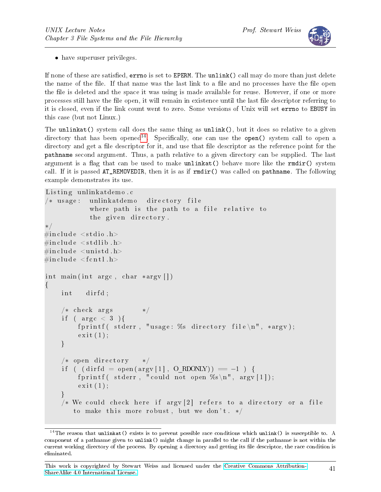

• have superuser privileges.

If none of these are satisfied, errno is set to EPERM. The unlink() call may do more than just delete the name of the file. If that name was the last link to a file and no processes have the file open the file is deleted and the space it was using is made available for reuse. However, if one or more processes still have the file open, it will remain in existence until the last file descriptor referring to it is closed, even if the link count went to zero. Some versions of Unix will set errno to EBUSY in this case (but not Linux.)

The unlinkat() system call does the same thing as unlink(), but it does so relative to a given directory that has been opened<sup>[14](#page-40-0)</sup>. Specifically, one can use the open() system call to open a directory and get a file descriptor for it, and use that file descriptor as the reference point for the pathname second argument. Thus, a path relative to a given directory can be supplied. The last argument is a flag that can be used to make unlinkat() behave more like the  $rmir()$  system call. If it is passed  $AT$ <sub>REMOVEDIR</sub>, then it is as if  $r$ mdir() was called on pathname. The following example demonstrates its use.

```
Listing unlinkatdemo.c
/* usage: unlinkatdemo directory file
              where path is the path to a file relative to
              the given directory.
∗/
\#\texttt{include}\ <\texttt{stdio} .h>
\#\texttt{include}\ < \texttt{stdlib} .h>
#i n cl u d e <u ni s t d . h>
\#\texttt{include}~<\texttt{f}\,\texttt{c}\,\texttt{lt}\,\texttt{l} . h>int main (int argc, char *argv ||)
\{int dirfd;
     /* check args */if ( \text{arg } c < 3 ) {
          fprintf ( stderr, "usage: %s directory file \n", *argv);
          ext{ext}(1);}
     /* open directory */if ( (\text{diff } d = \text{open}(\text{arg}v [1], 0 \text{ RDOMLY})) = -1 ) {
          fprintf (stderr, "could not open \%s\n\cdot n", argv [1]);
          ext{ext}(1);}
     /* We could check here if argv [2] refers to a directory or a file
         to make this more robust, but we don't. */
```
<span id="page-40-0"></span><sup>&</sup>lt;sup>14</sup>The reason that unlinkat() exists is to prevent possible race conditions which unlink() is susceptible to. A component of a pathname given to unlink() might change in parallel to the call if the pathname is not within the current working directory of the process. By opening a directory and getting its file descriptor, the race condition is eliminated.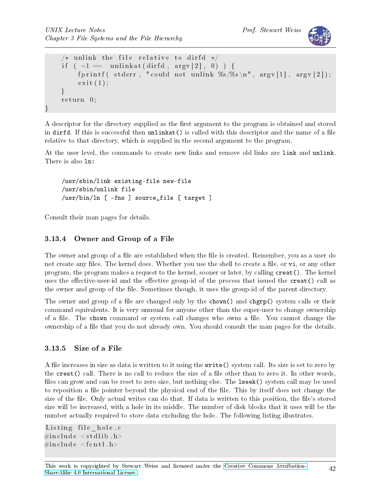```
/* unlink the file relative to dirfd */
if (-1 == unlinkat (dirfd, argy [2], 0) ) {
    fprintf (stderr, "could not unlink \%s/\%s\n', argv [1], argv [2]);
    ext{e} it (1);
}
return 0;
```
A descriptor for the directory supplied as the first argument to the program is obtained and stored in dirfd. If this is successful then  $unlinkat()$  is called with this descriptor and the name of a file relative to that directory, which is supplied in the second argument to the program.

At the user level, the commands to create new links and remove old links are link and unlink. There is also ln:

```
/usr/sbin/link existing-file new-file
/usr/sbin/unlink file
/usr/bin/ln [ -fns ] source_file [ target ]
```
Consult their man pages for details.

}

### 3.13.4 Owner and Group of a File

The owner and group of a file are established when the file is created. Remember, you as a user do not create any files. The kernel does. Whether you use the shell to create a file, or vi, or any other program, the program makes a request to the kernel, sooner or later, by calling creat(). The kernel uses the effective-user-id and the effective group-id of the process that issued the  $\text{create}()$  call as the owner and group of the file. Sometimes though, it uses the group-id of the parent directory.

The owner and group of a file are changed only by the chown() and chgrp() system calls or their command equivalents. It is very unusual for anyone other than the super-user to change ownership of a file. The chown command or system call changes who owns a file. You cannot change the ownership of a file that you do not already own. You should consult the man pages for the details.

### 3.13.5 Size of a File

A file increases in size as data is written to it using the write() system call. Its size is set to zero by the creat () call. There is no call to reduce the size of a file other than to zero it. In other words, files can grow and can be reset to zero size, but nothing else. The **lseek()** system call may be used to reposition a file pointer beyond the physical end of the file. This by itself does not change the size of the file. Only actual writes can do that. If data is written to this position, the file's stored size will be increased, with a hole in its middle. The number of disk blocks that it uses will be the number actually required to store data excluding the hole. The following listing illustrates.

```
Listing file hole c
\#\texttt{include}\ < \texttt{stdlib} .h>\#\texttt{include}~<\texttt{f}\,\texttt{c}\,\texttt{lt}\,\texttt{l} . h>
```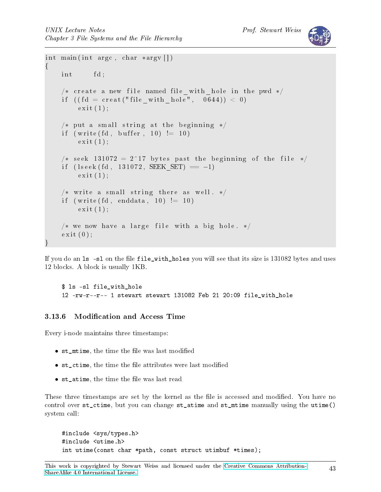

```
int main (int argc, char *argv\lceil \rceil)
{
    int fd;
     /* create a new file named file_with_hole in the pwd */if (( fd = creat ("file_with_hole", 0644 ) ) < 0ext{ext}(1);/* put a small string at the beginning */if (write (\text{fd}, \text{buffer}, 10) := 10)
         ext{ext}(1);/* seek 131072 = 2^17 bytes past the beginning of the file */
    if (\text{lse } k \text{ (fd }, 131072, SEEK\_SET ) = -1)ext{ext}(1);/* write a small string there as well. */
    if (\text{write}(\text{fd}, \text{enddata}, 10) := 10)ext{ext}(1);/* we now have a large file with a big hole. */
     ext{ext}(0);}
```
If you do an 1s -s1 on the file file\_with\_holes you will see that its size is 131082 bytes and uses 12 blocks. A block is usually 1KB.

```
$ ls -sl file_with_hole
12 -rw-r--r-- 1 stewart stewart 131082 Feb 21 20:09 file_with_hole
```
### 3.13.6 Modification and Access Time

Every i-node maintains three timestamps:

- st\_mtime, the time the file was last modified
- st\_ctime, the time the file attributes were last modified
- st\_atime, the time the file was last read

These three timestamps are set by the kernel as the file is accessed and modified. You have no control over st\_ctime, but you can change st\_atime and st\_mtime manually using the utime() system call:

```
#include <sys/types.h>
#include <utime.h>
int utime(const char *path, const struct utimbuf *times);
```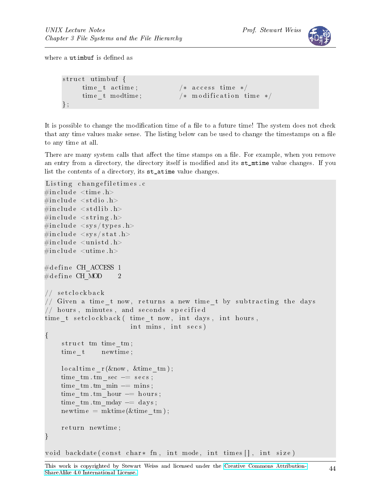

where a utimbuf is defined as

```
struct utimbuf {
    time t actime; /* access time */time t modtime; /* m odification time */} ;
```
It is possible to change the modification time of a file to a future time! The system does not check that any time values make sense. The listing below can be used to change the timestamps on a file to any time at all.

There are many system calls that affect the time stamps on a file. For example, when you remove an entry from a directory, the directory itself is modified and its st\_mtime value changes. If you list the contents of a directory, its st\_atime value changes.

```
Listing changefiletimes.c
\#\texttt{include}\ \ \texttt{<time}\ \ \texttt{.}\#\texttt{include}\ <\!\!\texttt{stdio}\xspace .h>\#\texttt{include}\ < \texttt{stdlib} .h>
\#\texttt{include}~<\texttt{string}~\text{.} h>\#\texttt{include}~<\texttt{sys}/\texttt{types}.h>
\#\texttt{include}~<\texttt{sys}/\,\texttt{stat} . h>\#\texttt{include}\> <\!\! \texttt{unistd}\> . h>\#\texttt{include}\ \texttt{ &} < \texttt{utime}\ \texttt{.} \texttt{h}>\#define CH ACCESS 1
\# \text{define } \text{CH MOD} \qquad 2// set clock back
// Given a time_t now, returns a new time_t by subtracting the days
\frac{1}{2} hours, minutes, and seconds specified
time t set clock back ( time t now, int days, int hours,
                                  int mins, int secs)
{
      struct tm time tm;
      time t newtime;
      local time r (\&now, \&timetm);
      time tm \cdot tm \text{ sec} \text{ -} = \text{ secs};
      time tm \cdot tm \text{ min } -= \text{ mins ;}time tm \cdot tm hour - hours;
      time tm \cdot tm \text{ mday } == \text{ days} ;
      newtime = mktime(\&time \tmtext{ }tm);return newtime;
}
```
void backdate ( const char\* fn, int mode, int times [ ], int size )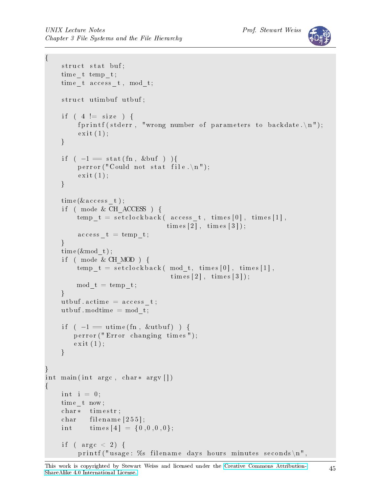{

}

{

```
struct stat buf;
     time t temp t;
     time t access t, mod t;
     struct utimbuf utbuf;
     if ( 4 \leq size ) {
          f printf (stderr, "wrong number of parameters to backdate. \langle n'' \rangle;
          ext{ext}(1);}
     if (-1) = \text{stat}( \text{fn}, \text{&buf} )perror ("Could not stat file.\n \n \begin{bmatrix}\n n' \\
 n''\n \end{bmatrix};
          ext{ext}(1);}
     time (\& access t);
     if ( mode & CH ACCESS ) {
         temp_t = set clock back(access_t, times[0], times[1],times [2], times [3];
          \text{access}_t = \text{temp}_t;
     }
     time (&mod t);if ( mode & CH MOD ) {
         temp_t = set clock back (mod_t, times [0], times [1],times [2], times [3];
         mod_t = temp_t;}
     utbuf actime = access t;
     utbuf . modtime = mod_t;
     if (-1 \equiv \text{utime} (\text{fn}, \text{ \&utbuf}) )perror ("Error changing times");
         ext{ext}(1);}
int main (int argc, char* argv \vert \vert)
     int i = 0;time_t now ;
     char ∗ tim e str;
     char filename [255];
     int times [4] = \{0, 0, 0, 0\};if ( \text{argc} < 2) {
          printf ("usage: %s filename days hours minutes seconds \n".
```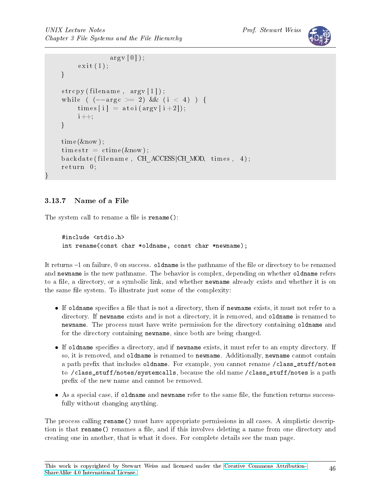```
argv[0];
     exit(1):
}
\text{stropy (filename }, \text{ argv [1]);}while ( (-\text{arg } c \ge 2) & (i < 4) ) {
     times [ i ] = \text{atoi} (\text{argv} [ i + 2 ]);i + +;
}
time (know);time str = c time (&now);backdate (filename, CH_ACCESS|CH_MOD, times, 4);
return 0;
```
# 3.13.7 Name of a File

}

The system call to rename a file is  $\texttt{rename}()$ :

```
#include <stdio.h>
int rename(const char *oldname, const char *newname);
```
It returns -1 on failure, 0 on success. **oldname** is the pathname of the file or directory to be renamed and newname is the new pathname. The behavior is complex, depending on whether oldname refers to a file, a directory, or a symbolic link, and whether newname already exists and whether it is on the same file system. To illustrate just some of the complexity:

- $\bullet$  If oldname specifies a file that is not a directory, then if newname exists, it must not refer to a directory. If newname exists and is not a directory, it is removed, and oldname is renamed to newname. The process must have write permission for the directory containing oldname and for the directory containing newname, since both are being changed.
- $\bullet$  If oldname specifies a directory, and if newname exists, it must refer to an empty directory. If so, it is removed, and oldname is renamed to newname. Additionally, newname cannot contain a path prefix that includes oldname. For example, you cannot rename /class\_stuff/notes to /class\_stuff/notes/systemcalls, because the old name /class\_stuff/notes is a path prefix of the new name and cannot be removed.
- As a special case, if oldname and newname refer to the same file, the function returns successfully without changing anything.

The process calling rename() must have appropriate permissions in all cases. A simplistic description is that **rename**() renames a file, and if this involves deleting a name from one directory and creating one in another, that is what it does. For complete details see the man page.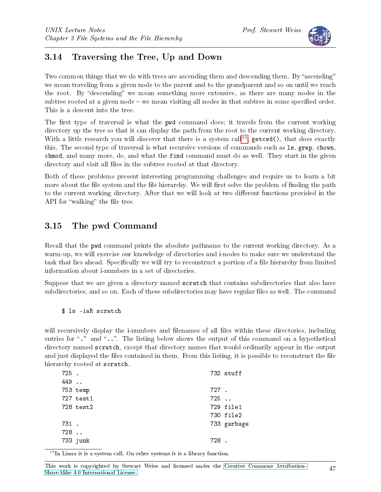

# 3.14 Traversing the Tree, Up and Down

Two common things that we do with trees are ascending them and descending them. By "ascending" we mean traveling from a given node to the parent and to the grandparent and so on until we reach the root. By "descending" we mean something more extensive, as there are many nodes in the subtree rooted at a given node  $-\infty$  mean visiting all nodes in that subtree in some specified order. This is a descent into the tree.

The first type of traversal is what the pwd command does; it travels from the current working directory up the tree so that it can display the path from the root to the current working directory. With a little research you will discover that there is a system call<sup>[15](#page-46-0)</sup>, getcwd(), that does exactly this. The second type of traversal is what recursive versions of commands such as ls, grep, chown, chmod, and many more, do, and what the find command must do as well. They start in the given directory and visit all files in the subtree rooted at that directory.

Both of these problems present interesting programming challenges and require us to learn a bit more about the file system and the file hierarchy. We will first solve the problem of finding the path to the current working directory. After that we will look at two different functions provided in the API for "walking" the file tree.

# 3.15 The pwd Command

Recall that the pwd command prints the absolute pathname to the current working directory. As a warm-up, we will exercise our knowledge of directories and i-nodes to make sure we understand the task that lies ahead. Specifically we will try to reconstruct a portion of a file hierarchy from limited information about i-numbers in a set of directories.

Suppose that we are given a directory named scratch that contains subdirectories that also have subdirectories, and so on. Each of these subdirectories may have regular files as well. The command

\$ ls -iaR scratch

will recursively display the i-numbers and filenames of all files within these directories, including entries for " $\cdot$ " and " $\cdot$ ..". The listing below shows the output of this command on a hypothetical directory named scratch, except that directory names that would ordinarily appear in the output and just displayed the files contained in them. From this listing, it is possible to reconstruct the file hierarchy rooted at scratch.

| 725.    |           |         | 732 stuff   |
|---------|-----------|---------|-------------|
| 449     |           |         |             |
|         | 753 temp  | 727.    |             |
|         | 727 test1 | $725$ . |             |
|         | 728 test2 |         | 729 file1   |
|         |           |         | 730 file2   |
| 731.    |           |         | 733 garbage |
| $728$ . |           |         |             |
|         | 733 junk  | 728.    |             |
|         |           |         |             |

<span id="page-46-0"></span><sup>15</sup>In Linux it is a system call. On other systems it is a library function.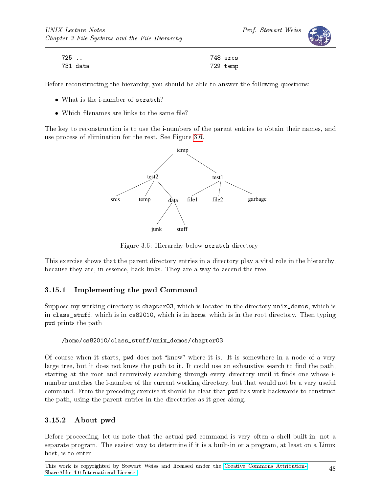Prof. Stewart Weiss



| 725 |          | 748 srcs |
|-----|----------|----------|
|     | 731 data | 729 temp |

Before reconstructing the hierarchy, you should be able to answer the following questions:

- What is the i-number of scratch?
- $\bullet$  Which filenames are links to the same file?

The key to reconstruction is to use the i-numbers of the parent entries to obtain their names, and use process of elimination for the rest. See Figure [3.6.](#page-47-0)



<span id="page-47-0"></span>Figure 3.6: Hierarchy below scratch directory

This exercise shows that the parent directory entries in a directory play a vital role in the hierarchy, because they are, in essence, back links. They are a way to ascend the tree.

### 3.15.1 Implementing the pwd Command

Suppose my working directory is chapter03, which is located in the directory unix\_demos, which is in class\_stuff, which is in cs82010, which is in home, which is in the root directory. Then typing pwd prints the path

#### /home/cs82010/class\_stuff/unix\_demos/chapter03

Of course when it starts, pwd does not "know" where it is. It is somewhere in a node of a very large tree, but it does not know the path to it. It could use an exhaustive search to find the path, starting at the root and recursively searching through every directory until it finds one whose inumber matches the i-number of the current working directory, but that would not be a very useful command. From the preceding exercise it should be clear that pwd has work backwards to construct the path, using the parent entries in the directories as it goes along.

### 3.15.2 About pwd

Before proceeding, let us note that the actual pwd command is very often a shell built-in, not a separate program. The easiest way to determine if it is a built-in or a program, at least on a Linux host, is to enter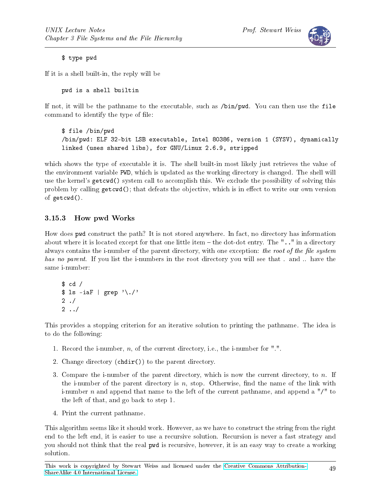

#### \$ type pwd

If it is a shell built-in, the reply will be

pwd is a shell builtin

If not, it will be the pathname to the executable, such as /bin/pwd. You can then use the file command to identify the type of file:

\$ file /bin/pwd /bin/pwd: ELF 32-bit LSB executable, Intel 80386, version 1 (SYSV), dynamically linked (uses shared libs), for GNU/Linux 2.6.9, stripped

which shows the type of executable it is. The shell built-in most likely just retrieves the value of the environment variable PWD, which is updated as the working directory is changed. The shell will use the kernel's getcwd() system call to accomplish this. We exclude the possibility of solving this problem by calling  $getcwd()$ ; that defeats the objective, which is in effect to write our own version of getcwd().

### 3.15.3 How pwd Works

How does pwd construct the path? It is not stored anywhere. In fact, no directory has information about where it is located except for that one little item - the dot-dot entry. The ".." in a directory always contains the i-number of the parent directory, with one exception: the root of the file system has no parent. If you list the i-numbers in the root directory you will see that . and .. have the same i-number:

 $$ cd /$  $$ 1s - iaf | grep ' \. /'$  $2 /$  $2 \ldots l$ 

This provides a stopping criterion for an iterative solution to printing the pathname. The idea is to do the following:

- 1. Record the i-number,  $n$ , of the current directory, i.e., the i-number for ".".
- 2. Change directory  $(c\ndot{a}$  (chdir()) to the parent directory.
- 3. Compare the i-number of the parent directory, which is now the current directory, to n. If the i-number of the parent directory is n, stop. Otherwise, find the name of the link with i-number n and append that name to the left of the current pathname, and append a  $''/''$  to the left of that, and go back to step 1.
- 4. Print the current pathname.

This algorithm seems like it should work. However, as we have to construct the string from the right end to the left end, it is easier to use a recursive solution. Recursion is never a fast strategy and you should not think that the real pwd is recursive, however, it is an easy way to create a working solution.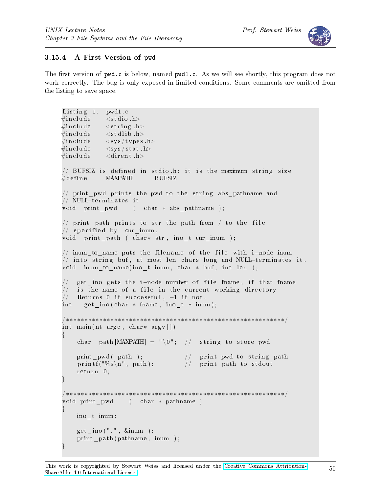



### 3.15.4 A First Version of pwd

The first version of pwd.c is below, named pwd1.c. As we will see shortly, this program does not work correctly. The bug is only exposed in limited conditions. Some comments are omitted from the listing to save space.

```
Listing 1. pwd1.c
\#\mathrm{include}\qquad\langle\,\mathrm{std}\,\mathrm{i}\,\mathrm{o}\;.\,\mathrm{h}\rangle\#\mathrm{include}\qquad<\mathrm{string}\;\; \mathrm{h}>\#\texttt{include} \langle stdlib.h>
\#in clude <sys/types.h>
\#\mathrm{include}\qquad\mathopen{<} \mathrm{sys}/\mathrm{stat} .h>
\#\texttt{include} < dirent .h>
// BUFSIZ is defined in stdio.h: it is the maximum string size
\#\text{define} MAXPATH BUFSIZ
// print_pwd prints the pwd to the string abs pathname and
// NULL-terminates it
void print pwd ( char * abs pathname );
// print path prints to str the path from / to the file
// specified by cur inum.
void print_path ( char* str, ino_t cur_inum );
// inum_to_name puts the filename of the file with i-node inum
// into string buf, at most len chars long and NULL–terminates it.
void inum to name ( ino t inum, char * buf, int len );
     get ino gets the i−node number of file fname, if that fname
// is the name of a file in the current working directory
// Returns 0 if successful, -1 if not.
int get ino ( char * fname, ino t * inum );
/∗∗∗∗∗∗∗∗∗∗∗∗∗∗∗∗∗∗∗∗∗∗∗∗∗∗∗∗∗∗∗∗∗∗∗∗∗∗∗∗∗∗∗∗∗∗∗∗∗∗∗∗∗∗∗∗∗∗∗/
int main (nt argc, char* argv [])
\{char path [MAXPATH] = "\langle 0"; \rangle / string to store pwd
      print_pwd( path );       // print pwd to string path
      \text{printf}(\text{''\%s}\ \text{''},\ \text{path}); \text{\hspace{0.5cm}} \text{\hspace{0.5cm}} \text{\hspace{0.5cm}} \text{\hspace{0.5cm}} \text{\hspace{0.5cm}} \text{\hspace{0.5cm}} \text{\hspace{0.5cm}} \text{\hspace{0.5cm}} \text{\hspace{0.5cm}} \text{\hspace{0.5cm}} \text{\hspace{0.5cm}} \text{\hspace{0.5cm}} \text{\hspace{0.5cm}} \text{\hspace{0.5cm}} \text{\hspace{0.5cm}} \text{\hspace{0.5cm}} \text{\hspace{0.5cm}} \text{\hspace{0.r et urn 0;
}
 /∗∗∗∗∗∗∗∗∗∗∗∗∗∗∗∗∗∗∗∗∗∗∗∗∗∗∗∗∗∗∗∗∗∗∗∗∗∗∗∗∗∗∗∗∗∗∗∗∗∗∗∗∗∗∗∗∗∗∗/
void print pwd ( char * pathname )
{
     ino_t inum ;
     get ino (" " , %inum ) ;
     print path ( pathname, inum );
}
```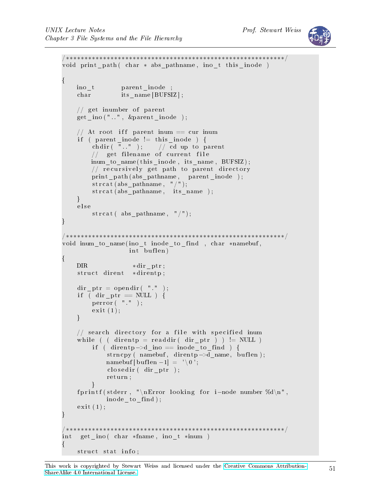

```
/∗∗∗∗∗∗∗∗∗∗∗∗∗∗∗∗∗∗∗∗∗∗∗∗∗∗∗∗∗∗∗∗∗∗∗∗∗∗∗∗∗∗∗∗∗∗∗∗∗∗∗∗∗∗∗∗∗∗∗/
void print_path ( char * abs pathname, ino t this inode )
{
    ino_t parent_inode ;
    char its name [ BUFSIZ ] ;
    // get inumber of parent
    get ino ("..", &parent inode );
    // At root iff parent inum = cur inum
    if (parent\_inode != this\_inode ) {
         chdir (\overline{\mathbb{R}} \cdot \mathbb{R}^n); // cd up to parent
         1/ get filename of current file
         \text{inum\_to\_name} (this_inode, its_name, BUFSIZ);
         // recursively get path to parent directory
         print_path (abs_pathname, parent_inode );
         strcat (abs pathname, "/");
         strcat (abs pathname, its_name);
    }
    e l s e
         strcat (abs pathname, "/");
}
/∗∗∗∗∗∗∗∗∗∗∗∗∗∗∗∗∗∗∗∗∗∗∗∗∗∗∗∗∗∗∗∗∗∗∗∗∗∗∗∗∗∗∗∗∗∗∗∗∗∗∗∗∗∗∗∗∗∗∗/
void inum to name ( ino t inode to find , char *namebuf ,
                     int buflen)
{
    \text{DIR} *dir_ptr;
    struct dirent *direntp;
    dir ptr = opendir (" ". ");
    if ( dir ptr = NULL ) {
         p error (\n\begin{array}{cc} \n\mathbf{m} & \n\mathbf{m} \\
\mathbf{m} & \n\end{array});
         ext{ (1)};
    }
    // search directory for a file with specified inum
    while ( ( direntp = readdir ( dir _ptr ) ) != NULL )
         if ( dirent p \rightarrow d ino == inode_to_find ) {
              strncpy ( namebuf, direntp->d_name, buflen);
              namebuf \lceil buflen -1 \rceil = \sqrt[3]{0};
              \text{closedir} ( dir ptr);
              r et urn;
         }
     fprintf(stderr, "\nError looking for i−node number %d\n",
             inode to find );
    ext{ (1)};
}
                                    /∗∗∗∗∗∗∗∗∗∗∗∗∗∗∗∗∗∗∗∗∗∗∗∗∗∗∗∗∗∗∗∗∗∗∗∗∗∗∗∗∗∗∗∗∗∗∗∗∗∗∗∗∗∗∗∗∗∗∗/
int get_ino ( char *fname, ino_t *inum )
\{struct stat info;
```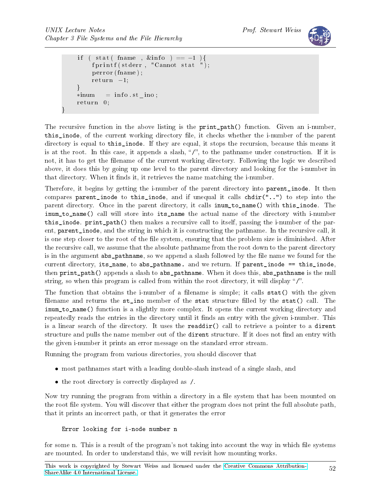}



```
if ( stat ( fname , \&info ) = -1 ){
    fprintf (stderr, "Cannot stat ");
    perror (fname);
    r et urn -1;
}
*inum = info.st in o;
r et urn 0;
```
The recursive function in the above listing is the **print\_path()** function. Given an i-number, this\_inode, of the current working directory file, it checks whether the i-number of the parent directory is equal to this\_inode. If they are equal, it stops the recursion, because this means it is at the root. In this case, it appends a slash, " $/$ ", to the pathname under construction. If it is not, it has to get the lename of the current working directory. Following the logic we described above, it does this by going up one level to the parent directory and looking for the i-number in that directory. When it finds it, it retrieves the name matching the i-number.

Therefore, it begins by getting the i-number of the parent directory into parent inode. It then compares parent\_inode to this\_inode, and if unequal it calls chdir("..") to step into the parent directory. Once in the parent directory, it calls inum\_to\_name() with this\_inode. The inum\_to\_name() call will store into its\_name the actual name of the directory with i-number this\_inode. print\_path() then makes a recursive call to itself, passing the i-number of the parent, parent\_inode, and the string in which it is constructing the pathname. In the recursive call, it is one step closer to the root of the file system, ensuring that the problem size is diminished. After the recursive call, we assume that the absolute pathname from the root down to the parent directory is in the argument abs\_pathname, so we append a slash followed by the file name we found for the current directory, its\_name, to abs\_pathname. and we return. If parent\_inode == this\_inode, then print\_path() appends a slash to abs\_pathname. When it does this, abs\_pathname is the null string, so when this program is called from within the root directory, it will display " $\gamma$ ".

The function that obtains the i-number of a filename is simple; it calls  $stat()$  with the given filename and returns the  $st\_ino$  member of the stat structure filled by the stat() call. The inum\_to\_name() function is a slightly more complex. It opens the current working directory and repeatedly reads the entries in the directory until it finds an entry with the given i-number. This is a linear search of the directory. It uses the readdir() call to retrieve a pointer to a dirent structure and pulls the name member out of the dirent structure. If it does not find an entry with the given i-number it prints an error message on the standard error stream.

Running the program from various directories, you should discover that

- most pathnames start with a leading double-slash instead of a single slash, and
- the root directory is correctly displayed as /.

Now try running the program from within a directory in a file system that has been mounted on the root file system. You will discover that either the program does not print the full absolute path, that it prints an incorrect path, or that it generates the error

Error looking for i-node number n

for some n. This is a result of the program's not taking into account the way in which file systems are mounted. In order to understand this, we will revisit how mounting works.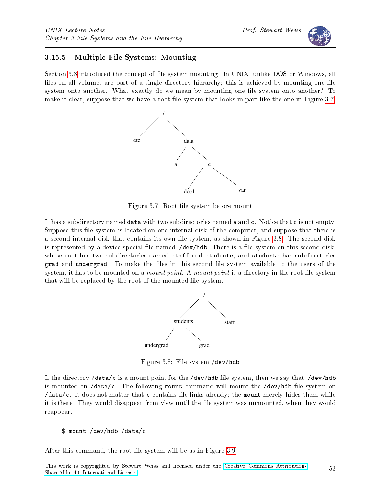### 3.15.5 Multiple File Systems: Mounting

Section [3.3](#page-0-0) introduced the concept of file system mounting. In UNIX, unlike DOS or Windows, all files on all volumes are part of a single directory hierarchy; this is achieved by mounting one file system onto another. What exactly do we mean by mounting one file system onto another? To make it clear, suppose that we have a root file system that looks in part like the one in Figure [3.7.](#page-52-0)



<span id="page-52-0"></span>Figure 3.7: Root file system before mount

It has a subdirectory named data with two subdirectories named a and c. Notice that c is not empty. Suppose this file system is located on one internal disk of the computer, and suppose that there is a second internal disk that contains its own file system, as shown in Figure [3.8.](#page-52-1) The second disk is represented by a device special file named  $/$ dev/hdb. There is a file system on this second disk, whose root has two subdirectories named staff and students, and students has subdirectories grad and undergrad. To make the files in this second file system available to the users of the system, it has to be mounted on a *mount point*. A *mount point* is a directory in the root file system that will be replaced by the root of the mounted file system.



<span id="page-52-1"></span>Figure 3.8: File system /dev/hdb

If the directory /data/c is a mount point for the /dev/hdb file system, then we say that /dev/hdb is mounted on  $\frac{\text{data}}{c}$ . The following mount command will mount the  $\frac{\text{dev}}{\text{label}}$  file system on  $\delta$  /data/c. It does not matter that c contains file links already; the mount merely hides them while it is there. They would disappear from view until the file system was unmounted, when they would reappear.

After this command, the root file system will be as in Figure [3.9.](#page-53-0)

<sup>\$</sup> mount /dev/hdb /data/c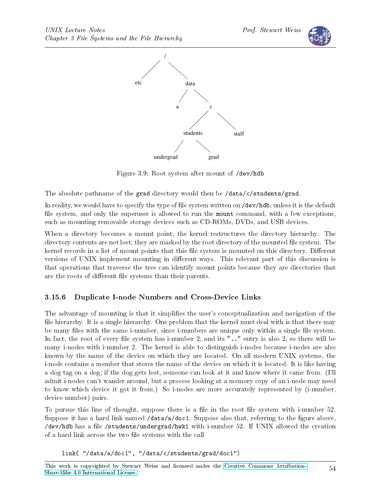



<span id="page-53-0"></span>Figure 3.9: Root system after mount of /dev/hdb

The absolute pathname of the grad directory would then be /data/c/students/grad.

In reality, we would have to specify the type of file system written on /dev/hdb, unless it is the default file system, and only the superuser is allowed to run the mount command, with a few exceptions, such as mounting removable storage devices such as CD-ROMs, DVDs, and USB devices.

When a directory becomes a mount point, the kernel restructures the directory hierarchy. The directory contents are not lost; they are masked by the root directory of the mounted file system. The kernel records in a list of mount points that this file system is mounted on this directory. Different versions of UNIX implement mounting in different ways. This relevant part of this discussion is that operations that traverse the tree can identify mount points because they are directories that are the roots of different file systems than their parents.

# 3.15.6 Duplicate I-node Numbers and Cross-Device Links

The advantage of mounting is that it simplifies the user's conceptualization and navigation of the file hierarchy. It is a single hierarchy. One problem that the kernel must deal with is that there may be many files with the same i-number, since i-numbers are unique only within a single file system. In fact, the root of every file system has i-number 2, and its  $" \dots"$  entry is also 2, so there will be many i-nodes with i-number 2. The kernel is able to distinguish i-nodes because i-nodes are also known by the name of the device on which they are located. On all modern UNIX systems, the i-node contains a member that stores the name of the device on which it is located. It is like having a dog tag on a dog; if the dog gets lost, someone can look at it and know where it came from. (I'll admit i-nodes can't wander around, but a process looking at a memory copy of an i-node may need to know which device it got it from.) So i-nodes are more accurately represented by (i-number, device number) pairs.

To pursue this line of thought, suppose there is a file in the root file system with  $i$ -number 52. Suppose it has a hard link named  $\delta$  data/a/doc1. Suppose also that, referring to the figure above, /dev/hdb has a file /students/undergrad/hwk1 with i-number 52. If UNIX allowed the creation of a hard link across the two file systems with the call

link( "/data/a/doc1", "/data/c/students/grad/doc1")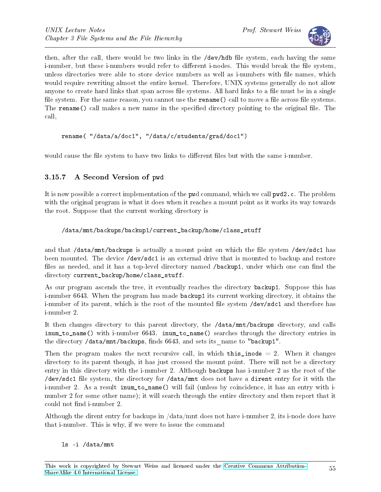

then, after the call, there would be two links in the /dev/hdb file system, each having the same i-number, but these i-numbers would refer to different i-nodes. This would break the file system, unless directories were able to store device numbers as well as i-numbers with file names, which would require rewriting almost the entire kernel. Therefore, UNIX systems generally do not allow anyone to create hard links that span across file systems. All hard links to a file must be in a single file system. For the same reason, you cannot use the rename() call to move a file across file systems. The rename() call makes a new name in the specified directory pointing to the original file. The call,

```
rename( "/data/a/doc1", "/data/c/students/grad/doc1")
```
would cause the file system to have two links to different files but with the same i-number.

# 3.15.7 A Second Version of pwd

It is now possible a correct implementation of the pwd command, which we call pwd2.c. The problem with the original program is what it does when it reaches a mount point as it works its way towards the root. Suppose that the current working directory is

### /data/mnt/backups/backup1/current\_backup/home/class\_stuff

and that  $\alpha$  /data/mnt/backups is actually a mount point on which the file system  $\alpha$  /dev/sdc1 has been mounted. The device /dev/sdc1 is an external drive that is mounted to backup and restore files as needed, and it has a top-level directory named /backup1, under which one can find the directory current backup/home/class stuff.

As our program ascends the tree, it eventually reaches the directory backup1. Suppose this has i-number 6643. When the program has made backup1 its current working directory, it obtains the i-number of its parent, which is the root of the mounted file system /dev/sdc1 and therefore has i-number 2.

It then changes directory to this parent directory, the /data/mnt/backups directory, and calls inum\_to\_name() with i-number 6643. inum\_to\_name() searches through the directory entries in the directory /data/mnt/backups, finds 6643, and sets its name to "backup1".

Then the program makes the next recursive call, in which this inode  $= 2$ . When it changes directory to its parent though, it has just crossed the mount point. There will not be a directory entry in this directory with the i-number 2. Although backups has i-number 2 as the root of the /dev/sdc1 file system, the directory for /data/mnt does not have a dirent entry for it with the i-number 2. As a result inum\_to\_name() will fail (unless by coincidence, it has an entry with inumber 2 for some other name); it will search through the entire directory and then report that it could not find i-number 2.

Although the dirent entry for backups in /data/mnt does not have i-number 2, its i-node does have that i-number. This is why, if we were to issue the command

#### ls -i /data/mnt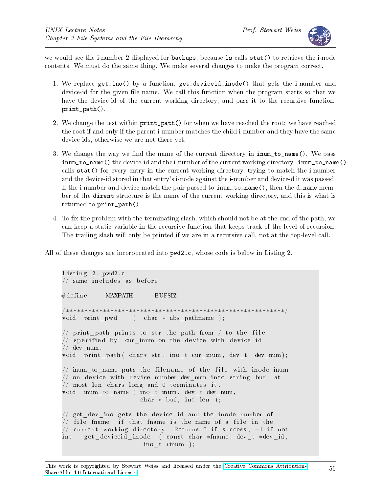

we would see the i-number 2 displayed for backups, because ls calls stat() to retrieve the i-node contents. We must do the same thing. We make several changes to make the program correct.

- 1. We replace get\_ino() by a function, get\_deviceid\_inode() that gets the i-number and device-id for the given file name. We call this function when the program starts so that we have the device-id of the current working directory, and pass it to the recursive function, print\_path().
- 2. We change the test within print\_path() for when we have reached the root: we have reached the root if and only if the parent i-number matches the child i-number and they have the same device ids, otherwise we are not there yet.
- 3. We change the way we find the name of the current directory in  $\texttt{inum_to_name}()$ . We pass inum\_to\_name() the device-id and the i-number of the current working directory. inum\_to\_name() calls stat() for every entry in the current working directory, trying to match the i-number and the device-id stored in that entry's i-node against the i-number and device-d it was passed. If the i-number and device match the pair passed to inum\_to\_name(), then the d\_name member of the dirent structure is the name of the current working directory, and this is what is returned to print\_path().
- 4. To fix the problem with the terminating slash, which should not be at the end of the path, we can keep a static variable in the recursive function that keeps track of the level of recursion. The trailing slash will only be printed if we are in a recursive call, not at the top-level call.

All of these changes are incorporated into pwd2.c, whose code is below in Listing 2.

```
Listing 2. pwd2.c\frac{1}{2} same includes as before
\#d efine MAXPATH BUFSIZ
/∗∗∗∗∗∗∗∗∗∗∗∗∗∗∗∗∗∗∗∗∗∗∗∗∗∗∗∗∗∗∗∗∗∗∗∗∗∗∗∗∗∗∗∗∗∗∗∗∗∗∗∗∗∗∗∗∗∗∗/
void print pwd ( char * abs pathname );
// print path prints to str the path from / to the file
// specified by \, cur_inum on the device with device id
// \text{ dev\_num} .
void print path ( char * str, ino t cur inum, dev t dev num );
// inum to name puts the filename of the file with inode inum
// on device with device number dev num into string buf, at
1/ most len chars long and 0 terminates it.
void inum_to_name ( ino_t inum, dev_t dev_num,
                     char * but, int len);// get\_dev\_ino gets the device id and the inode number of// file fname, if that fname is the name of a file in the
// current working directory. Returns 0 if success, -1 if not.
int get_deviceid_inode ( const char *fname, dev_t *dev_id,
                      ino_t ∗inum ) ;
```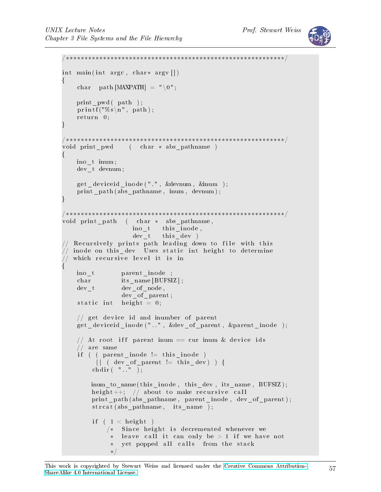

```
/∗∗∗∗∗∗∗∗∗∗∗∗∗∗∗∗∗∗∗∗∗∗∗∗∗∗∗∗∗∗∗∗∗∗∗∗∗∗∗∗∗∗∗∗∗∗∗∗∗∗∗∗∗∗∗∗∗∗∗/
int main (int argc, char* argv \vert \vert)
\left\{ \right.char path [MAXPATH] = "\setminus 0";
    print_pwd ( path ) ;
    print f("%s\n', path);
    return 0;}
/∗∗∗∗∗∗∗∗∗∗∗∗∗∗∗∗∗∗∗∗∗∗∗∗∗∗∗∗∗∗∗∗∗∗∗∗∗∗∗∗∗∗∗∗∗∗∗∗∗∗∗∗∗∗∗∗∗∗∗/
void print pwd ( char * abs pathname )
{
   ino_t inum ;
   dev t devnum;
    get deviceid inode (".", &devnum, &inum );
    print_path (abs_pathname, inum, devnum);
}
/∗∗∗∗∗∗∗∗∗∗∗∗∗∗∗∗∗∗∗∗∗∗∗∗∗∗∗∗∗∗∗∗∗∗∗∗∗∗∗∗∗∗∗∗∗∗∗∗∗∗∗∗∗∗∗∗∗∗∗/
void print_path ( char * abs pathname,
                   ino t this inode,
                   dev_t this_dev )
// Recursively prints path leading down to file with this
// inode on this dev Uses static int height to determine
  which recursive level it is in
{
    ino_t parent_inode ;
    char its name [ BUFSIZ ] ;
    dev t dev of node,
                dev of parent;
    static int height = 0;
    // get device id and inumber of parent
    get deviceid inode ("..", &dev of parent, &parent inode );
    // At root iff parent inum = cur inum & device ids
    // are same
    if ( ( parent_inode != this_inode )|| ( dev_of_parent != this dev) ) {
        chdir( " " );
        inum to name (this inode, this dev, its name, BUFSIZ);
        height++; // about to make recursive call
        print_path (abs_pathname, parent_inode, dev_of_parent);
        strcat (abs\_pathname , \n  its_name );if ( 1 < height)
            /* Since height is decremented whenever we
             ∗ leave call it can only be > 1 if we have not
                yet popped all calls from the stack
             ∗/
```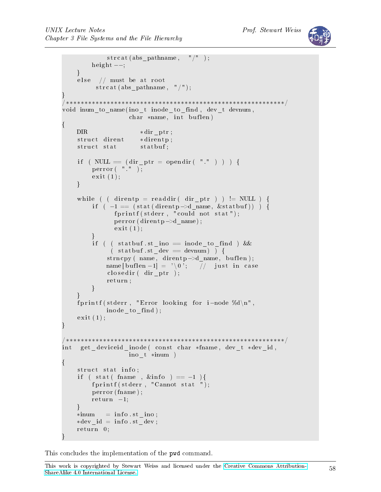```
strcat (abs pathname, "/" );
         height -;
    }
    else // must be at root
          strcat (abs_pathname, "/");
}
/∗∗∗∗∗∗∗∗∗∗∗∗∗∗∗∗∗∗∗∗∗∗∗∗∗∗∗∗∗∗∗∗∗∗∗∗∗∗∗∗∗∗∗∗∗∗∗∗∗∗∗∗∗∗∗∗∗∗∗/
void inum_to_name(ino_t inode_to_find, dev_t devnum,
                    char *name, int but len){
    DIR ∗dir ptr;
    struct dirent *direntp;
    struct stat statbuf;
    if ( NULL = (dir ptr = opendir ( "." ) ) ) {
         p error (\n\begin{array}{cc} \n\mathbf{m} & \n\mathbf{m} \\
\mathbf{m} & \n\end{array});
         ext{ext}(1);}
    while ( ( direntp = readdir ( dir ptr ) ) != NULL ) {
         if ( -1 = (stat (direntp - > d_name, kstatbuf)) ) {
                fprint(f (stder, "could not stat");p error (dirent p ->d_name) ;
                ext{ext}(1);}
         if ( ( statbuf st ino = inode to find ) &&
               ( statbuf.st dev = devnum ) ) {
             \text{strncpy} ( name, dirent p \rightarrow d\_name, buflen);
             name [ buflen -1] = '\0'; // just in case
             \text{closedir} ( dir ptr);
             r et urn;
         }
    }
    fprintf (stderr, "Error looking for i-node %d\n",
             inode_to_ find ) ;
    ext{ (1)};
}
/∗∗∗∗∗∗∗∗∗∗∗∗∗∗∗∗∗∗∗∗∗∗∗∗∗∗∗∗∗∗∗∗∗∗∗∗∗∗∗∗∗∗∗∗∗∗∗∗∗∗∗∗∗∗∗∗∗∗∗/
int get_deviceid_inode ( const char *fname, dev_t *dev_id,
                   ino_t ∗inum )
{
    struct stat info;
    if ( stat ( fname , &\sin f \circ = -1 ){
         fprintf (stderr, "Cannot stat ");
         perror (fname);
         r et urn -1;
    }
    *inum = info.st \text{ino};
    *dev id = info st dev;
    r et urn 0;
}
```
This concludes the implementation of the pwd command.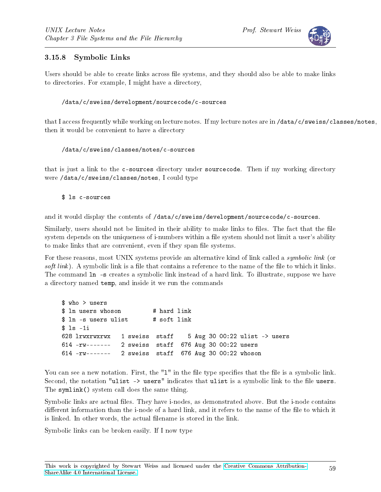

### 3.15.8 Symbolic Links

Users should be able to create links across file systems, and they should also be able to make links to directories. For example, I might have a directory,

#### /data/c/sweiss/development/sourcecode/c-sources

that I access frequently while working on lecture notes. If my lecture notes are in /data/c/sweiss/classes/notes, then it would be convenient to have a directory

#### /data/c/sweiss/classes/notes/c-sources

that is just a link to the c-sources directory under sourcecode. Then if my working directory were /data/c/sweiss/classes/notes, I could type

\$ ls c-sources

and it would display the contents of /data/c/sweiss/development/sourcecode/c-sources.

Similarly, users should not be limited in their ability to make links to files. The fact that the file system depends on the uniqueness of i-numbers within a file system should not limit a user's ability to make links that are convenient, even if they span file systems.

For these reasons, most UNIX systems provide an alternative kind of link called a *symbolic link* (or soft link). A symbolic link is a file that contains a reference to the name of the file to which it links. The command  $\ln$  -s creates a symbolic link instead of a hard link. To illustrate, suppose we have a directory named temp, and inside it we run the commands

\$ who > users \$ ln users whoson # hard link \$ ln -s users ulist # soft link \$ ls -1i 628 lrwxrwxrwx 1 sweiss staff 5 Aug 30 00:22 ulist -> users 614 -rw------- 2 sweiss staff 676 Aug 30 00:22 users 614 -rw------- 2 sweiss staff 676 Aug 30 00:22 whoson

You can see a new notation. First, the "1" in the file type specifies that the file is a symbolic link. Second, the notation "ulist -> users" indicates that ulist is a symbolic link to the file users. The symlink() system call does the same thing.

Symbolic links are actual files. They have i-nodes, as demonstrated above. But the i-node contains different information than the i-node of a hard link, and it refers to the name of the file to which it is linked. In other words, the actual filename is stored in the link.

Symbolic links can be broken easily. If I now type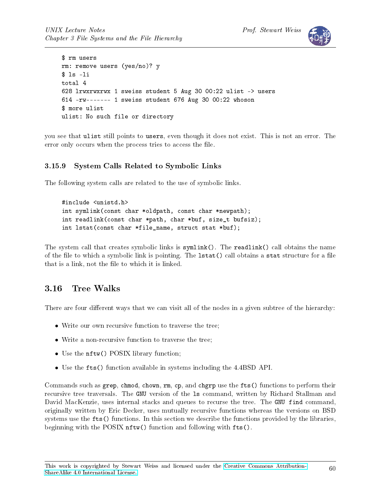

```
$ rm users
rm: remove users (yes/no)? y
$ ls -li
total 4
628 lrwxrwxrwx 1 sweiss student 5 Aug 30 00:22 ulist -> users
614 -rw------- 1 sweiss student 676 Aug 30 00:22 whoson
$ more ulist
ulist: No such file or directory
```
you see that ulist still points to users, even though it does not exist. This is not an error. The error only occurs when the process tries to access the file.

### 3.15.9 System Calls Related to Symbolic Links

The following system calls are related to the use of symbolic links.

#include <unistd.h> int symlink(const char \*oldpath, const char \*newpath); int readlink(const char \*path, char \*buf, size\_t bufsiz); int lstat(const char \*file\_name, struct stat \*buf);

The system call that creates symbolic links is symlink(). The readlink() call obtains the name of the file to which a symbolic link is pointing. The 1stat() call obtains a stat structure for a file that is a link, not the file to which it is linked.

# 3.16 Tree Walks

There are four different ways that we can visit all of the nodes in a given subtree of the hierarchy:

- Write our own recursive function to traverse the tree;
- Write a non-recursive function to traverse the tree;
- Use the  $n$ ftw() POSIX library function;
- Use the fts() function available in systems including the 4.4BSD API.

Commands such as grep, chmod, chown, rm, cp, and chgrp use the fts() functions to perform their recursive tree traversals. The GNU version of the ls command, written by Richard Stallman and David MacKenzie, uses internal stacks and queues to recurse the tree. The GNU find command, originally written by Eric Decker, uses mutually recursive functions whereas the versions on BSD systems use the fts() functions. In this section we describe the functions provided by the libraries, beginning with the POSIX nftw() function and following with fts().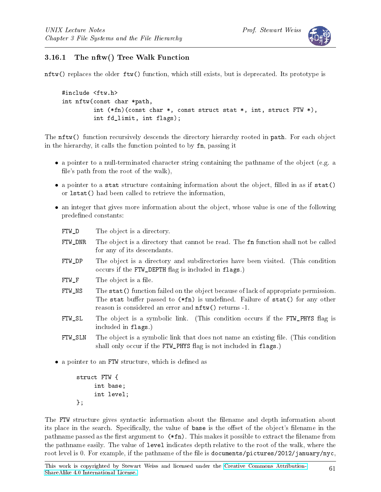

## 3.16.1 The nftw() Tree Walk Function

nftw() replaces the older ftw() function, which still exists, but is deprecated. Its prototype is

```
#include <ftw.h>
int nftw(const char *path,
         int (*fn)(const char *, const struct stat *, int, struct FTW *),
         int fd_limit, int flags);
```
The nftw() function recursively descends the directory hierarchy rooted in path. For each object in the hierarchy, it calls the function pointed to by fn, passing it

- a pointer to a null-terminated character string containing the pathname of the object (e.g. a file's path from the root of the walk),
- $\bullet$  a pointer to a stat structure containing information about the object, filled in as if stat() or lstat() had been called to retrieve the information,
- an integer that gives more information about the object, whose value is one of the following predefined constants:

FTW\_D The object is a directory.

- FTW\_DNR The object is a directory that cannot be read. The fn function shall not be called for any of its descendants.
- FTW\_DP The object is a directory and subdirectories have been visited. (This condition occurs if the FTW\_DEPTH flag is included in flags.)
- FTW\_F The object is a file.
- FTW\_NS The stat() function failed on the object because of lack of appropriate permission. The stat buffer passed to  $(*fn)$  is undefined. Failure of stat() for any other reason is considered an error and nftw() returns -1.
- FTW\_SL The object is a symbolic link. (This condition occurs if the FTW\_PHYS flag is included in flags.)
- FTW SLN The object is a symbolic link that does not name an existing file. (This condition shall only occur if the FTW PHYS flag is not included in flags.)
- $\bullet$  a pointer to an FTW structure, which is defined as

```
struct FTW {
     int base;
     int level;
};
```
The FTW structure gives syntactic information about the filename and depth information about its place in the search. Specifically, the value of base is the offset of the object's filename in the pathname passed as the first argument to  $(*fn)$ . This makes it possible to extract the filename from the pathname easily. The value of level indicates depth relative to the root of the walk, where the root level is 0. For example, if the pathname of the file is documents/pictures/2012/january/nyc,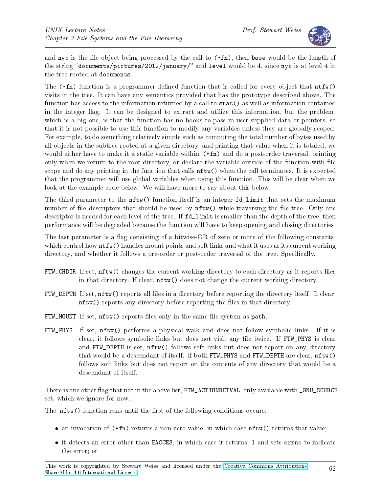

and nyc is the file object being processed by the call to  $(*fn)$ , then base would be the length of the string "documents/pictures/2012/january/" and level would be 4, since nyc is at level 4 in the tree rooted at documents.

The  $(*fn)$  function is a programmer-defined function that is called for every object that  $ntfw()$ visits in the tree. It can have any semantics provided that has the prototype described above. The function has access to the information returned by a call to stat() as well as information contained in the integer flag. It can be designed to extract and utilize this information, but the problem, which is a big one, is that the function has no hooks to pass in user-supplied data or pointers, so that it is not possible to use this function to modify any variables unless they are globally scoped. For example, to do something relatively simple such as computing the total number of bytes used by all objects in the subtree rooted at a given directory, and printing that value when it is totaled, we would either have to make it a static variable within  $(*fn)$  and do a post-order traversal, printing only when we return to the root directory, or declare the variable outside of the function with file scope and do any printing in the function that calls nftw() when the call terminates. It is expected that the programmer will use global variables when using this function. This will be clear when we look at the example code below. We will have more to say about this below.

The third parameter to the **nftw**() function itself is an integer fd limit that sets the maximum number of file descriptors that should be used by  $nftw()$  while traversing the file tree. Only one descriptor is needed for each level of the tree. If fd limit is smaller than the depth of the tree, then performance will be degraded because the function will have to keep opening and closing directories.

The last parameter is a flag consisting of a bitwise-OR of zero or more of the following constants, which control how  $\text{ntfw}(\text{)}$  handles mount points and soft links and what it uses as its current working directory, and whether it follows a pre-order or post-order traversal of the tree. Specifically,

- FTW\_CHDIR If set, nftw() changes the current working directory to each directory as it reports files in that directory. If clear, nftw() does not change the current working directory.
- FTW\_DEPTH If set, nftw() reports all files in a directory before reporting the directory itself. If clear, nftw() reports any directory before reporting the files in that directory.
- FTW\_MOUNT If set, nftw() reports files only in the same file system as path.
- FTW\_PHYS If set, nftw() performs a physical walk and does not follow symbolic links. If it is clear, it follows symbolic links but does not visit any file twice. If FTW\_PHYS is clear and FTW\_DEPTH is set, nftw() follows soft links but does not report on any directory that would be a descendant of itself. If both FTW\_PHYS and FTW\_DEPTH are clear, nftw() follows soft links but does not report on the contents of any directory that would be a descendant of itself.

There is one other flag that not in the above list, FTW\_ACTIONRETVAL, only available with \_GNU\_SOURCE set, which we ignore for now.

The  $nftw()$  function runs until the first of the following conditions occurs:

- an invocation of  $(*fn)$  returns a non-zero value, in which case  $nftw()$  returns that value;
- it detects an error other than EACCES, in which case it returns -1 and sets errno to indicate the error; or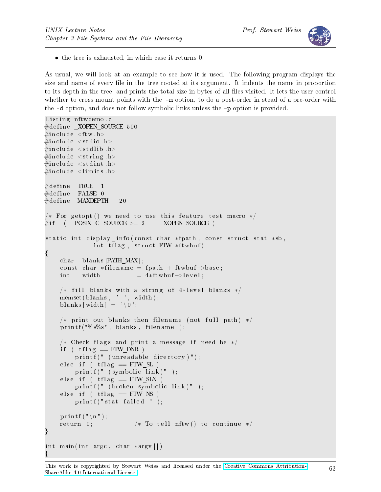

• the tree is exhausted, in which case it returns 0.

As usual, we will look at an example to see how it is used. The following program displays the size and name of every file in the tree rooted at its argument. It indents the name in proportion to its depth in the tree, and prints the total size in bytes of all files visited. It lets the user control whether to cross mount points with the  $-\text{m}$  option, to do a post-order in stead of a pre-order with the -d option, and does not follow symbolic links unless the -p option is provided.

```
Listing nftwdemo.c
\#d efine _XOPEN_SOURCE 500
\#\texttt{include}~<\texttt{ftw} . h>\#\texttt{include}\ <\texttt{stdio} .h>
\#\texttt{include}\ < \texttt{stdlib} .h>
\#\texttt{include}\ <\texttt{string} . h>
\#\texttt{include}\ < \texttt{stdint} . h>\#\texttt{include}\ <\!\!\texttt{limits}\,\texttt{h}>\#\text{define} TRUE 1
\#\text{define} FALSE 0
\#\text{define} MAXDEPTH 20
/* For getopt () we need to use this feature test macro */\#if ( POSIX C SOURCE >= 2 | | XOPEN SOURCE )
static int display info (const char *fpath, const struct stat *sb,
                int tflag, struct FTW * ftwbuf)
{
     char blanks [PATH_MAX];
     const char *filename = fpath + ftwbuf->base;int \quad \text{width} \quad = 4 * ft \, \text{w} \, \text{bu} \, \text{f} \rightarrow \text{level} ;/* fill blanks with a string of 4*level blanks */
    memset ( blanks , ' ', width );
     blanks [width] = ' \setminus 0;
     /* print out blanks then filename (not full path) */
     print f("%s%s", blanks, filename);/* Check flags and print a message if need be */
     if ( tf \mid ag \equiv \text{FTW} \text{DNR} )
          printf (" (unreadable directory)");
     else if (tflag = FTWSL)
          printf (" (symbol line line) " );
     else if ( tflag = FTW SIN )
          printf (" (broken symbolic link)");
     else if ( tflag = FTW NS )
          printf ("stat failed ");
     p r i n t f (\sqrt[n]{n});
     return 0; /* To tell nftw () to continue */}
int main(int argc, char *argv||)
{
```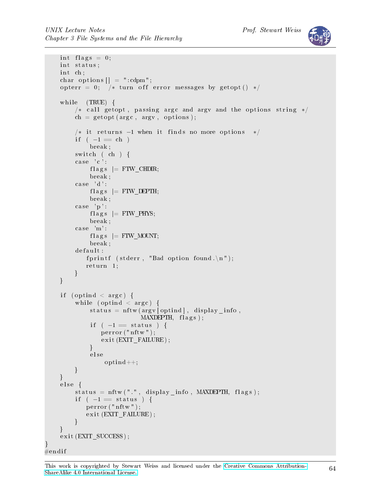

```
int flags = 0;
    int status;
    int ch;
    char options \begin{bmatrix} \end{bmatrix} = ":\text{cdpm";opterr = 0; /* turn off error messages by getopt() */
    while (TRUE) {
         /* call getopt, passing argc and argy and the options string */ch = getopt(argc, argv, options);/* it returns -1 when it finds no more options */
         if (-1 == ch)break ;
         switch (\ch) {
         case 'c':f l a g s \vert = FTW CHDIR;
              break ;
         case 'd':f \lvert \text{ags} \rvert = \text{FTW} DEPTH;
              break ;
         case 'p':flags = FTW_PHYS;
              break ;
         case 'm':flags = FTW MOUNT;
              break ;
         d e f a u l t :
             fprintf (stderr, "Bad option found.\n");
            r et urn 1;
         }
    }
    if (optind \langle argc) {
         while (optind \langle argc) {
             status = nftw (argv[optind], display_info,MAXDEPTH, \text{ flags};if ( -1 = status ) {
                 perror("nftw");ext{exit} (EXIT_FAILURE);
              }
              e l s e
                  optind++;}
    }
    else {
         status = nftw(" " , display_info , MAXDEPTH, flags);if ( -1 = status ) {
            perror("nftw");exit (EXTTFALURE);
         }
    }
    exit (EXIT_SUCCESS);
#endif
```
}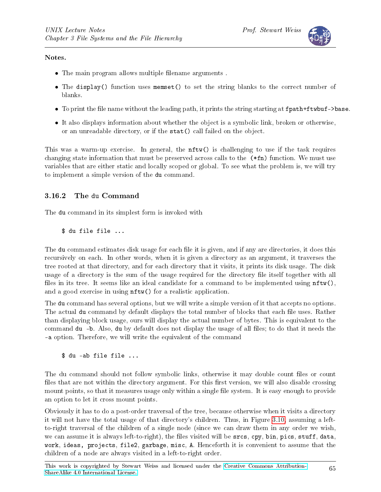#### Notes.

- The main program allows multiple filename arguments.
- The display() function uses memset() to set the string blanks to the correct number of blanks.
- To print the file name without the leading path, it prints the string starting at fpath+ftwbuf->base.
- It also displays information about whether the object is a symbolic link, broken or otherwise, or an unreadable directory, or if the stat() call failed on the object.

This was a warm-up exercise. In general, the nftw() is challenging to use if the task requires changing state information that must be preserved across calls to the (\*fn) function. We must use variables that are either static and locally scoped or global. To see what the problem is, we will try to implement a simple version of the du command.

### 3.16.2 The du Command

The du command in its simplest form is invoked with

\$ du file file ...

The du command estimates disk usage for each file it is given, and if any are directories, it does this recursively on each. In other words, when it is given a directory as an argument, it traverses the tree rooted at that directory, and for each directory that it visits, it prints its disk usage. The disk usage of a directory is the sum of the usage required for the directory file itself together with all files in its tree. It seems like an ideal candidate for a command to be implemented using  $\texttt{ntw}()$ , and a good exercise in using nftw() for a realistic application.

The du command has several options, but we will write a simple version of it that accepts no options. The actual du command by default displays the total number of blocks that each file uses. Rather than displaying block usage, ours will display the actual number of bytes. This is equivalent to the command du -b. Also, du by default does not display the usage of all files; to do that it needs the -a option. Therefore, we will write the equivalent of the command

\$ du -ab file file ...

The du command should not follow symbolic links, otherwise it may double count files or count files that are not within the directory argument. For this first version, we will also disable crossing mount points, so that it measures usage only within a single file system. It is easy enough to provide an option to let it cross mount points.

Obviously it has to do a post-order traversal of the tree, because otherwise when it visits a directory it will not have the total usage of that directory's children. Thus, in Figure [3.10,](#page-65-0) assuming a leftto-right traversal of the children of a single node (since we can draw them in any order we wish, we can assume it is always left-to-right), the files visited will be srcs, cpy, bin, pics, stuff, data, work, ideas, projects, file2, garbage, misc, A. Henceforth it is convenient to assume that the children of a node are always visited in a left-to-right order.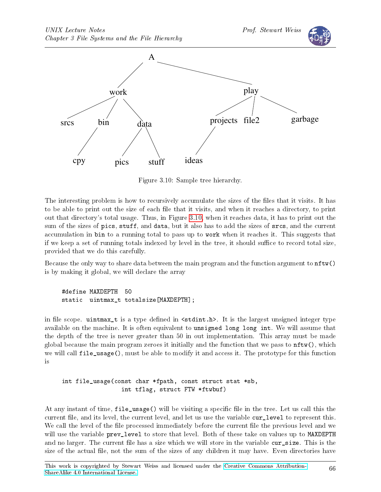

<span id="page-65-0"></span>Figure 3.10: Sample tree hierarchy.

The interesting problem is how to recursively accumulate the sizes of the files that it visits. It has to be able to print out the size of each file that it visits, and when it reaches a directory, to print out that directory's total usage. Thus, in Figure [3.10,](#page-65-0) when it reaches data, it has to print out the sum of the sizes of pics, stuff, and data, but it also has to add the sizes of srcs, and the current accumulation in bin to a running total to pass up to work when it reaches it. This suggests that if we keep a set of running totals indexed by level in the tree, it should suffice to record total size, provided that we do this carefully.

Because the only way to share data between the main program and the function argument to nftw() is by making it global, we will declare the array

### #define MAXDEPTH 50 static uintmax\_t totalsize[MAXDEPTH];

in file scope. uintmax\_t is a type defined in  $\leq$  stdint.h>. It is the largest unsigned integer type available on the machine. It is often equivalent to unsigned long long int. We will assume that the depth of the tree is never greater than 50 in out implementation. This array must be made global because the main program zeroes it initially and the function that we pass to  $nftw()$ , which we will call file\_usage(), must be able to modify it and access it. The prototype for this function is

int file\_usage(const char \*fpath, const struct stat \*sb, int tflag, struct FTW \*ftwbuf)

At any instant of time, file\_usage() will be visiting a specific file in the tree. Let us call this the current file, and its level, the current level, and let us use the variable cur\_level to represent this. We call the level of the file processed immediately before the current file the previous level and we will use the variable prev\_level to store that level. Both of these take on values up to MAXDEPTH and no larger. The current file has a size which we will store in the variable cur\_size. This is the size of the actual file, not the sum of the sizes of any children it may have. Even directories have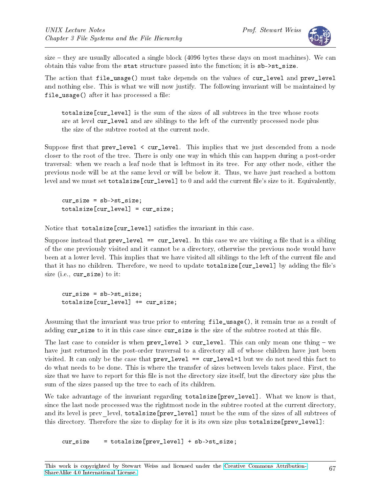

size  $-$  they are usually allocated a single block (4096 bytes these days on most machines). We can obtain this value from the stat structure passed into the function; it is sb->st\_size.

The action that file\_usage() must take depends on the values of cur\_level and prev\_level and nothing else. This is what we will now justify. The following invariant will be maintained by  $file\_usage()$  after it has processed a file:

totalsize [cur\_level] is the sum of the sizes of all subtrees in the tree whose roots are at level cur\_level and are siblings to the left of the currently processed node plus the size of the subtree rooted at the current node.

Suppose first that  $prev\_level < cur\_level$ . This implies that we just descended from a node closer to the root of the tree. There is only one way in which this can happen during a post-order traversal: when we reach a leaf node that is leftmost in its tree. For any other node, either the previous node will be at the same level or will be below it. Thus, we have just reached a bottom level and we must set totalsize[cur\_level] to 0 and add the current file's size to it. Equivalently,

cur\_size = sb->st\_size; totalsize[cur\_level] = cur\_size;

Notice that totalsize[cur\_level] satisfies the invariant in this case.

Suppose instead that  $prev\_level == cur\_level$ . In this case we are visiting a file that is a sibling of the one previously visited and it cannot be a directory, otherwise the previous node would have been at a lower level. This implies that we have visited all siblings to the left of the current file and that it has no children. Therefore, we need to update totalsize[cur\_level] by adding the file's size (i.e., cur\_size) to it:

cur\_size = sb->st\_size; totalsize[cur\_level] += cur\_size;

Assuming that the invariant was true prior to entering file\_usage(), it remain true as a result of adding cur\_size to it in this case since cur\_size is the size of the subtree rooted at this file.

The last case to consider is when prev level  $>$  cur\_level. This can only mean one thing  $-$  we have just returned in the post-order traversal to a directory all of whose children have just been visited. It can only be the case that  $prev\_level = cur\_level+1$  but we do not need this fact to do what needs to be done. This is where the transfer of sizes between levels takes place. First, the size that we have to report for this file is not the directory size itself, but the directory size plus the sum of the sizes passed up the tree to each of its children.

We take advantage of the invariant regarding totalsize[prev\_level]. What we know is that, since the last node processed was the rightmost node in the subtree rooted at the current directory, and its level is prev\_level, totalsize[prev\_level] must be the sum of the sizes of all subtrees of this directory. Therefore the size to display for it is its own size plus totalsize[prev\_level]:

cur\_size = totalsize[prev\_level] + sb->st\_size;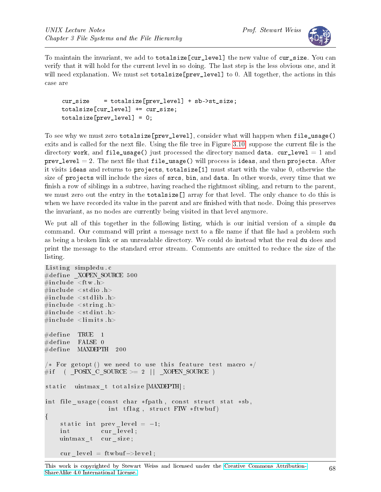

To maintain the invariant, we add to totalsize[cur\_level] the new value of cur\_size. You can verify that it will hold for the current level in so doing. The last step is the less obvious one, and it will need explanation. We must set totalsize [prev\_level] to 0. All together, the actions in this case are

```
cur_size = totalsize[prev_level] + sb->st_size;
totalsize[cur_level] += cur_size;
totalsize[prev level] = 0;
```
To see why we must zero totalsize[prev\_level], consider what will happen when file\_usage() exits and is called for the next file. Using the file tree in Figure [3.10,](#page-65-0) suppose the current file is the directory work, and file\_usage() just processed the directory named data. cur\_level = 1 and  $prev_{level} = 2$ . The next file that file\_usage() will process is ideas, and then projects. After it visits ideas and returns to projects, totalsize[1] must start with the value 0, otherwise the size of projects will include the sizes of srcs, bin, and data. In other words, every time that we finish a row of siblings in a subtree, having reached the rightmost sibling, and return to the parent, we must zero out the entry in the totalsize[] array for that level. The only chance to do this is when we have recorded its value in the parent and are finished with that node. Doing this preserves the invariant, as no nodes are currently being visited in that level anymore.

We put all of this together in the following listing, which is our initial version of a simple du command. Our command will print a message next to a file name if that file had a problem such as being a broken link or an unreadable directory. We could do instead what the real du does and print the message to the standard error stream. Comments are omitted to reduce the size of the listing.

```
Listing simpledu.c
\#\text{define}\_\text{XOPEN\_SOURCE}\, 500
\#\texttt{include}~<\texttt{ftw.h}>\#\texttt{include}\ <\texttt{stdio} .h>
\#\texttt{include}\ < \texttt{stdlib} . h>\#\texttt{include}\ <\texttt{string} . \texttt{h}>\#\texttt{include}\ < \texttt{stdint} . h>\#\texttt{include}\ <\!\!\texttt{limits}\,\texttt{h}>\#\text{define} TRUE 1
\#define FALSE 0
\#\text{define} MAXDEPTH 200
/* For getopt () we need to use this feature test macro */
\# \text{if} \quad (\text{ } \_ POSIX_C_SOURCE >= 2 || _ XOPEN_SOURCE )
static uintmax t totalsize [MAXDEPTH];
int file usage ( const char * fpath, const struct stat *sb,
                        int tflag, struct FTW *ftwbuf)
{
     static int prev level = -1;
     int cur level;
     uintmax t cur size;
     cur level = ftwbuf->level;
```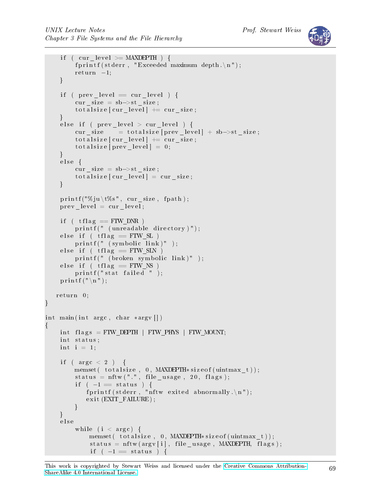```
if ( cur level >= MAXDEPTH ) {
         fprint(f (stderr, "Exceeded maximum depth. \n\cdot n");r et urn -1;
    }
    if ( prev\_level = cur\_level ) {
         cur\_size = sb \rightarrow st\_size;\text{total size} [ cur level ] \text{+=} cur size;
    }
    else if ( prev\_level > cur\_level ) {
         cur\_size = totalsize [prev\_level] + sb->st_size;
         \text{total size} [\text{cur\_level}] \text{ +=} \text{cur\_size};total size [prev\_level] = 0;}
    else fcur size = sb\rightarrowst size;
         total size [cur-level] = cur size;}
    print f("%ju \t\%s", cur_size, fpath);prev level = cur level;
    if ( tf \mid ag \mid = \text{FTW} \text{DNR} )
         printf (" (unreadable directory)");
    else if ( tflag = FTW_SL )
         print f(" (symbol c) in k)" ;
    else if ( tflag = FTW SIN )
         printf (" (broken symbolic link)");
    else if (tflag = FTW_NS)
         print f("stat failed");
    p r i n t f (\mathbb{''}\n\setminus n^{\mathsf{T}});
   return 0;
}
int main(int argc, char *argv[])
{
    int flags = FTW_DEPTH | FTW_PHYS | FTW_MOUNT;
    int status;
    int i = 1;if (\arg c < 2) {
         memset ( totalsize, 0, MAXDEPTH* size of (uintmax_t));
         status = nftw(" " , file_usage , 20, flags);if ( -1 = status ) {
             fprintf (stderr, "nftw exited abnormally.\n\cdot n");
             exit (EXIT_FAILURE);
         }
    }
    e l s e
         while (i \langle argc) {
              memset ( total size, 0, MAXDEPTH* size of (uintmax_t));
              status = nftw(argv[i], file_usage, MAXDEPTH, flags);if ( -1 = status ) {
```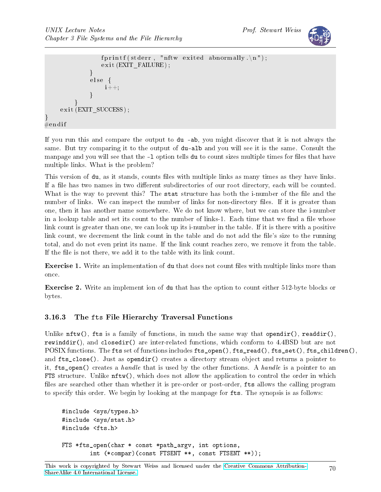}



```
fprintf (stderr, "nftw exited abnormally.\n\cdot n");
                           exit (EXTFAILURE);
                     }
                      e l s e {
                             i + +;}
              }
       ext{ext} (EXIT_SUCCESS);
\#\mathrm{e}\,\mathrm{n}\,\mathrm{d}\,\mathrm{i}\,\mathrm{f}
```
If you run this and compare the output to du -ab, you might discover that it is not always the same. But try comparing it to the output of du-alb and you will see it is the same. Consult the manpage and you will see that the -1 option tells du to count sizes multiple times for files that have multiple links. What is the problem?

This version of du, as it stands, counts files with multiple links as many times as they have links. If a file has two names in two different subdirectories of our root directory, each will be counted. What is the way to prevent this? The stat structure has both the i-number of the file and the number of links. We can inspect the number of links for non-directory files. If it is greater than one, then it has another name somewhere. We do not know where, but we can store the i-number in a lookup table and set its count to the number of links-1. Each time that we find a file whose link count is greater than one, we can look up its i-number in the table. If it is there with a positive link count, we decrement the link count in the table and do not add the file's size to the running total, and do not even print its name. If the link count reaches zero, we remove it from the table. If the file is not there, we add it to the table with its link count.

Exercise 1. Write an implementation of du that does not count files with multiple links more than once.

Exercise 2. Write an implement ion of du that has the option to count either 512-byte blocks or bytes.

### 3.16.3 The fts File Hierarchy Traversal Functions

Unlike  $\texttt{ntw}()$ , fts is a family of functions, in much the same way that opendir(), readdir(), rewinddir(), and closedir() are inter-related functions, which conform to 4.4BSD but are not POSIX functions. The fts set of functions includes fts\_open(), fts\_read(), fts\_set(), fts\_children(), and fts\_close(). Just as opendir() creates a directory stream object and returns a pointer to it, fts\_open() creates a handle that is used by the other functions. A handle is a pointer to an FTS structure. Unlike nftw(), which does not allow the application to control the order in which files are searched other than whether it is pre-order or post-order, fts allows the calling program to specify this order. We begin by looking at the manpage for fts. The synopsis is as follows:

```
#include <sys/types.h>
#include <sys/stat.h>
#include <fts.h>
FTS *fts_open(char * const *path_argv, int options,
        int (*compar)(const FTSENT **, const FTSENT **));
```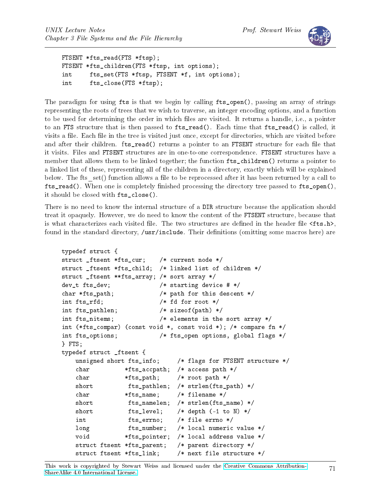

FTSENT \*fts\_read(FTS \*ftsp); FTSENT \*fts\_children(FTS \*ftsp, int options); int fts\_set(FTS \*ftsp, FTSENT \*f, int options); int fts close(FTS \*ftsp);

```
The paradigm for using fts is that we begin by calling fts_open(), passing an array of strings
representing the roots of trees that we wish to traverse, an integer encoding options, and a function
to be used for determining the order in which files are visited. It returns a handle, i.e., a pointer
to an FTS structure that is then passed to fts_read(). Each time that fts_read() is called, it
visits a file. Each file in the tree is visited just once, except for directories, which are visited before
and after their children. fts_read() returns a pointer to an FTSENT structure for each file that
it visits. Files and FTSENT structures are in one-to-one correspondence. FTSENT structures have a
member that allows them to be linked together; the function fts_children() returns a pointer to
a linked list of these, representing all of the children in a directory, exactly which will be explained
below. The fts set() function allows a file to be reprocessed after it has been returned by a call to
fts\_read(). When one is completely finished processing the directory tree passed to fts\_open(),
it should be closed with fts_close().
```
There is no need to know the internal structure of a DIR structure because the application should treat it opaquely. However, we do need to know the content of the FTSENT structure, because that is what characterizes each visited file. The two structures are defined in the header file  $\texttt{sts.h>}$ , found in the standard directory, /usr/include. Their definitions (omitting some macros here) are

```
typedef struct {
struct _ftsent *fts_cur; /* current node */
struct _ftsent *fts_child; /* linked list of children */
struct _ftsent **fts_array; /* sort array */
dev_t fts_dev; /* starting device # */
char *fts_path; /* path for this descent */
int fts_rfd; /* fd for root */
int fts_pathlen; /* sizeof(path) */
int fts_nitems; /* elements in the sort array */
int (*fts_compar) (const void *, const void *); /* compare fn */
int fts_options; /* fts_open options, global flags */
} FTS;
typedef struct _ftsent {
   unsigned short fts_info; /* flags for FTSENT structure */
   char *fts_accpath; /* access path */
   char *fts_path; /* root path */
   short fts_pathlen; /* strlen(fts_path) */
   char *fts_name; /* filename */
   short fts_namelen; /* strlen(fts_name) */
   short fts level; /* depth (-1 \text{ to } N) */
   int fts errno; /* file errno */
   long fts_number; /* local numeric value */
   void *fts_pointer; /* local address value */
   struct ftsent *fts_parent; /* parent directory */
   struct ftsent *fts_link; /* next file structure */
```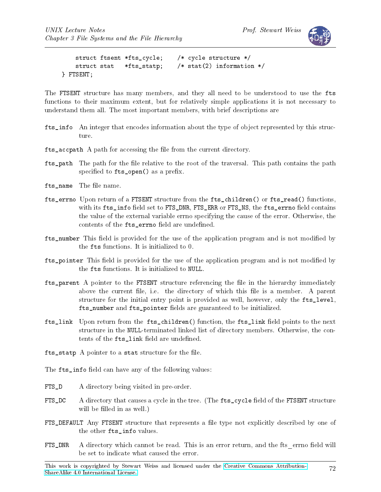

```
struct ftsent *fts_cycle; /* cycle structure */
   struct stat *fts statp: /* stat(2) information */
} FTSENT;
```
The FTSENT structure has many members, and they all need to be understood to use the fts functions to their maximum extent, but for relatively simple applications it is not necessary to understand them all. The most important members, with brief descriptions are

- fts\_info An integer that encodes information about the type of object represented by this structure.
- fts accpath A path for accessing the file from the current directory.
- fts\_path The path for the file relative to the root of the traversal. This path contains the path specified to  $fts\_open()$  as a prefix.
- fts name The file name.
- fts errno Upon return of a FTSENT structure from the fts children() or fts read() functions, with its fts\_info field set to FTS\_DNR, FTS\_ERR or FTS\_NS, the fts\_errno field contains the value of the external variable errno specifying the cause of the error. Otherwise, the contents of the fts errno field are undefined.
- fts\_number This field is provided for the use of the application program and is not modified by the fts functions. It is initialized to 0.
- fts\_pointer This eld is provided for the use of the application program and is not modied by the fts functions. It is initialized to NULL.
- fts\_parent A pointer to the FTSENT structure referencing the file in the hierarchy immediately above the current file, i.e. the directory of which this file is a member. A parent structure for the initial entry point is provided as well, however, only the fts\_level, fts\_number and fts\_pointer fields are guaranteed to be initialized.
- fts\_link Upon return from the fts\_children() function, the fts\_link field points to the next structure in the NULL-terminated linked list of directory members. Otherwise, the contents of the fts\_link field are undefined.
- fts\_statp A pointer to a stat structure for the file.
- The fts\_info field can have any of the following values:
- FTS\_D A directory being visited in pre-order.
- FTS\_DC A directory that causes a cycle in the tree. (The fts\_cycle field of the FTSENT structure will be filled in as well.)
- FTS\_DEFAULT Any FTSENT structure that represents a file type not explicitly described by one of the other fts\_info values.
- FTS\_DNR A directory which cannot be read. This is an error return, and the fts errno field will be set to indicate what caused the error.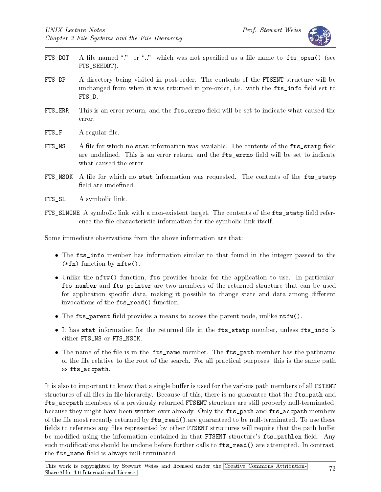

- FTS\_DOT A file named "." or ".." which was not specified as a file name to fts\_open() (see FTS SEEDOT).
- FTS\_DP A directory being visited in post-order. The contents of the FTSENT structure will be unchanged from when it was returned in pre-order, i.e. with the fts\_info field set to FTS\_D.
- FTS\_ERR This is an error return, and the fts\_errno field will be set to indicate what caused the error.
- FTS\_F A regular file.
- FTS\_NS A file for which no stat information was available. The contents of the fts\_statp field are undefined. This is an error return, and the fts\_errno field will be set to indicate what caused the error.
- FTS\_NSOK A file for which no stat information was requested. The contents of the fts\_statp field are undefined.
- FTS\_SL A symbolic link.
- FTS\_SLNONE A symbolic link with a non-existent target. The contents of the fts\_statp field reference the file characteristic information for the symbolic link itself.

Some immediate observations from the above information are that:

- The fits\_info member has information similar to that found in the integer passed to the (\*fn) function by nftw().
- Unlike the nftw() function, fts provides hooks for the application to use. In particular, fts\_number and fts\_pointer are two members of the returned structure that can be used for application specific data, making it possible to change state and data among different invocations of the fts\_read() function.
- The fts\_parent field provides a means to access the parent node, unlike  $\text{ntfw}()$ .
- It has stat information for the returned file in the fts\_statp member, unless fts\_info is either FTS\_NS or FTS\_NSOK.
- The name of the file is in the fts\_name member. The fts\_path member has the pathname of the le relative to the root of the search. For all practical purposes, this is the same path as fts\_accpath.

It is also to important to know that a single buffer is used for the various path members of all FSTENT structures of all files in file hierarchy. Because of this, there is no guarantee that the fts\_path and fts\_accpath members of a previously returned FTSENT structure are still properly null-terminated, because they might have been written over already. Only the fts\_path and fts\_accpath members of the file most recently returned by  $fts_{read}()$ . are guaranteed to be null-terminated. To use these fields to reference any files represented by other FTSENT structures will require that the path buffer be modified using the information contained in that FTSENT structure's fts\_pathlen field. Any such modifications should be undone before further calls to  ${\tt Its\_read}()$  are attempted. In contrast, the fts\_name field is always null-terminated.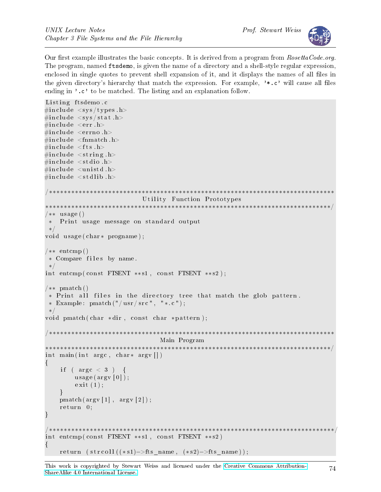

Our first example illustrates the basic concepts. It is derived from a program from  $\textit{RosettaCode.org}.$ The program, named ftsdemo, is given the name of a directory and a shell-style regular expression, enclosed in single quotes to prevent shell expansion of it, and it displays the names of all files in the given directory's hierarchy that match the expression. For example,  $\cdot \cdot \cdot$ , c' will cause all files ending in '.c' to be matched. The listing and an explanation follow.

```
Listing ftsdemo.c
\#\texttt{include}~<\texttt{sys}/\texttt{types} . h>
\#\texttt{include}~<\texttt{sys}/\,\texttt{stat} . h>\#\texttt{include}\ <\texttt{err}\cdot\texttt{h}>\#\texttt{include}\ =\ <\!\!\texttt{errno}\,.h>\#\texttt{include}~<\texttt{fnmatch} . h>\#\texttt{include}~<\texttt{fts} .h>
\#\texttt{include}\ \texttt{<string} . h>
\#\texttt{include}\ <\!\!\!\cdot\;\texttt{stdio}\ .h>\#\texttt{include}\> <\!\!\!\!\cdot\;\texttt{unitstd.}\texttt{h}\!\!>\#\texttt{include}\ < \texttt{stdlib} . h>/∗∗∗∗∗∗∗∗∗∗∗∗∗∗∗∗∗∗∗∗∗∗∗∗∗∗∗∗∗∗∗∗∗∗∗∗∗∗∗∗∗∗∗∗∗∗∗∗∗∗∗∗∗∗∗∗∗∗∗∗∗∗∗∗∗∗∗∗∗∗∗∗∗∗∗∗∗
                                      Utility Function Prototypes
                                   ∗∗∗∗∗∗∗∗∗∗∗∗∗∗∗∗∗∗∗∗∗∗∗∗∗∗∗∗∗∗∗∗∗∗∗∗∗∗∗∗∗∗∗∗∗∗∗∗∗∗∗∗∗∗∗∗∗∗∗∗∗∗∗∗∗∗∗∗∗∗∗∗∗∗∗∗∗/
/** usage ()
 ∗ P ri n t u s a ge message on s t and a rd output
 ∗/
void usage ( char * progname );
/** entcmp()
 ∗ Compare f i l e s by name .
 ∗/
int entcmp ( const FTSENT **s1, const FTSENT **s2);
/** pmatch ()
 * Print all files in the directory tree that match the glob pattern.
 * Example: pmatch("/usr/src", "*.c");∗/
void pmatch ( char * dir, const char * pattern );
/∗∗∗∗∗∗∗∗∗∗∗∗∗∗∗∗∗∗∗∗∗∗∗∗∗∗∗∗∗∗∗∗∗∗∗∗∗∗∗∗∗∗∗∗∗∗∗∗∗∗∗∗∗∗∗∗∗∗∗∗∗∗∗∗∗∗∗∗∗∗∗∗∗∗∗∗∗
                                           Main Program
∗∗∗∗∗∗∗∗∗∗∗∗∗∗∗∗∗∗∗∗∗∗∗∗∗∗∗∗∗∗∗∗∗∗∗∗∗∗∗∗∗∗∗∗∗∗∗∗∗∗∗∗∗∗∗∗∗∗∗∗∗∗∗∗∗∗∗∗∗∗∗∗∗∗∗∗∗/
int main (int argc, char* argv\lceil \rceil)
{
      if ( \text{arg } c < 3 ) {
           usage (\arg v \mid 0);
            ext{ext}(1);}
     pmatch(\arg v[1], \arg v[2]);r et urn 0;
}
               /∗∗∗∗∗∗∗∗∗∗∗∗∗∗∗∗∗∗∗∗∗∗∗∗∗∗∗∗∗∗∗∗∗∗∗∗∗∗∗∗∗∗∗∗∗∗∗∗∗∗∗∗∗∗∗∗∗∗∗∗∗∗∗∗∗∗∗∗∗∗∗∗∗∗∗∗∗/
int entcmp ( const FTSENT **s1, const FTSENT **s2)
\{return (strcoll ((*s1)->fts name, (*s2)->fts name));
```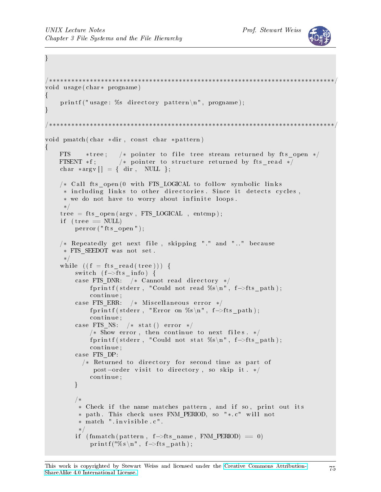}



```
/∗∗∗∗∗∗∗∗∗∗∗∗∗∗∗∗∗∗∗∗∗∗∗∗∗∗∗∗∗∗∗∗∗∗∗∗∗∗∗∗∗∗∗∗∗∗∗∗∗∗∗∗∗∗∗∗∗∗∗∗∗∗∗∗∗∗∗∗∗∗∗∗∗∗∗∗∗/
void usage ( char * progname)
{
    printf ("usage: %s directory pattern\n", progname);
}
             /∗∗∗∗∗∗∗∗∗∗∗∗∗∗∗∗∗∗∗∗∗∗∗∗∗∗∗∗∗∗∗∗∗∗∗∗∗∗∗∗∗∗∗∗∗∗∗∗∗∗∗∗∗∗∗∗∗∗∗∗∗∗∗∗∗∗∗∗∗∗∗∗∗∗∗∗∗/
void pmatch ( char *dir, const char *pattern)
{
    FTS * tree; /* pointer to file tree stream returned by fts open */FTSENT *f; /* pointer to structure returned by fts read */
    char *argv[ = { dir, NULL };
    /* Call fts open (0 with FTS LOGICAL to follow symbolic links
     * including links to other directories. Since it detects cycles,
     * we do not have to worry about infinite loops.
     ∗/
    \text{tree} = \text{fts} open (\text{argv}, FTS LOGICAL , entcmp);
    if (\text{tree} == \text{NULL})\text{perror}("fts\text{ open}'");/* Repeatedly get next file, skipping "." and ".." because
     ∗ FTS_SEEDOT was not s e t .
     ∗/
    while ((f = fits\_read(tree))) {
         switch (f \rightarrow fts info) {
         case FTS DNR: /* Cannot read directory */
              fprintf (stderr, "Could not read %s\n", f->fts path);
              continue;
         case FTS ERR: /* Miscellaneous error */
              fprintf (stderr, "Error on %s\n", f->fts_path);
              continue;
         case FTS NS: /* stat () error *//* Show error, then continue to next files. */fprintf (stderr, "Could not stat %s\n", f->fts path);
              continue;
         case FTS DP:
           /* Returned to directory for second time as part of
               post-order visit to directory, so skip it. */
              continue;
         }
         /∗
          * Check if the name matches pattern, and if so, print out its
          * path. This check uses FNM PERIOD, so "*. c" will not
          ∗ match " . i n v i s i b l e . c " .
          ∗/
         if (\text{fnmatch} (\text{pattern}, f\rightarrow \text{fts\_name}, \text{FNM PERIOD}) == 0 )print f("%s\n'', f\rightarrow ft s_path);
```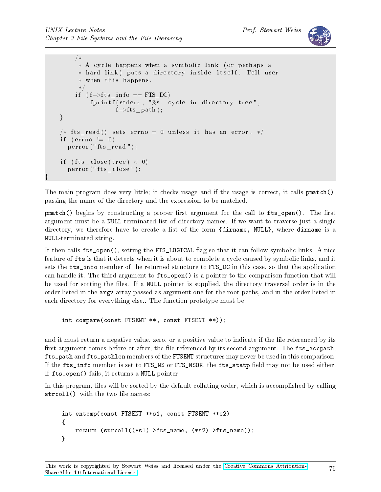}



```
/∗
      * A cycle happens when a symbolic link (or perhaps a
      * hard link) puts a directory inside itself. Tell user
      ∗ when t h i s happens .
      ∗/
    if (f \rightarrow fts info == FTS DC)
          fprintf (stderr, "%s: cycle in directory tree",
                  f \rightarrow fts path );
}
/* fts read () sets errno = 0 unless it has an error. */
if (\text{errno} != 0)perror ("fts_read");
if (fts close (tree) < 0)
  \text{perror}("{\text{fts}}{\text{ }^\circ} close");
```
The main program does very little; it checks usage and if the usage is correct, it calls pmatch(). passing the name of the directory and the expression to be matched.

 $pmatch()$  begins by constructing a proper first argument for the call to fts open(). The first argument must be a NULL-terminated list of directory names. If we want to traverse just a single directory, we therefore have to create a list of the form {dirname, NULL}, where dirname is a NULL-terminated string.

It then calls fts\_open(), setting the FTS\_LOGICAL ag so that it can follow symbolic links. A nice feature of fts is that it detects when it is about to complete a cycle caused by symbolic links, and it sets the fts\_info member of the returned structure to FTS\_DC in this case, so that the application can handle it. The third argument to fts\_open() is a pointer to the comparison function that will be used for sorting the files. If a NULL pointer is supplied, the directory traversal order is in the order listed in the argv array passed as argument one for the root paths, and in the order listed in each directory for everything else.. The function prototype must be

int compare(const FTSENT \*\*, const FTSENT \*\*));

and it must return a negative value, zero, or a positive value to indicate if the file referenced by its first argument comes before or after, the file referenced by its second argument. The fts\_accpath, fts\_path and fts\_pathlen members of the FTSENT structures may never be used in this comparison. If the fts\_info member is set to FTS\_NS or FTS\_NSOK, the fts\_statp field may not be used either. If fts open() fails, it returns a NULL pointer.

In this program, files will be sorted by the default collating order, which is accomplished by calling  $strcoll()$  with the two file names:

```
int entcmp(const FTSENT **s1, const FTSENT **s2)
{
    return (strcoll((*s1)->fts_name, (*s2)->fts_name));
}
```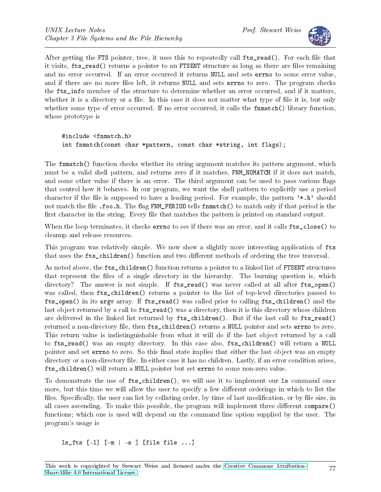

After getting the FTS pointer, tree, it uses this to repeatedly call fts\_read(). For each file that it visits, fts read() returns a pointer to an FTSENT structure as long as there are files remaining and no error occurred. If an error occurred it returns NULL and sets errno to some error value, and if there are no more files left, it returns NULL and sets errno to zero. The program checks the fts\_info member of the structure to determine whether an error occurred, and if it matters, whether it is a directory or a file. In this case it does not matter what type of file it is, but only whether some type of error occurred. If no error occurred, it calls the finantial () library function, whose prototype is

#include <fnmatch.h> int fnmatch(const char \*pattern, const char \*string, int flags);

The fnmatch() function checks whether its string argument matches its pattern argument, which must be a valid shell pattern, and returns zero if it matches, FNM\_NOMATCH if it does not match, and some other value if there is an error. The third argument can be used to pass various flags that control how it behaves. In our program, we want the shell pattern to explicitly use a period character if the file is supposed to have a leading period. For example, the pattern  $'$ \*.h' should not match the file .foo.h. The flag FNM\_PERIOD tells finder that only if that period is the first character in the string. Every file that matches the pattern is printed on standard output.

When the loop terminates, it checks **errno** to see if there was an error, and it calls  $\text{fts\_close}()$  to cleanup and release resources.

This program was relatively simple. We now show a slightly more interesting application of fts that uses the fts\_children() function and two different methods of ordering the tree traversal.

As noted above, the fts\_children() function returns a pointer to a linked list of FTSENT structures that represent the files of a single directory in the hierarchy. The burning question is, which directory? The answer is not simple. If  $fts_read()$  was never called at all after  $fts\_open()$ was called, then fts\_children() returns a pointer to the list of top-level directories passed to fts\_open() in its argv array. If fts\_read() was called prior to calling fts\_children() and the last object returned by a call to  $fts\_read()$  was a directory, then it is this directory whose children are delivered in the linked list returned by fts\_children(). But if the last call to fts\_read() returned a non-directory file, then fts\_children() returns a NULL pointer and sets errno to zero. This return value is indistinguishable from what it will do if the last object returned by a call to fts\_read() was an empty directory. In this case also, fts\_children() will return a NULL pointer and set errno to zero. So this final state implies that either the last object was an empty directory or a non-directory file. In either case it has no children. Lastly, if an error condition arises, fts\_children() will return a NULL pointer but set errno to some non-zero value.

To demonstrate the use of fts\_children(), we will use it to implement our ls command once more, but this time we will allow the user to specify a few different orderings in which to list the files. Specifically, the user can list by collating order, by time of last modification, or by file size, in all cases ascending. To make this possible, the program will implement three different compare() functions; which one is used will depend on the command line option supplied by the user. The program's usage is

ls\_fts [-l] [-m | -s ] [file file ...]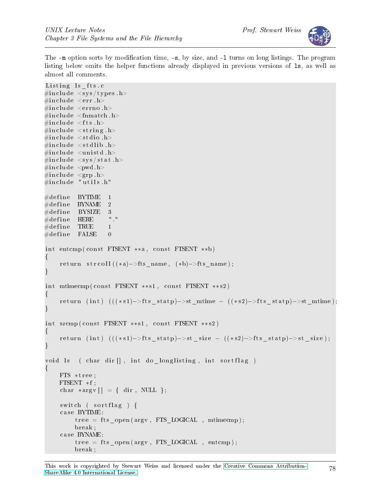

The  $-m$  option sorts by modification time,  $-s$ , by size, and  $-1$  turns on long listings. The program listing below omits the helper functions already displayed in previous versions of ls, as well as almost all comments.

```
Listing ls fts. c
\#\texttt{include}\ \texttt{<sys/types.h>}\#\texttt{include}\ <\texttt{err}\cdot\texttt{h}>\#\texttt{include}\ =\ <\!\!\texttt{errno}\,.h>\#\texttt{include}~<\texttt{fnmatch} . h>\#\texttt{include}~<\texttt{fts} .h>
\#\texttt{include}\ \texttt{<string} . h>
\#\texttt{include}\ <\!\!\!\mathit{stdio}\> .h>\#\texttt{include}\ < \texttt{stdlib} .h>\#\texttt{include}\> <\!\!\!\!\cdot\;\texttt{unitstd.}\texttt{h}\!\!>\#\texttt{include}~<\texttt{sys}/\,\texttt{stat} . h>\#\texttt{include}\> <pwd.h>
\#\texttt{include}\ <\texttt{grp.h>}\#\texttt{include} "utils.h"
\#\text{define} BYTIME 1
\#\text{define} BYNAME 2
#define BYSIZE 3<br>#define HERE "."
\#d efine HERE
\#\text{define} TRUE 1
\#\text{define} FALSE 0
int entcmp ( const FTSENT **a, const FTSENT **b)
{
      return strcoll ((*a)–>fts name, (*b)–>fts name);
}
int mtimecmp ( const FTSENT **s1, const FTSENT **s2)
{
      return (int) (((*s1) \rightarrow st \text{ statp}) \rightarrow st \text{ mitime } - ((*s2) \rightarrow fits \text{ statp}) \rightarrow st \text{ mitime});
}
int szcmp ( const FTSENT **s1, const FTSENT **s2)
{
      return (int) (((**1)->fts statp)->st size – ((**2)->fts statp)->st size);
}
void ls ( char dir [], int do longlisting, int sortflag )
\{FTS ∗ t r e e ;
     FTSENT * f;char *argv [ = { dir, NULL };
      switch ( sortflag ) {
      case BYTIME:
            \text{tree} = \text{fts\_open} (\text{argv}, \text{FTS\_LOGICAL}, \text{mtimecmp});break ;
      case BYNAME:
            \text{tree} = \text{fts} open (\text{argv}, FTS LOGICAL , entcmp);
            break ;
```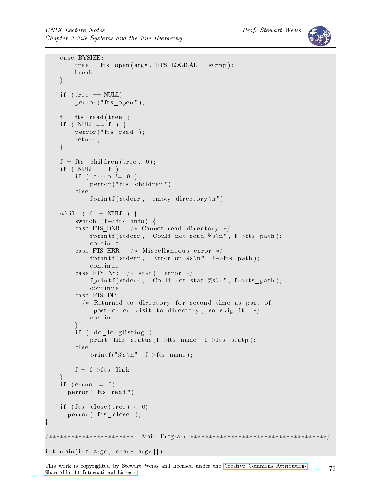```
case BYSIZE:
          tree = fits open (argv, FTS\_LOGICAL , scemp );break ;
     }
     if (\text{tree} == \text{NULL})perror ("fts_open");
     f = fts \text{ read (tree)};
     if ( NULL == f ) {
          perror ("fts_read");
          r et urn ;
     }
     f = ft s children (tree, 0);
     if ( NULL == f )
          if ( \text{errno} != 0 )
               perror ("fts children");
          e l s e
               f p r in t f ( st d err, "empty directory \langle n" \rangle;
     while ( f := NULL ) {
          switch (f \rightarrow fts\_info) {
          case FTS_DNR: /* Cannot read directory */fprintf (stderr, "Could not read %s\n", f->fts_path);
               continue;
          case FTS ERR: /* Miscellaneous error */
               f printf (stderr, "Error on %s\n", f->fts_path);
               c o n ti n u e ;
          case FTS NS: /* stat () error */
               f print f ( stderr, "Could not stat %s \n", f ->fts path );
               continue;
          case FTS DP:
             /* Returned to directory for second time as part of
                post-order visit to directory, so skip it. */
               continue;
          }
          if ( do longlisting )print _file _status (f->fts_name, f->fts_statp);
          e l s e
               print f("%s \n\rightharpoonup f \rightarrow fts_name);f = f \rightarrow fts link;
     }
     if (\text{errno} != 0)perror("fts read");if ( fts close ( tree ) \langle 0 \rangle\text{perror}("{\text{fts}}{\text{ }-\text{close}}");}
                  /∗∗∗∗∗∗∗∗∗∗∗∗∗∗∗∗∗∗∗∗∗∗∗ Main Program ∗∗∗∗∗∗∗∗∗∗∗∗∗∗∗∗∗∗∗∗∗∗∗∗∗∗∗∗∗∗∗∗∗∗∗∗∗/
int main (int argc, char * argv \vert \vert)
```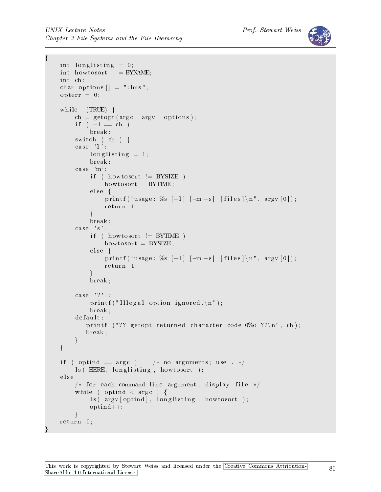```
{
    int longlisting = 0;
    int howtosort = BYNAME;
    int ch;
    char options [] = " : lms";\text{opterr} = 0;
    while (TRUE) {
        ch = getopt(argc, argv, options);if (-1 == ch)break ;
        switch ( ch ) {
        case 'l':
             \ln \frac{g}{\sin g} = 1;
             break ;
        case \text{ 'm' :}if ( howtosort != BYSIZE )
                 howtosort = BYTIME;
             else \{printf ("usage: %s [-1] [-m|-s] [files] \n", argv [0]);
                 r et urn 1;
             }
             break ;
        case 's':if ( howtosort != BYTIME )
                 howtosort = BYSIZE;
             else {
                 printf ("usage: %s [-1] [-m|-s] [files]\n", argv[0]);
                 r et urn 1;
             }
             break ;
        case ? '?printf ("Illegal option ignored.\langle n" \rangle;
             break ;
        d ef ault :
            printf ("?? getopt returned character code 0\%o ??\n", ch);
            break ;
        }
    }
    if ( optind = \arg c ) /* no arguments; use . */
        ls ( HERE, longlisting, howtosort );
    e l s e
        /* for each command line argument, display file */
        while ( optind < argc ) {
            ls ( argv [ optind ], longlisting, howtosort );
             optind++;}
    r et urn 0;
```
}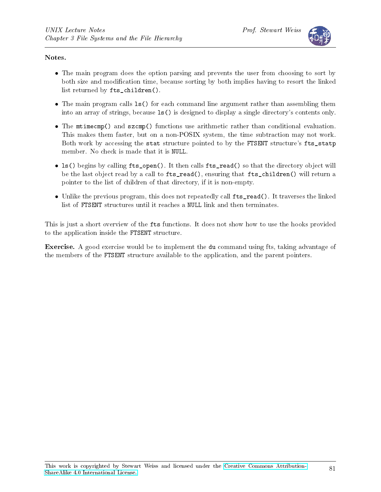

#### Notes.

- The main program does the option parsing and prevents the user from choosing to sort by both size and modification time, because sorting by both implies having to resort the linked list returned by fts\_children().
- The main program calls  $ls()$  for each command line argument rather than assembling them into an array of strings, because ls() is designed to display a single directory's contents only.
- The mtimecmp() and szcmp() functions use arithmetic rather than conditional evaluation. This makes them faster, but on a non-POSIX system, the time subtraction may not work. Both work by accessing the stat structure pointed to by the FTSENT structure's fts\_statp member. No check is made that it is NULL.
- ls() begins by calling fts\_open(). It then calls fts\_read() so that the directory object will be the last object read by a call to fts\_read(), ensuring that fts\_children() will return a pointer to the list of children of that directory, if it is non-empty.
- Unlike the previous program, this does not repeatedly call fts read(). It traverses the linked list of FTSENT structures until it reaches a NULL link and then terminates.

This is just a short overview of the fts functions. It does not show how to use the hooks provided to the application inside the FTSENT structure.

Exercise. A good exercise would be to implement the du command using fts, taking advantage of the members of the FTSENT structure available to the application, and the parent pointers.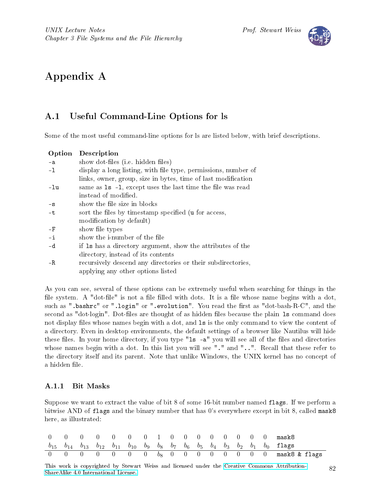

# Appendix A

### A.1 Useful Command-Line Options for ls

Some of the most useful command-line options for ls are listed below, with brief descriptions.

| Option                                                                 | Description                                                   |  |  |  |  |  |  |  |
|------------------------------------------------------------------------|---------------------------------------------------------------|--|--|--|--|--|--|--|
| $-a$                                                                   | show dot-files (i.e. hidden files)                            |  |  |  |  |  |  |  |
| display a long listing, with file type, permissions, number of<br>$-1$ |                                                               |  |  |  |  |  |  |  |
|                                                                        | links, owner, group, size in bytes, time of last modification |  |  |  |  |  |  |  |
| -lu                                                                    | same as 1s -1, except uses the last time the file was read    |  |  |  |  |  |  |  |
|                                                                        | instead of modified.                                          |  |  |  |  |  |  |  |
| $-S$                                                                   | show the file size in blocks                                  |  |  |  |  |  |  |  |
| -t                                                                     | sort the files by timestamp specified (u for access,          |  |  |  |  |  |  |  |
|                                                                        | modification by default)                                      |  |  |  |  |  |  |  |
| $-F$                                                                   | show file types                                               |  |  |  |  |  |  |  |
| $-i$                                                                   | show the <i>i</i> -number of the file                         |  |  |  |  |  |  |  |
| -d                                                                     | if 1s has a directory argument, show the attributes of the    |  |  |  |  |  |  |  |
|                                                                        | directory, instead of its contents                            |  |  |  |  |  |  |  |
| – R                                                                    | recursively descend any directories or their subdirectories,  |  |  |  |  |  |  |  |
|                                                                        | applying any other options listed                             |  |  |  |  |  |  |  |

As you can see, several of these options can be extremely useful when searching for things in the file system. A "dot-file" is not a file filled with dots. It is a file whose name begins with a dot, such as ".bashrc" or ".login" or ".evolution". You read the first as "dot-bash-R-C", and the second as "dot-login". Dot-files are thought of as hidden files because the plain 1s command does not display files whose names begin with a dot, and 1s is the only command to view the content of a directory. Even in desktop environments, the default settings of a browser like Nautilus will hide these files. In your home directory, if you type "1s -a" you will see all of the files and directories whose names begin with a dot. In this list you will see "." and "..". Recall that these refer to the directory itself and its parent. Note that unlike Windows, the UNIX kernel has no concept of a hidden file.

#### A.1.1 Bit Masks

Suppose we want to extract the value of bit 8 of some 16-bit number named flags. If we perform a bitwise AND of flags and the binary number that has 0's everywhere except in bit 8, called mask8 here, as illustrated:

|  |  |  |  |  |  |  |  | $0 \t 0 \t 0 \t 0 \t 0 \t 0 \t 0 \t 1 \t 0 \t 0 \t 0 \t 0 \t 0 \t 0 \t 0 \t 0$                                                              |
|--|--|--|--|--|--|--|--|---------------------------------------------------------------------------------------------------------------------------------------------|
|  |  |  |  |  |  |  |  | $b_{15}$ $b_{14}$ $b_{13}$ $b_{12}$ $b_{11}$ $b_{10}$ $b_{9}$ $b_{8}$ $b_{7}$ $b_{6}$ $b_{5}$ $b_{4}$ $b_{3}$ $b_{2}$ $b_{1}$ $b_{0}$ flags |
|  |  |  |  |  |  |  |  | 0 0 0 0 0 0 0 $b_8$ 0 0 0 0 0 0 0 mask8 & flags                                                                                             |

This work is copyrighted by Stewart Weiss and licensed under the [Creative Commons Attribution-](http://creativecommons.org/licenses/by-sa/4.0/ )[ShareAlike 4.0 International License.](http://creativecommons.org/licenses/by-sa/4.0/ ) <sup>82</sup>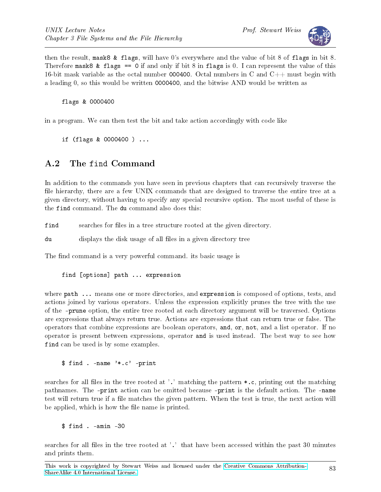

then the result, mask8 & flags, will have 0's everywhere and the value of bit 8 of flags in bit 8. Therefore mask8 & flags  $== 0$  if and only if bit 8 in flags is 0. I can represent the value of this 16-bit mask variable as the octal number 000400. Octal numbers in C and  $C_{++}$  must begin with a leading 0, so this would be written 0000400, and the bitwise AND would be written as

flags & 0000400

in a program. We can then test the bit and take action accordingly with code like

if (flags & 0000400 ) ...

## A.2 The find Command

In addition to the commands you have seen in previous chapters that can recursively traverse the file hierarchy, there are a few UNIX commands that are designed to traverse the entire tree at a given directory, without having to specify any special recursive option. The most useful of these is the find command. The du command also does this:

find searches for files in a tree structure rooted at the given directory.

du displays the disk usage of all files in a given directory tree

The find command is a very powerful command. its basic usage is

find [options] path ... expression

where path ... means one or more directories, and expression is composed of options, tests, and actions joined by various operators. Unless the expression explicitly prunes the tree with the use of the -prune option, the entire tree rooted at each directory argument will be traversed. Options are expressions that always return true. Actions are expressions that can return true or false. The operators that combine expressions are boolean operators, and, or, not, and a list operator. If no operator is present between expressions, operator and is used instead. The best way to see how find can be used is by some examples.

\$ find . -name '\*.c' -print

searches for all files in the tree rooted at '.' matching the pattern  $\ast$ .c, printing out the matching pathnames. The -print action can be omitted because -print is the default action. The -name test will return true if a file matches the given pattern. When the test is true, the next action will be applied, which is how the file name is printed.

\$ find . -amin -30

searches for all files in the tree rooted at '.' that have been accessed within the past 30 minutes and prints them.